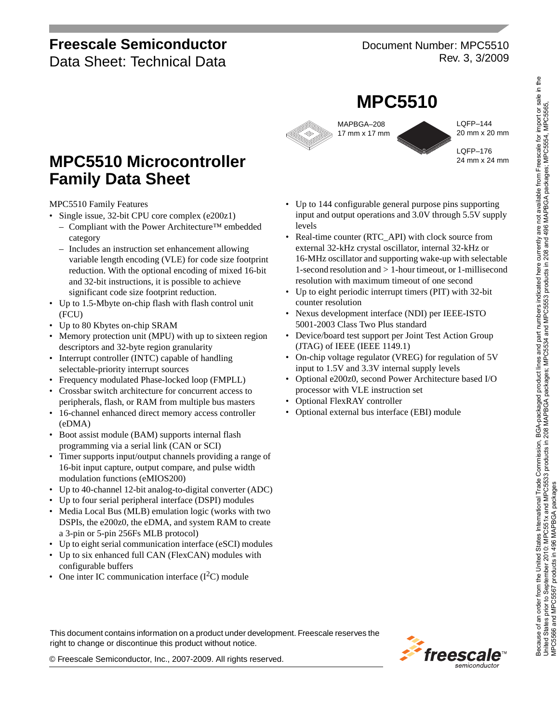### **Freescale Semiconductor**

Data Sheet: Technical Data

Document Number: MPC5510 Rev. 3, 3/2009

# **MPC5510**

MAPBGA–225 MAPBGA–208 15 mm x 15 mm 17 mm x 17 mm



LQFP-144 20 mm x 20 mm

> 24 mm x 24 mm LQFP–176

## **MPC5510 Microcontroller Family Data Sheet**

MPC5510 Family Features

- Single issue, 32-bit CPU core complex (e200z1)
	- Compliant with the Power Architecture™ embedded category
	- Includes an instruction set enhancement allowing variable length encoding (VLE) for code size footprint reduction. With the optional encoding of mixed 16-bit and 32-bit instructions, it is possible to achieve significant code size footprint reduction.
- Up to 1.5-Mbyte on-chip flash with flash control unit (FCU)
- Up to 80 Kbytes on-chip SRAM
- Memory protection unit (MPU) with up to sixteen region descriptors and 32-byte region granularity
- Interrupt controller (INTC) capable of handling selectable-priority interrupt sources
- Frequency modulated Phase-locked loop (FMPLL)
- Crossbar switch architecture for concurrent access to peripherals, flash, or RAM from multiple bus masters
- 16-channel enhanced direct memory access controller (eDMA)
- Boot assist module (BAM) supports internal flash programming via a serial link (CAN or SCI)
- Timer supports input/output channels providing a range of 16-bit input capture, output compare, and pulse width modulation functions (eMIOS200)
- Up to 40-channel 12-bit analog-to-digital converter (ADC)
- Up to four serial peripheral interface (DSPI) modules
- Media Local Bus (MLB) emulation logic (works with two DSPIs, the e200z0, the eDMA, and system RAM to create a 3-pin or 5-pin 256Fs MLB protocol)
- Up to eight serial communication interface (eSCI) modules
- Up to six enhanced full CAN (FlexCAN) modules with configurable buffers
- One inter IC communication interface  $(I<sup>2</sup>C)$  module
- Up to 144 configurable general purpose pins supporting input and output operations and 3.0V through 5.5V supply levels
- Real-time counter (RTC\_API) with clock source from external 32-kHz crystal oscillator, internal 32-kHz or 16-MHz oscillator and supporting wake-up with selectable 1-second resolution and > 1-hour timeout, or 1-millisecond resolution with maximum timeout of one second
- Up to eight periodic interrupt timers (PIT) with 32-bit counter resolution
- Nexus development interface (NDI) per IEEE-ISTO 5001-2003 Class Two Plus standard
- Device/board test support per Joint Test Action Group (JTAG) of IEEE (IEEE 1149.1)
- On-chip voltage regulator (VREG) for regulation of 5V input to 1.5V and 3.3V internal supply levels
- Optional e200z0, second Power Architecture based I/O processor with VLE instruction set
- Optional FlexRAY controller
- Optional external bus interface (EBI) module

This document contains information on a product under development. Freescale reserves the right to change or discontinue this product without notice.

© Freescale Semiconductor, Inc., 2007-2009. All rights reserved.

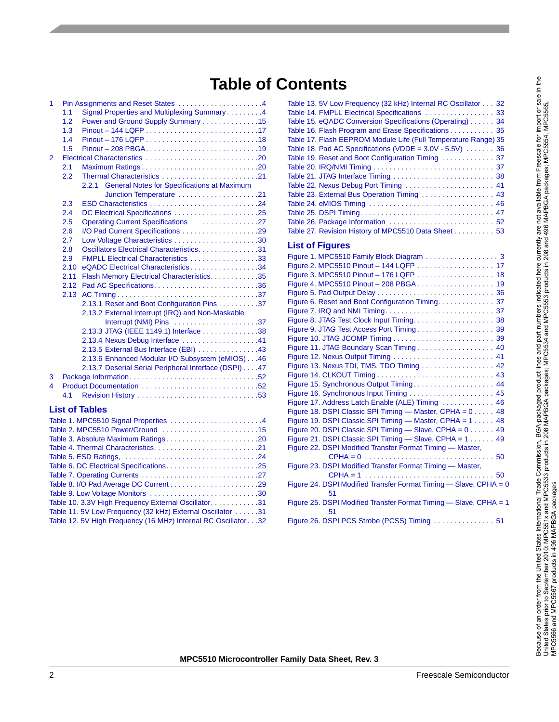## **Table of Contents**

| 1 |              | Pin Assignments and Reset States 4                          |
|---|--------------|-------------------------------------------------------------|
|   | 1.1          | Signal Properties and Multiplexing Summary4                 |
|   | 1.2          | Power and Ground Supply Summary 15                          |
|   | 1.3          |                                                             |
|   | 1.4          |                                                             |
|   | 1.5          |                                                             |
| 2 |              |                                                             |
|   | 2.1          |                                                             |
|   | 2.2          |                                                             |
|   |              | <b>General Notes for Specifications at Maximum</b><br>2.2.1 |
|   |              | Junction Temperature 21                                     |
|   | 2.3          | ESD Characteristics 24                                      |
|   | 2.4          | DC Electrical Specifications 25                             |
|   | 2.5          | Operating Current Specifications 27                         |
|   | 2.6          |                                                             |
|   | 2.7          |                                                             |
|   | 2.8          | Oscillators Electrical Characteristics31                    |
|   | 2.9          | FMPLL Electrical Characteristics 33                         |
|   | 2.10         | eQADC Electrical Characteristics 34                         |
|   | 2.11         | Flash Memory Electrical Characteristics35                   |
|   | 2.12<br>2.13 | Pad AC Specifications36                                     |
|   |              | 2.13.1 Reset and Boot Configuration Pins 37                 |
|   |              | 2.13.2 External Interrupt (IRQ) and Non-Maskable            |
|   |              | Interrupt (NMI) Pins 37                                     |
|   |              | 2.13.3 JTAG (IEEE 1149.1) Interface 38                      |
|   |              | 2.13.4 Nexus Debug Interface 41                             |
|   |              | 2.13.5 External Bus Interface (EBI) 43                      |
|   |              | 2.13.6 Enhanced Modular I/O Subsystem (eMIOS) 46            |
|   |              | 2.13.7 Deserial Serial Peripheral Interface (DSPI)47        |
| 3 |              |                                                             |
| 4 |              |                                                             |
|   | 4.1          |                                                             |
|   |              |                                                             |
|   |              | <b>List of Tables</b>                                       |
|   |              | Table 1. MPC5510 Signal Properties 4                        |
|   |              | Table 2. MPC5510 Power/Ground 15                            |
|   |              |                                                             |
|   |              |                                                             |
|   |              |                                                             |
|   |              |                                                             |
|   |              |                                                             |

| Table 9. Low Voltage Monitors 30                              |
|---------------------------------------------------------------|
| Table 10. 3.3V High Frequency External Oscillator31           |
| Table 11. 5V Low Frequency (32 kHz) External Oscillator 31    |
| Table 12. 5V High Frequency (16 MHz) Internal RC Oscillator32 |

| Table 13. 5V Low Frequency (32 kHz) Internal RC Oscillator 32  |
|----------------------------------------------------------------|
| Table 14. FMPLL Electrical Specifications  33                  |
| Table 15. eQADC Conversion Specifications (Operating) 34       |
| Table 16. Flash Program and Erase Specifications 35            |
| Table 17. Flash EEPROM Module Life (Full Temperature Range) 35 |
| Table 18. Pad AC Specifications (VDDE = $3.0V - 5.5V$ )  36    |
| Table 19. Reset and Boot Configuration Timing  37              |
|                                                                |
|                                                                |
| Table 22. Nexus Debug Port Timing  41                          |
| Table 23. External Bus Operation Timing  43                    |
|                                                                |
|                                                                |
|                                                                |
| Table 27. Revision History of MPC5510 Data Sheet 53            |
|                                                                |

### **List of Figures**

| Figure 1. MPC5510 Family Block Diagram 3                                |
|-------------------------------------------------------------------------|
| Figure 2. MPC5510 Pinout - 144 LQFP 17                                  |
| Figure 3. MPC5510 Pinout - 176 LQFP 18                                  |
| Figure 4. MPC5510 Pinout - 208 PBGA 19                                  |
|                                                                         |
| Figure 6. Reset and Boot Configuration Timing. 37                       |
|                                                                         |
|                                                                         |
| Figure 9. JTAG Test Access Port Timing 39                               |
|                                                                         |
| Figure 11. JTAG Boundary Scan Timing 40                                 |
|                                                                         |
| Figure 13. Nexus TDI, TMS, TDO Timing  42                               |
|                                                                         |
| Figure 15. Synchronous Output Timing 44                                 |
|                                                                         |
| Figure 17. Address Latch Enable (ALE) Timing  46                        |
| Figure 18. DSPI Classic SPI Timing - Master, CPHA = 0 48                |
| Figure 19. DSPI Classic SPI Timing - Master, CPHA = $1 \ldots$ . 48     |
| Figure 20. DSPI Classic SPI Timing - Slave, CPHA = 0 49                 |
| Figure 21. DSPI Classic SPI Timing - Slave, CPHA = 1 49                 |
| Figure 22. DSPI Modified Transfer Format Timing - Master,               |
|                                                                         |
| Figure 23. DSPI Modified Transfer Format Timing - Master,               |
|                                                                         |
| Figure 24. DSPI Modified Transfer Format Timing - Slave, CPHA = 0<br>51 |
| Figure 25. DSPI Modified Transfer Format Timing - Slave, CPHA = 1<br>51 |
| Figure 26. DSPI PCS Strobe (PCSS) Timing  51                            |
|                                                                         |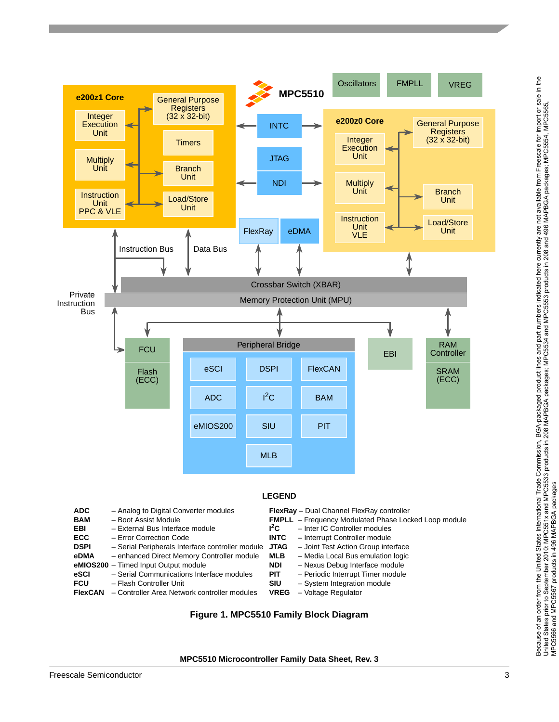<span id="page-2-0"></span>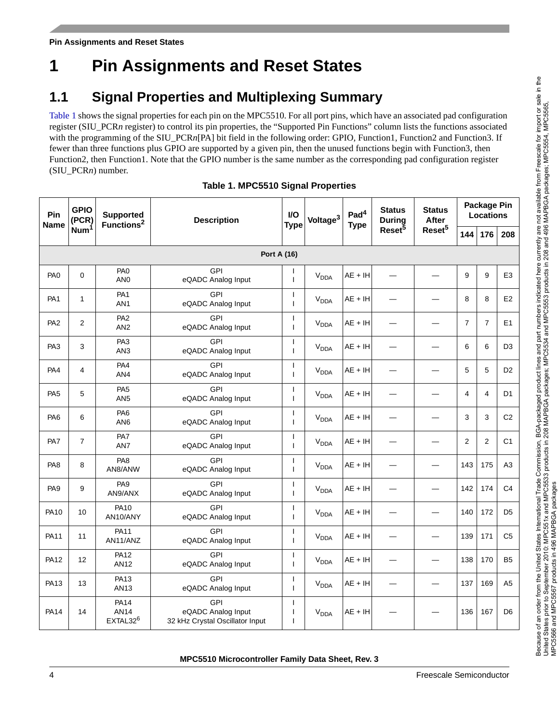# <span id="page-3-0"></span>**1 Pin Assignments and Reset States**

## <span id="page-3-1"></span>**1.1 Signal Properties and Multiplexing Summary**

[Table 1](#page-3-2) shows the signal properties for each pin on the MPC5510. For all port pins, which have an associated pad configuration register (SIU\_PCR*n* register) to control its pin properties, the "Supported Pin Functions" column lists the functions associated with the programming of the SIU\_PCRn[PA] bit field in the following order: GPIO, Function1, Function2 and Function3. If fewer than three functions plus GPIO are supported by a given pin, then the unused functions begin with Function3, then Function2, then Function1. Note that the GPIO number is the same number as the corresponding pad configuration register (SIU\_PCR*n*) number.

<span id="page-3-2"></span>

| Pin<br><b>Name</b> | <b>GPIO</b><br>(PCR) | <b>Supported</b><br>Functions <sup>2</sup>         | <b>Description</b>                                                  | I/O<br><b>Type</b>                         | Voltage <sup>3</sup>   | Pad <sup>4</sup><br><b>Type</b> | <b>Status</b><br><b>During</b> | <b>Status</b><br>After |                | <b>Package Pin</b><br><b>Locations</b> |                |  |  |
|--------------------|----------------------|----------------------------------------------------|---------------------------------------------------------------------|--------------------------------------------|------------------------|---------------------------------|--------------------------------|------------------------|----------------|----------------------------------------|----------------|--|--|
|                    | Num <sup>1</sup>     |                                                    |                                                                     |                                            |                        |                                 | Reset <sup>5</sup>             | Reset <sup>5</sup>     | 144            | 176                                    | 208            |  |  |
| <b>Port A (16)</b> |                      |                                                    |                                                                     |                                            |                        |                                 |                                |                        |                |                                        |                |  |  |
| PA <sub>0</sub>    | 0                    | PA <sub>0</sub><br>AN <sub>0</sub>                 | <b>GPI</b><br>eQADC Analog Input                                    | $\mathbf{I}$                               | <b>V<sub>DDA</sub></b> | $AE + IH$                       |                                |                        | 9              | 9                                      | E <sub>3</sub> |  |  |
| PA <sub>1</sub>    | 1                    | PA <sub>1</sub><br>AN <sub>1</sub>                 | <b>GPI</b><br>eQADC Analog Input                                    | $\overline{1}$                             | <b>V<sub>DDA</sub></b> | $AE + IH$                       |                                |                        | 8              | 8                                      | E <sub>2</sub> |  |  |
| PA <sub>2</sub>    | 2                    | PA <sub>2</sub><br>AN <sub>2</sub>                 | <b>GPI</b><br>eQADC Analog Input                                    | $\mathbf{I}$<br>$\mathbf{I}$               | V <sub>DDA</sub>       | $AE + IH$                       |                                |                        | $\overline{7}$ | $\overline{7}$                         | E1             |  |  |
| PA3                | 3                    | PA <sub>3</sub><br>AN <sub>3</sub>                 | <b>GPI</b><br>eQADC Analog Input                                    | ı<br>$\mathbf{I}$                          | <b>V<sub>DDA</sub></b> | $AE + IH$                       |                                |                        | 6              | 6                                      | D <sub>3</sub> |  |  |
| PA4                | 4                    | PA4<br>AN4                                         | <b>GPI</b><br>eQADC Analog Input                                    | $\overline{1}$<br>$\overline{1}$           | <b>V<sub>DDA</sub></b> | $AE + IH$                       |                                |                        | 5              | 5                                      | D <sub>2</sub> |  |  |
| PA <sub>5</sub>    | 5                    | PA <sub>5</sub><br>AN <sub>5</sub>                 | <b>GPI</b><br>eQADC Analog Input                                    | $\mathbf{I}$<br>$\overline{1}$             | V <sub>DDA</sub>       | $AE + IH$                       |                                |                        | $\overline{4}$ | $\overline{4}$                         | D <sub>1</sub> |  |  |
| PA <sub>6</sub>    | 6                    | PA <sub>6</sub><br>AN <sub>6</sub>                 | <b>GPI</b><br>eQADC Analog Input                                    | $\mathbf{I}$<br>$\mathbf{I}$               | $V_{DDA}$              | $AE + IH$                       |                                |                        | 3              | 3                                      | C <sub>2</sub> |  |  |
| PA7                | $\overline{7}$       | PA7<br>AN7                                         | <b>GPI</b><br>eQADC Analog Input                                    | $\mathbf{I}$<br>$\mathbf{I}$               | <b>V<sub>DDA</sub></b> | $AE + IH$                       |                                |                        | 2              | 2                                      | C <sub>1</sub> |  |  |
| PA <sub>8</sub>    | 8                    | PA <sub>8</sub><br>AN8/ANW                         | <b>GPI</b><br>eQADC Analog Input                                    | $\overline{\phantom{a}}$<br>$\overline{1}$ | <b>V<sub>DDA</sub></b> | $AE + IH$                       |                                |                        | 143            | 175                                    | A <sub>3</sub> |  |  |
| PA <sub>9</sub>    | 9                    | PA <sub>9</sub><br>AN9/ANX                         | <b>GPI</b><br>eQADC Analog Input                                    | $\overline{\phantom{a}}$<br>$\mathbf{I}$   | <b>V<sub>DDA</sub></b> | $AE + IH$                       |                                |                        | 142            | 174                                    | C <sub>4</sub> |  |  |
| <b>PA10</b>        | 10                   | <b>PA10</b><br>AN10/ANY                            | <b>GPI</b><br>eQADC Analog Input                                    | $\mathbf{I}$<br>$\overline{1}$             | <b>V<sub>DDA</sub></b> | $AE + IH$                       |                                |                        | 140            | 172                                    | D <sub>5</sub> |  |  |
| <b>PA11</b>        | 11                   | <b>PA11</b><br>AN11/ANZ                            | <b>GPI</b><br>eQADC Analog Input                                    | I<br>$\overline{1}$                        | <b>V<sub>DDA</sub></b> | $AE + IH$                       |                                |                        | 139            | 171                                    | C <sub>5</sub> |  |  |
| <b>PA12</b>        | 12                   | <b>PA12</b><br><b>AN12</b>                         | <b>GPI</b><br>eQADC Analog Input                                    | $\mathbf{I}$<br>$\overline{1}$             | $V_{DDA}$              | $AE + IH$                       |                                |                        | 138            | 170                                    | B <sub>5</sub> |  |  |
| <b>PA13</b>        | 13                   | <b>PA13</b><br>AN13                                | <b>GPI</b><br>eQADC Analog Input                                    | $\mathbf{I}$<br>$\overline{1}$             | <b>V<sub>DDA</sub></b> | $AE + IH$                       |                                |                        | 137            | 169                                    | A <sub>5</sub> |  |  |
| <b>PA14</b>        | 14                   | <b>PA14</b><br><b>AN14</b><br>EXTAL32 <sup>6</sup> | <b>GPI</b><br>eQADC Analog Input<br>32 kHz Crystal Oscillator Input | H<br>$\mathbf{I}$<br>I                     | <b>V<sub>DDA</sub></b> | $AE + IH$                       |                                |                        | 136            | 167                                    | D <sub>6</sub> |  |  |

### **Table 1. MPC5510 Signal Properties**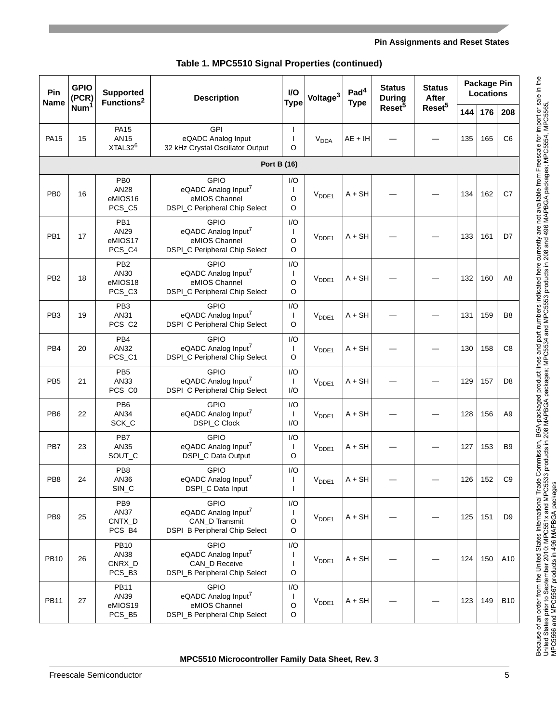### **Pin Assignments and Reset States**

|  | Table 1. MPC5510 Signal Properties (continued) |  |  |
|--|------------------------------------------------|--|--|
|--|------------------------------------------------|--|--|

| Pin<br><b>Name</b> | <b>GPIO</b><br>(PCR) | <b>Supported</b><br>Functions <sup>2</sup>          | <b>Description</b>                                                                                | I/O<br><b>Type</b>                        | Voltage <sup>3</sup>   | Pad <sup>4</sup><br><b>Type</b> | <b>Status</b><br><b>During</b> | <b>Status</b><br>After |     | <b>Package Pin</b><br><b>Locations</b> |                |
|--------------------|----------------------|-----------------------------------------------------|---------------------------------------------------------------------------------------------------|-------------------------------------------|------------------------|---------------------------------|--------------------------------|------------------------|-----|----------------------------------------|----------------|
|                    | Num <sup>1</sup>     |                                                     |                                                                                                   |                                           |                        |                                 | Reset <sup>5</sup>             | Reset <sup>5</sup>     | 144 | 176                                    | 208            |
| <b>PA15</b>        | 15                   | <b>PA15</b><br>AN15<br>XTAL32 <sup>6</sup>          | GPI<br>eQADC Analog Input<br>32 kHz Crystal Oscillator Output                                     | I<br>O                                    | <b>V<sub>DDA</sub></b> | $AE + IH$                       |                                |                        | 135 | 165                                    | C <sub>6</sub> |
|                    | Port B (16)          |                                                     |                                                                                                   |                                           |                        |                                 |                                |                        |     |                                        |                |
| PB <sub>0</sub>    | 16                   | PB <sub>0</sub><br><b>AN28</b><br>eMIOS16<br>PCS_C5 | <b>GPIO</b><br>eQADC Analog Input <sup>7</sup><br>eMIOS Channel<br>DSPI_C Peripheral Chip Select  | I/O<br>T<br>$\circ$<br>$\circ$            | $V_{\text{DDE1}}$      | $A + SH$                        |                                |                        | 134 | 162                                    | C7             |
| PB1                | 17                   | PB <sub>1</sub><br>AN29<br>eMIOS17<br>PCS_C4        | <b>GPIO</b><br>eQADC Analog Input7<br>eMIOS Channel<br>DSPI_C Peripheral Chip Select              | I/O<br>$\mathbf{I}$<br>$\circ$<br>$\circ$ | $V_{\text{DDE1}}$      | $A + SH$                        |                                |                        | 133 | 161                                    | D7             |
| PB <sub>2</sub>    | 18                   | PB <sub>2</sub><br>AN30<br>eMIOS18<br>PCS_C3        | <b>GPIO</b><br>eQADC Analog Input <sup>7</sup><br>eMIOS Channel<br>DSPI_C Peripheral Chip Select  | I/O<br>-1<br>O<br>O                       | $V_{\text{DDE1}}$      | $A + SH$                        |                                |                        | 132 | 160                                    | A <sub>8</sub> |
| PB <sub>3</sub>    | 19                   | PB <sub>3</sub><br>AN31<br>PCS_C2                   | <b>GPIO</b><br>eQADC Analog Input<br>DSPI_C Peripheral Chip Select                                | I/O<br>$\mathbf{I}$<br>O                  | V <sub>DE1</sub>       | $A + SH$                        |                                |                        | 131 | 159                                    | B <sub>8</sub> |
| PB4                | 20                   | PB <sub>4</sub><br>AN32<br>PCS_C1                   | <b>GPIO</b><br>eQADC Analog Input<br>DSPI_C Peripheral Chip Select                                | I/O<br>1<br>O                             | $V_{\text{DDE1}}$      | $A + SH$                        |                                |                        | 130 | 158                                    | C <sub>8</sub> |
| PB <sub>5</sub>    | 21                   | PB <sub>5</sub><br>AN33<br>PCS_C0                   | <b>GPIO</b><br>eQADC Analog Input<br>DSPI_C Peripheral Chip Select                                | I/O<br>$\mathbf{I}$<br>1/O                | V <sub>DE1</sub>       | $A + SH$                        |                                |                        | 129 | 157                                    | D <sub>8</sub> |
| PB <sub>6</sub>    | 22                   | PB <sub>6</sub><br>AN34<br>SCK_C                    | <b>GPIO</b><br>eQADC Analog Input<br>DSPI_C Clock                                                 | I/O<br>$\mathbf{I}$<br>1/O                | V <sub>DE1</sub>       | $A + SH$                        |                                |                        | 128 | 156                                    | A <sub>9</sub> |
| PB7                | 23                   | PB7<br>AN35<br>SOUT_C                               | <b>GPIO</b><br>eQADC Analog Input <sup>7</sup><br>DSPI_C Data Output                              | I/O<br>1<br>O                             | $V_{\text{DDE1}}$      | $A + SH$                        |                                |                        | 127 | 153                                    | B <sub>9</sub> |
| PB8                | 24                   | PB8<br>AN36<br>SIN_C                                | <b>GPIO</b><br>eQADC Analog Input <sup>7</sup><br>DSPI_C Data Input                               | I/O<br>I.                                 | V <sub>DE1</sub>       | $A + SH$                        |                                |                        | 126 | 152                                    | C <sub>9</sub> |
| PB <sub>9</sub>    | 25                   | PB <sub>9</sub><br><b>AN37</b><br>CNTX_D<br>PCS_B4  | <b>GPIO</b><br>eQADC Analog Input <sup>7</sup><br>CAN D Transmit<br>DSPI_B Peripheral Chip Select | I/O<br>J.<br>$\mathsf O$<br>O             | V <sub>DE1</sub>       | $A + SH$                        |                                |                        | 125 | 151                                    | D <sub>9</sub> |
| <b>PB10</b>        | 26                   | <b>PB10</b><br>AN38<br>CNRX_D<br>PCS_B3             | <b>GPIO</b><br>eQADC Analog Input <sup>7</sup><br>CAN_D Receive<br>DSPI_B Peripheral Chip Select  | I/O<br>I<br>I<br>$\circ$                  | V <sub>DE1</sub>       | $A + SH$                        |                                |                        | 124 | 150                                    | A10            |
| <b>PB11</b>        | 27                   | <b>PB11</b><br>AN39<br>eMIOS19<br>PCS_B5            | <b>GPIO</b><br>eQADC Analog Input <sup>7</sup><br>eMIOS Channel<br>DSPI_B Peripheral Chip Select  | I/O<br>J.<br>$\mathsf O$<br>O             | $V_{\text{DDE1}}$      | $A + SH$                        |                                |                        | 123 | 149                                    | <b>B10</b>     |

**MPC5510 Microcontroller Family Data Sheet, Rev. 3**

Because of an order from the United States International Trade Commission, BGA-packaged product lines and part numbers indicated here currently are not available from Freescale for import or sale in the<br>United States prior Because of an order from the United States International Trade Commission, BGA-packaged product numbers indicated here currently are not available from Freescale for import or sale in the United States prior to September 2010: MPC551x and MPC5533 products in 208 MAPBGA packages; MPC5534 and MPC5553 products in 208 and 496 MAPBGA packages; MPC5554, MPC5565, MPC5566 and MPC5567 products in 496 MAPBGA packages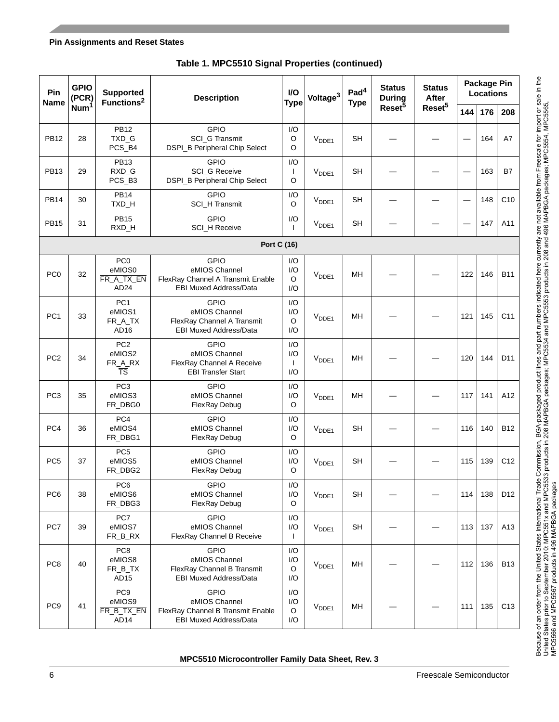| Pin<br><b>Name</b> | <b>GPIO</b><br>(PCR) | <b>Supported</b><br>Functions <sup>2</sup>                  | <b>Description</b>                                                                                 | I/O                               | Voltage <sup>3</sup> | Pad <sup>4</sup> | <b>Status</b><br><b>During</b> | <b>Status</b><br>After |     | Package Pin<br><b>Locations</b> |                 |  |
|--------------------|----------------------|-------------------------------------------------------------|----------------------------------------------------------------------------------------------------|-----------------------------------|----------------------|------------------|--------------------------------|------------------------|-----|---------------------------------|-----------------|--|
|                    | Num <sup>1</sup>     |                                                             |                                                                                                    | <b>Type</b>                       |                      | <b>Type</b>      | Reset <sup>5</sup>             | Reset <sup>5</sup>     | 144 | 176                             | 208             |  |
| <b>PB12</b>        | 28                   | <b>PB12</b><br>TXD_G<br>PCS_B4                              | <b>GPIO</b><br><b>SCI_G Transmit</b><br>DSPI_B Peripheral Chip Select                              | I/O<br>O<br>$\circ$               | $V_{\text{DDE1}}$    | <b>SH</b>        |                                |                        |     | 164                             | A7              |  |
| <b>PB13</b>        | 29                   | <b>PB13</b><br>RXD_G<br>PCS_B3                              | <b>GPIO</b><br><b>SCI_G Receive</b><br>DSPI_B Peripheral Chip Select                               | I/O<br>$\mathbf{I}$<br>$\circ$    | $V_{\text{DDE1}}$    | <b>SH</b>        |                                |                        |     | 163                             | <b>B7</b>       |  |
| <b>PB14</b>        | 30                   | <b>PB14</b><br>TXD_H                                        | <b>GPIO</b><br>SCI_H Transmit                                                                      | I/O<br>O                          | $V_{\text{DDE1}}$    | <b>SH</b>        |                                |                        |     | 148                             | C10             |  |
| <b>PB15</b>        | 31                   | <b>PB15</b><br>RXD_H                                        | <b>GPIO</b><br><b>SCI_H Receive</b>                                                                | I/O<br>$\mathbf{I}$               | $V_{\text{DDE1}}$    | <b>SH</b>        |                                |                        |     | 147                             | A11             |  |
| <b>Port C (16)</b> |                      |                                                             |                                                                                                    |                                   |                      |                  |                                |                        |     |                                 |                 |  |
| PC <sub>0</sub>    | 32                   | PC <sub>0</sub><br>eMIOS0<br>FR_A_TX_EN<br>AD <sub>24</sub> | <b>GPIO</b><br>eMIOS Channel<br>FlexRay Channel A Transmit Enable<br><b>EBI Muxed Address/Data</b> | I/O<br>I/O<br>$\circ$<br>I/O      | $V_{\text{DDE1}}$    | MH               |                                |                        | 122 | 146                             | <b>B11</b>      |  |
| PC <sub>1</sub>    | 33                   | PC <sub>1</sub><br>eMIOS1<br>FR_A_TX<br>AD16                | <b>GPIO</b><br>eMIOS Channel<br>FlexRay Channel A Transmit<br><b>EBI Muxed Address/Data</b>        | I/O<br>I/O<br>O<br>I/O            | $V_{\text{DDE1}}$    | MH               |                                |                        | 121 | 145                             | C <sub>11</sub> |  |
| PC <sub>2</sub>    | 34                   | PC <sub>2</sub><br>eMIOS2<br>FR_A_RX<br>TS                  | <b>GPIO</b><br>eMIOS Channel<br>FlexRay Channel A Receive<br><b>EBI Transfer Start</b>             | I/O<br>I/O<br>$\mathbf{I}$<br>I/O | $V_{\text{DDE1}}$    | MН               |                                |                        | 120 | 144                             | D <sub>11</sub> |  |
| PC <sub>3</sub>    | 35                   | PC <sub>3</sub><br>eMIOS3<br>FR_DBG0                        | <b>GPIO</b><br>eMIOS Channel<br>FlexRay Debug                                                      | I/O<br>I/O<br>O                   | $V_{\text{DDE1}}$    | MH               |                                |                        | 117 | 141                             | A12             |  |
| PC <sub>4</sub>    | 36                   | PC4<br>eMIOS4<br>FR_DBG1                                    | <b>GPIO</b><br>eMIOS Channel<br>FlexRay Debug                                                      | I/O<br>I/O<br>O                   | $V_{\text{DDE1}}$    | <b>SH</b>        |                                |                        | 116 | 140                             | <b>B12</b>      |  |
| PC <sub>5</sub>    | 37                   | PC <sub>5</sub><br>eMIOS5<br>FR_DBG2                        | <b>GPIO</b><br>eMIOS Channel<br>FlexRay Debug                                                      | I/O<br>I/O<br>O                   | $V_{DDE1}$           | <b>SH</b>        |                                |                        | 115 | 139                             | C <sub>12</sub> |  |
| PC6                | 38                   | PC <sub>6</sub><br>eMIOS6<br>FR_DBG3                        | <b>GPIO</b><br>eMIOS Channel<br>FlexRay Debug                                                      | 1/O<br>I/O<br>O                   | $V_{\text{DDE1}}$    | SH               |                                |                        | 114 | 138                             | D12             |  |
| PC7                | 39                   | PC7<br>eMIOS7<br>FR_B_RX                                    | <b>GPIO</b><br>eMIOS Channel<br>FlexRay Channel B Receive                                          | I/O<br>I/O<br>$\mathbf{I}$        | $V_{\text{DDE1}}$    | SH               |                                |                        | 113 | 137                             | A13             |  |
| PC8                | 40                   | PC <sub>8</sub><br>eMIOS8<br>FR_B_TX<br>AD <sub>15</sub>    | <b>GPIO</b><br>eMIOS Channel<br>FlexRay Channel B Transmit<br><b>EBI Muxed Address/Data</b>        | I/O<br>I/O<br>O<br>I/O            | $V_{\text{DDE1}}$    | MH               |                                |                        | 112 | 136                             | <b>B13</b>      |  |
| PC <sub>9</sub>    | 41                   | PC <sub>9</sub><br>eMIOS9<br>FR_B_TX_EN<br>AD <sub>14</sub> | <b>GPIO</b><br>eMIOS Channel<br>FlexRay Channel B Transmit Enable<br><b>EBI Muxed Address/Data</b> | I/O<br>I/O<br>O<br>I/O            | $V_{\text{DDE1}}$    | MH               |                                |                        | 111 | 135                             | C <sub>13</sub> |  |

|  | Table 1. MPC5510 Signal Properties (continued) |
|--|------------------------------------------------|
|--|------------------------------------------------|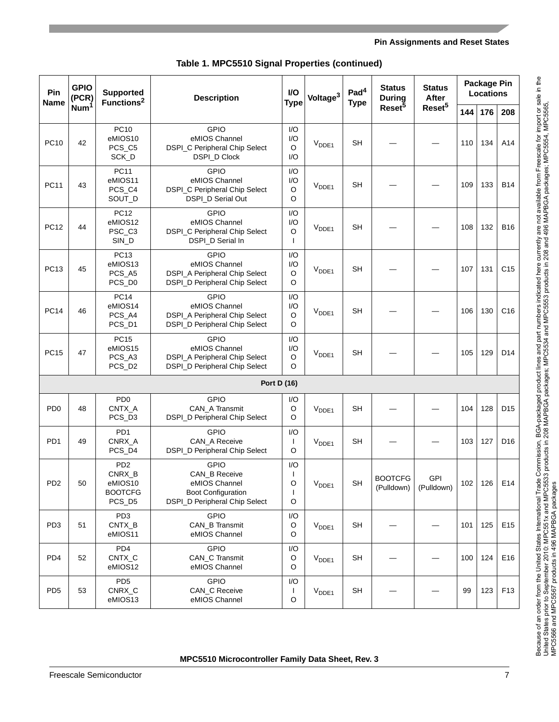| Pin<br><b>Name</b>          | <b>GPIO</b><br>(PCR) | <b>Supported</b><br>Functions <sup>2</sup>                       | <b>Description</b>                                                                                          | I/O<br><b>Type</b>            | Voltage <sup>3</sup> | Pad <sup>4</sup><br><b>Type</b> | <b>Status</b><br><b>During</b> | <b>Status</b><br>After   | <b>Package Pin</b><br><b>Locations</b> |         |                 |
|-----------------------------|----------------------|------------------------------------------------------------------|-------------------------------------------------------------------------------------------------------------|-------------------------------|----------------------|---------------------------------|--------------------------------|--------------------------|----------------------------------------|---------|-----------------|
|                             | Num <sup>1</sup>     |                                                                  |                                                                                                             |                               |                      |                                 | Reset <sup>5</sup>             | Reset <sup>5</sup>       | 144                                    | 176     | 208             |
| <b>PC10</b>                 | 42                   | <b>PC10</b><br>eMIOS10<br>PCS_C5<br>SCK_D                        | <b>GPIO</b><br>eMIOS Channel<br>DSPI_C Peripheral Chip Select<br>DSPI_D Clock                               | I/O<br>I/O<br>O<br>1/O        | $V_{\text{DDE1}}$    | <b>SH</b>                       |                                |                          | 110                                    | 134     | A14             |
| <b>PC11</b>                 | 43                   | <b>PC11</b><br>eMIOS11<br>PCS_C4<br>SOUT_D                       | <b>GPIO</b><br>eMIOS Channel<br>DSPI_C Peripheral Chip Select<br>DSPI_D Serial Out                          | 1/O<br>I/O<br>$\circ$<br>O    | $V_{\text{DDE1}}$    | <b>SH</b>                       |                                |                          | 109                                    | 133     | <b>B14</b>      |
| PC12                        | 44                   | <b>PC12</b><br>eMIOS12<br>PSC_C3<br>SIN_D                        | <b>GPIO</b><br>eMIOS Channel<br>DSPI_C Peripheral Chip Select<br>DSPI_D Serial In                           | I/O<br>I/O<br>$\circ$         | $V_{\text{DDE1}}$    | <b>SH</b>                       |                                |                          | 108                                    | 132     | <b>B16</b>      |
| PC13                        | 45                   | <b>PC13</b><br>eMIOS13<br>PCS_A5<br>PCS_D0                       | <b>GPIO</b><br>eMIOS Channel<br>DSPI_A Peripheral Chip Select<br><b>DSPI D Peripheral Chip Select</b>       | I/O<br>I/O<br>$\circ$<br>O    | $V_{\text{DDE1}}$    | SH                              |                                |                          | 107                                    | 131     | C <sub>15</sub> |
| <b>PC14</b>                 | 46                   | <b>PC14</b><br>eMIOS14<br>PCS_A4<br>PCS D1                       | <b>GPIO</b><br>eMIOS Channel<br>DSPI_A Peripheral Chip Select<br>DSPI_D Peripheral Chip Select              | I/O<br>I/O<br>$\circ$<br>O    | $V_{\text{DDE1}}$    | <b>SH</b>                       |                                |                          | 106                                    | 130     | C <sub>16</sub> |
| <b>PC15</b>                 | 47                   | <b>PC15</b><br>eMIOS15<br>PCS_A3<br>PCS_D <sub>2</sub>           | <b>GPIO</b><br>eMIOS Channel<br>DSPI_A Peripheral Chip Select<br>DSPI_D Peripheral Chip Select              | I/O<br>I/O<br>O<br>$\circ$    | $V_{\text{DDE1}}$    | <b>SH</b>                       |                                |                          | 105                                    | 129     | D <sub>14</sub> |
|                             |                      |                                                                  | Port D (16)                                                                                                 |                               |                      |                                 |                                |                          |                                        |         |                 |
| P <sub>D</sub> <sub>0</sub> | 48                   | PD <sub>0</sub><br>CNTX_A<br>PCS_D3                              | <b>GPIO</b><br>CAN_A Transmit<br>DSPI_D Peripheral Chip Select                                              | I/O<br>$\circ$<br>$\circ$     | V <sub>DDE1</sub>    | <b>SH</b>                       |                                |                          | 104                                    | 128     | D <sub>15</sub> |
| PD <sub>1</sub>             | 49                   | PD <sub>1</sub><br>CNRX_A<br>PCS_D4                              | <b>GPIO</b><br>CAN_A Receive<br>DSPI_D Peripheral Chip Select                                               | I/O<br>1<br>$\circ$           | V <sub>DE1</sub>     | <b>SH</b>                       |                                |                          | 103                                    | 127     | D <sub>16</sub> |
| PD <sub>2</sub>             | 50                   | PD <sub>2</sub><br>CNRX_B<br>eMIOS10<br><b>BOOTCFG</b><br>PCS_D5 | <b>GPIO</b><br>CAN_B Receive<br>eMIOS Channel<br><b>Boot Configuration</b><br>DSPI_D Peripheral Chip Select | I/O<br>O<br>$\mathbf{I}$<br>O | $V_{\text{DDE1}}$    | SH                              | <b>BOOTCFG</b><br>(Pulldown)   | <b>GPI</b><br>(Pulldown) |                                        | 102 126 | E14             |
| PD <sub>3</sub>             | 51                   | PD <sub>3</sub><br>CNTX_B<br>eMIOS11                             | <b>GPIO</b><br>CAN_B Transmit<br>eMIOS Channel                                                              | I/O<br>$\circ$<br>O           | $V_{\text{DDE1}}$    | SH                              |                                |                          | 101                                    | 125     | E15             |
| PD4                         | 52                   | PD4<br>CNTX_C<br>eMIOS12                                         | <b>GPIO</b><br>CAN_C Transmit<br>eMIOS Channel                                                              | I/O<br>O<br>O                 | $V_{\text{DDE1}}$    | SH                              |                                |                          | 100                                    | 124     | E16             |
| PD <sub>5</sub>             | 53                   | PD <sub>5</sub><br>CNRX_C<br>eMIOS13                             | <b>GPIO</b><br><b>CAN_C Receive</b><br>eMIOS Channel                                                        | I/O<br>J.<br>$\circ$          | $V_{\text{DDE1}}$    | SH                              |                                |                          | 99                                     | 123     | F13             |

Because of an order from the United States International Trade Commission, BGA-packaged product lines and part numbers indicated here currently are not available from Freescale for import or sale in the<br>United States prior Because of an order from the United States International Trade Commission, BGA-packaged product numbers indicated here currently are not available from Freescale for import or sale in the United States prior to September 2010: MPC551x and MPC5533 products in 208 MAPBGA packages; MPC5534 and MPC5553 products in 208 and 496 MAPBGA packages; MPC5554, MPC5565, MPC5566 and MPC5567 products in 496 MAPBGA packages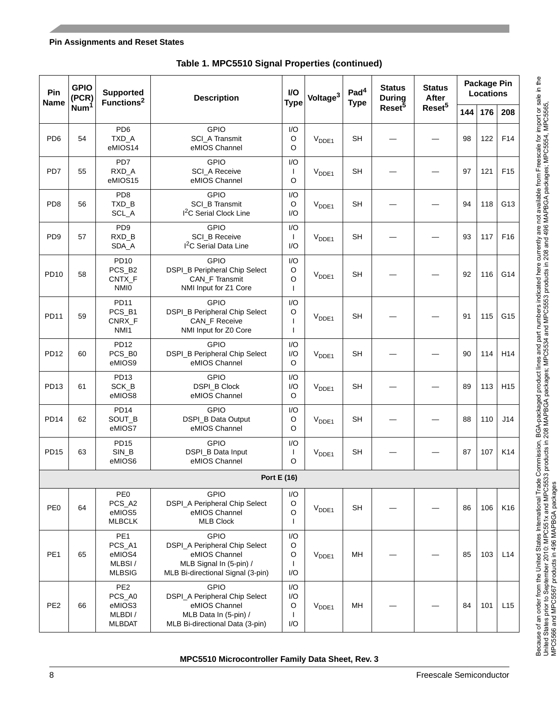| Pin<br><b>Name</b> | <b>GPIO</b><br>(PCR) | <b>Supported</b><br>Functions <sup>2</sup>                     | <b>Description</b>                                                                                                            | I/O<br><b>Type</b>                     | Voltage <sup>3</sup> | <b>Status</b><br>Pad <sup>4</sup><br><b>During</b><br><b>Type</b> |  | <b>Status</b><br>After<br>Reset <sup>5</sup><br>Reset <sup>5</sup><br>98<br>97<br>91<br>90<br>89<br>88<br>87 | Package Pin<br><b>Locations</b> |     |                 |
|--------------------|----------------------|----------------------------------------------------------------|-------------------------------------------------------------------------------------------------------------------------------|----------------------------------------|----------------------|-------------------------------------------------------------------|--|--------------------------------------------------------------------------------------------------------------|---------------------------------|-----|-----------------|
|                    | Num <sup>1</sup>     |                                                                |                                                                                                                               |                                        |                      |                                                                   |  |                                                                                                              | 144                             | 176 | 208             |
| PD <sub>6</sub>    | 54                   | PD <sub>6</sub><br>TXD_A<br>eMIOS14                            | <b>GPIO</b><br><b>SCI_A Transmit</b><br>eMIOS Channel                                                                         | I/O<br>O<br>$\circ$                    | $V_{\text{DDE1}}$    | <b>SH</b>                                                         |  |                                                                                                              |                                 | 122 | F14             |
| PD7                | 55                   | PD <sub>7</sub><br>RXD_A<br>eMIOS15                            | <b>GPIO</b><br><b>SCI_A Receive</b><br>eMIOS Channel                                                                          | I/O<br>$\mathbf{I}$<br>$\circ$         | $V_{\text{DDE1}}$    | <b>SH</b>                                                         |  |                                                                                                              |                                 | 121 | F <sub>15</sub> |
| PD <sub>8</sub>    | 56                   | PD <sub>8</sub><br>TXD_B<br>SCL_A                              | <b>GPIO</b><br><b>SCI_B Transmit</b><br>I <sup>2</sup> C Serial Clock Line                                                    | I/O<br>O<br>I/O                        | $V_{\text{DDE1}}$    | <b>SH</b>                                                         |  |                                                                                                              | 94                              | 118 | G13             |
| PD <sub>9</sub>    | 57                   | PD <sub>9</sub><br>RXD_B<br>SDA_A                              | <b>GPIO</b><br><b>SCI_B Receive</b><br>I <sup>2</sup> C Serial Data Line                                                      | I/O<br>$\mathbf{I}$<br>I/O             | $V_{\text{DDE1}}$    | <b>SH</b>                                                         |  |                                                                                                              | 93                              | 117 | F <sub>16</sub> |
| PD <sub>10</sub>   | 58                   | <b>PD10</b><br>PCS_B2<br>CNTX_F<br>NMI0                        | <b>GPIO</b><br>DSPI_B Peripheral Chip Select<br>CAN_F Transmit<br>NMI Input for Z1 Core                                       | I/O<br>O<br>$\circ$<br>ı               | $V_{\text{DDE1}}$    | <b>SH</b>                                                         |  |                                                                                                              | 92                              | 116 | G14             |
| <b>PD11</b>        | 59                   | <b>PD11</b><br>PCS_B1<br>CNRX_F<br>NMI1                        | <b>GPIO</b><br>DSPI_B Peripheral Chip Select<br><b>CAN_F Receive</b><br>NMI Input for Z0 Core                                 | I/O<br>O<br>ı<br>I.                    | $V_{\text{DDE1}}$    | <b>SH</b>                                                         |  |                                                                                                              |                                 | 115 | G15             |
| <b>PD12</b>        | 60                   | <b>PD12</b><br>PCS_B0<br>eMIOS9                                | <b>GPIO</b><br>DSPI_B Peripheral Chip Select<br>eMIOS Channel                                                                 | I/O<br>I/O<br>O                        | $V_{\text{DDE1}}$    | <b>SH</b>                                                         |  |                                                                                                              |                                 | 114 | H <sub>14</sub> |
| PD13               | 61                   | PD <sub>13</sub><br>SCK_B<br>eMIOS8                            | <b>GPIO</b><br>DSPI_B Clock<br>eMIOS Channel                                                                                  | I/O<br>I/O<br>O                        | V <sub>DE1</sub>     | <b>SH</b>                                                         |  |                                                                                                              |                                 | 113 | H <sub>15</sub> |
| <b>PD14</b>        | 62                   | <b>PD14</b><br>SOUT_B<br>eMIOS7                                | <b>GPIO</b><br>DSPI_B Data Output<br>eMIOS Channel                                                                            | I/O<br>O<br>O                          | $V_{\text{DDE1}}$    | <b>SH</b>                                                         |  |                                                                                                              |                                 | 110 | J14             |
| <b>PD15</b>        | 63                   | <b>PD15</b><br>SIN_B<br>eMIOS6                                 | <b>GPIO</b><br>DSPI_B Data Input<br>eMIOS Channel                                                                             | I/O<br>T<br>O                          | $V_{\text{DDE1}}$    | <b>SH</b>                                                         |  |                                                                                                              |                                 | 107 | K14             |
|                    |                      |                                                                | Port E (16)                                                                                                                   |                                        |                      |                                                                   |  |                                                                                                              |                                 |     |                 |
| PE <sub>0</sub>    | 64                   | PE <sub>0</sub><br>PCS_A2<br>eMIOS5<br><b>MLBCLK</b>           | <b>GPIO</b><br>DSPI_A Peripheral Chip Select<br>eMIOS Channel<br><b>MLB Clock</b>                                             | I/O<br>$\mathsf O$<br>$\circ$<br>ı     | $V_{\text{DDE1}}$    | <b>SH</b>                                                         |  |                                                                                                              | 86                              | 106 | K <sub>16</sub> |
| PE <sub>1</sub>    | 65                   | PE <sub>1</sub><br>PCS_A1<br>eMIOS4<br>MLBSI/<br><b>MLBSIG</b> | <b>GPIO</b><br>DSPI_A Peripheral Chip Select<br>eMIOS Channel<br>MLB Signal In (5-pin) /<br>MLB Bi-directional Signal (3-pin) | I/O<br>O<br>O<br>$\mathbf{I}$<br>I/O   | $V_{\text{DDE1}}$    | MН                                                                |  |                                                                                                              | 85                              | 103 | L14             |
| PE <sub>2</sub>    | 66                   | PE <sub>2</sub><br>PCS_A0<br>eMIOS3<br>MLBDI/<br><b>MLBDAT</b> | <b>GPIO</b><br>DSPI_A Peripheral Chip Select<br>eMIOS Channel<br>MLB Data In (5-pin) /<br>MLB Bi-directional Data (3-pin)     | I/O<br>I/O<br>O<br>$\mathbf{I}$<br>I/O | $V_{\text{DDE1}}$    | MН                                                                |  |                                                                                                              | 84                              | 101 | L15             |

**Table 1. MPC5510 Signal Properties (continued)**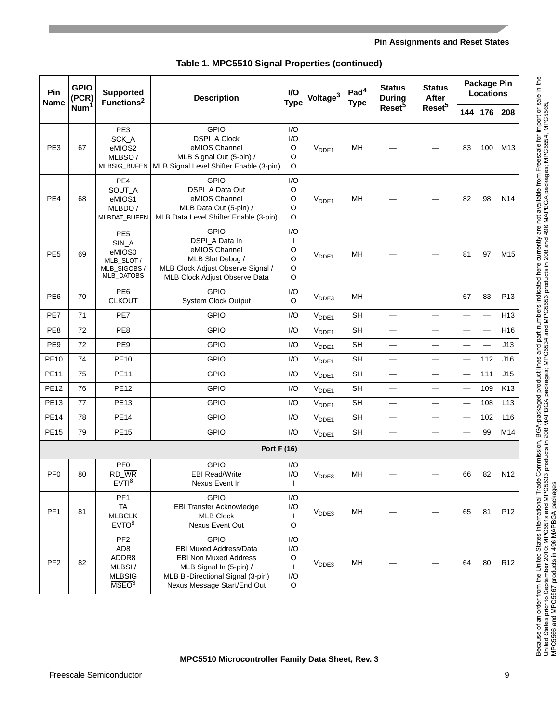| Pin<br><b>Name</b> | <b>GPIO</b><br>(PCR) | <b>Supported</b><br>Functions <sup>2</sup>                                                  | <b>Description</b>                                                                                                                                                          | I/O<br><b>Type</b>                            | Voltage <sup>3</sup> | Pad <sup>4</sup> | <b>Status</b><br><b>During</b> | <b>Status</b><br>After   |                          | Package Pin<br><b>Locations</b> |                 |
|--------------------|----------------------|---------------------------------------------------------------------------------------------|-----------------------------------------------------------------------------------------------------------------------------------------------------------------------------|-----------------------------------------------|----------------------|------------------|--------------------------------|--------------------------|--------------------------|---------------------------------|-----------------|
|                    | Num <sup>1</sup>     |                                                                                             |                                                                                                                                                                             |                                               |                      | <b>Type</b>      | Reset <sup>5</sup>             | Reset <sup>5</sup>       | 144                      | 176                             | 208             |
| PE3                | 67                   | PE3<br>SCK_A<br>eMIOS2<br>MLBSO/<br><b>MLBSIG BUFEN</b>                                     | <b>GPIO</b><br>DSPI_A Clock<br>eMIOS Channel<br>MLB Signal Out (5-pin) /<br>MLB Signal Level Shifter Enable (3-pin)                                                         | I/O<br>I/O<br>O<br>$\circ$<br>O               | V <sub>DE1</sub>     | MH               |                                |                          | 83                       | 100                             | M13             |
| PE4                | 68                   | PE4<br>SOUT A<br>eMIOS1<br>MLBDO /<br>MLBDAT_BUFEN                                          | <b>GPIO</b><br>DSPI A Data Out<br>eMIOS Channel<br>MLB Data Out (5-pin) /<br>MLB Data Level Shifter Enable (3-pin)                                                          | I/O<br>O<br>O<br>O<br>O                       | $V_{\text{DDE1}}$    | MH               |                                |                          | 82                       | 98                              | N <sub>14</sub> |
| PE <sub>5</sub>    | 69                   | PE <sub>5</sub><br>SIN_A<br>eMIOS0<br>MLB SLOT /<br>MLB_SIGOBS /<br>MLB_DATOBS              | GPIO<br>DSPI_A Data In<br>eMIOS Channel<br>MLB Slot Debug /<br>MLB Clock Adjust Observe Signal /<br>MLB Clock Adjust Observe Data                                           | I/O<br>$\mathbf{I}$<br>O<br>O<br>O<br>$\circ$ | $V_{\text{DDE1}}$    | MН               |                                |                          | 81                       | 97                              | M <sub>15</sub> |
| PE <sub>6</sub>    | 70                   | PE <sub>6</sub><br><b>CLKOUT</b>                                                            | GPIO<br>System Clock Output                                                                                                                                                 | I/O<br>$\circ$                                | V <sub>DE3</sub>     | MH               |                                |                          | 67                       | 83                              | P <sub>13</sub> |
| PE7                | 71                   | PE7                                                                                         | <b>GPIO</b>                                                                                                                                                                 |                                               | $V_{\text{DDE1}}$    | <b>SH</b>        | $\overline{\phantom{0}}$       | $\equiv$                 | $\overline{\phantom{0}}$ | $\overline{\phantom{0}}$        | H <sub>13</sub> |
| PE8                | 72                   | PE8                                                                                         | GPIO                                                                                                                                                                        |                                               | $V_{\text{DDE1}}$    | <b>SH</b>        |                                | $\overline{\phantom{0}}$ | $\overline{\phantom{0}}$ |                                 | H <sub>16</sub> |
| PE <sub>9</sub>    | 72                   | PE9                                                                                         | GPIO                                                                                                                                                                        | I/O                                           | $V_{\text{DDE1}}$    | <b>SH</b>        | $\equiv$                       | —                        | $\overline{\phantom{0}}$ |                                 | J13             |
| <b>PE10</b>        | 74                   | <b>PE10</b>                                                                                 | <b>GPIO</b>                                                                                                                                                                 | I/O                                           | $V_{\text{DDE1}}$    | <b>SH</b>        | $\overline{\phantom{0}}$       | —                        | $\overline{\phantom{0}}$ | 112                             | J16             |
| <b>PE11</b>        | 75                   | <b>PE11</b>                                                                                 | GPIO                                                                                                                                                                        | I/O                                           | $V_{\text{DDE1}}$    | <b>SH</b>        | $\equiv$                       | $\equiv$                 | $\overline{\phantom{0}}$ | 111                             | J15             |
| <b>PE12</b>        | 76                   | <b>PE12</b>                                                                                 | GPIO                                                                                                                                                                        | 1/O                                           | V <sub>DDE1</sub>    | <b>SH</b>        | $\equiv$                       | —                        | $\overline{\phantom{0}}$ | 109                             | K <sub>13</sub> |
| <b>PE13</b>        | 77                   | <b>PE13</b>                                                                                 | <b>GPIO</b>                                                                                                                                                                 | I/O                                           | $V_{\text{DDE1}}$    | <b>SH</b>        | $\overline{\phantom{0}}$       | $\overline{\phantom{0}}$ | $\overline{\phantom{0}}$ | 108                             | L13             |
| <b>PE14</b>        | 78                   | <b>PE14</b>                                                                                 | GPIO                                                                                                                                                                        | I/O                                           | $V_{\text{DDE1}}$    | <b>SH</b>        | $\overline{\phantom{0}}$       | $\overline{\phantom{0}}$ | $\qquad \qquad$          | 102                             | L16             |
| <b>PE15</b>        | 79                   | <b>PE15</b>                                                                                 | GPIO                                                                                                                                                                        | 1/O                                           | $V_{\text{DDE1}}$    | <b>SH</b>        |                                | $\overline{\phantom{0}}$ | —<br>—                   | 99                              | M14             |
|                    |                      |                                                                                             | <b>Port F (16)</b>                                                                                                                                                          |                                               |                      |                  |                                |                          |                          |                                 |                 |
| PF <sub>0</sub>    | 80                   | PF <sub>0</sub><br>RD_WR<br>EVTI <sup>8</sup>                                               | <b>GPIO</b><br><b>EBI Read/Write</b><br>Nexus Event In                                                                                                                      | I/O<br>1/O                                    | V <sub>DDE3</sub>    | <b>MH</b>        |                                |                          | 66                       | 82                              | N <sub>12</sub> |
| PF <sub>1</sub>    | 81                   | PF <sub>1</sub><br><b>TA</b><br><b>MLBCLK</b><br>EVTO <sup>8</sup>                          | <b>GPIO</b><br>EBI Transfer Acknowledge<br><b>MLB Clock</b><br>Nexus Event Out                                                                                              | I/O<br>I/O<br>$\mathbf{I}$<br>O               | V <sub>DDE3</sub>    | MН               |                                |                          | 65                       | 81                              | P <sub>12</sub> |
| PF <sub>2</sub>    | 82                   | PF <sub>2</sub><br>AD <sub>8</sub><br>ADDR8<br>MLBSI/<br><b>MLBSIG</b><br>MSEO <sup>8</sup> | <b>GPIO</b><br><b>EBI Muxed Address/Data</b><br><b>EBI Non Muxed Address</b><br>MLB Signal In (5-pin) /<br>MLB Bi-Directional Signal (3-pin)<br>Nexus Message Start/End Out | I/O<br>I/O<br>O<br>$\mathbf{I}$<br>I/O<br>O   | V <sub>DE3</sub>     | MH               |                                |                          | 64                       | 80                              | R <sub>12</sub> |

| Table 1. MPC5510 Signal Properties (continued) |  |  |
|------------------------------------------------|--|--|
|------------------------------------------------|--|--|

#### **MPC5510 Microcontroller Family Data Sheet, Rev. 3**

Because of an order from the United States International Trade Commission, BGA-packaged product lines and part numbers indicated here currently are not available from Freescale for import or sale in the<br>United States prior Because of an order from the United States International Trade Commission, BGA-packaged product numbers indicated here currently are not available from Freescale for import or sale in the United States prior to September 2010: MPC551x and MPC5533 products in 208 MAPBGA packages; MPC5534 and MPC5553 products in 208 and 496 MAPBGA packages; MPC5554, MPC5565, MPC5566 and MPC5567 products in 496 MAPBGA packages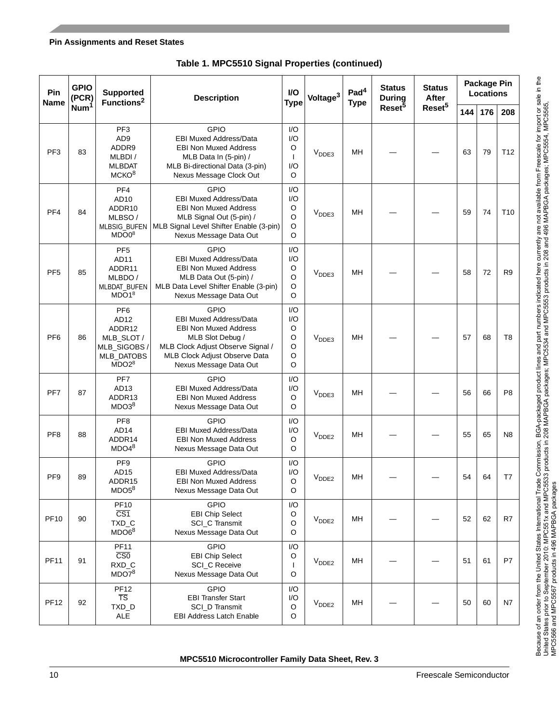#### **Pin Assignments and Reset States**

| Pin<br><b>Name</b> | <b>GPIO</b><br>(PCR) | <b>Supported</b><br>Functions <sup>2</sup>                                                        | <b>Description</b>                                                                                                                                                                                         | <b>VO</b><br><b>Type</b>                    | Voltage <sup>3</sup> | Pad <sup>4</sup><br><b>Type</b> | <b>Status</b><br><b>During</b> | <b>Status</b><br>After |     | <b>Package Pin</b><br><b>Locations</b> |                 |  |  |
|--------------------|----------------------|---------------------------------------------------------------------------------------------------|------------------------------------------------------------------------------------------------------------------------------------------------------------------------------------------------------------|---------------------------------------------|----------------------|---------------------------------|--------------------------------|------------------------|-----|----------------------------------------|-----------------|--|--|
|                    | Num <sup>1</sup>     |                                                                                                   |                                                                                                                                                                                                            |                                             |                      |                                 | Reset <sup>5</sup>             | Reset <sup>5</sup>     | 144 | 176                                    | 208             |  |  |
| PF <sub>3</sub>    | 83                   | PF <sub>3</sub><br>AD9<br>ADDR9<br>MLBDI/<br><b>MLBDAT</b><br>MCKO <sup>8</sup>                   | <b>GPIO</b><br><b>EBI Muxed Address/Data</b><br><b>EBI Non Muxed Address</b><br>MLB Data In (5-pin) /<br>MLB Bi-directional Data (3-pin)<br>Nexus Message Clock Out                                        | 1/O<br>I/O<br>O<br>$\mathbf{I}$<br>1/O<br>O | V <sub>DE3</sub>     | MH                              |                                |                        | 63  | 79                                     | T <sub>12</sub> |  |  |
| PF4                | 84                   | PF4<br>AD10<br>ADDR10<br>MLBSO/<br>MLBSIG_BUFEN<br>MDOO <sup>8</sup>                              | <b>GPIO</b><br><b>EBI Muxed Address/Data</b><br><b>EBI Non Muxed Address</b><br>MLB Signal Out (5-pin) /<br>MLB Signal Level Shifter Enable (3-pin)<br>Nexus Message Data Out<br><b>GPIO</b>               |                                             | V <sub>DE3</sub>     | MH                              |                                |                        | 59  | 74                                     | T <sub>10</sub> |  |  |
| PF <sub>5</sub>    | 85                   | PF <sub>5</sub><br>AD11<br>ADDR11<br>MLBDO/<br><b>MLBDAT BUFEN</b><br>MDO1 <sup>8</sup>           | <b>EBI Muxed Address/Data</b><br><b>EBI Non Muxed Address</b><br>MLB Data Out (5-pin) /<br>MLB Data Level Shifter Enable (3-pin)<br>Nexus Message Data Out<br><b>GPIO</b><br><b>EBI Muxed Address/Data</b> |                                             | V <sub>DE3</sub>     | MH                              |                                |                        | 58  | 72                                     | R <sub>9</sub>  |  |  |
| PF <sub>6</sub>    | 86                   | PF <sub>6</sub><br>AD12<br>ADDR12<br>MLB_SLOT /<br>MLB_SIGOBS/<br>MLB_DATOBS<br>MDO2 <sup>8</sup> | <b>EBI Non Muxed Address</b><br>MLB Slot Debug /<br>MLB Clock Adjust Observe Signal /<br>MLB Clock Adjust Observe Data<br>Nexus Message Data Out                                                           | 1/O<br>I/O<br>O<br>$\circ$<br>O<br>O<br>O   | V <sub>DDE3</sub>    | MH                              |                                |                        | 57  | 68                                     | T <sub>8</sub>  |  |  |
| PF7                | 87                   | PF7<br>AD13<br>ADDR13<br>MDO3 <sup>8</sup>                                                        | GPIO<br><b>EBI Muxed Address/Data</b><br><b>EBI Non Muxed Address</b><br>Nexus Message Data Out                                                                                                            |                                             | V <sub>DDE3</sub>    | MH                              |                                |                        | 56  | 66                                     | P <sub>8</sub>  |  |  |
| PF <sub>8</sub>    | 88                   | PF <sub>8</sub><br>AD <sub>14</sub><br>ADDR14<br>MDO4 <sup>8</sup>                                | <b>GPIO</b><br><b>EBI Muxed Address/Data</b><br><b>EBI Non Muxed Address</b><br>Nexus Message Data Out                                                                                                     | 1/O<br>1/O<br>O<br>$\circ$                  | $V_{\text{DDE2}}$    | MH                              |                                |                        | 55  | 65                                     | N <sub>8</sub>  |  |  |
| PF <sub>9</sub>    | 89                   | PF <sub>9</sub><br>AD15<br>ADDR15<br>MDO <sub>5</sub> °                                           | <b>GPIO</b><br><b>EBI Muxed Address/Data</b><br><b>EBI Non Muxed Address</b><br>Nexus Message Data Out                                                                                                     | 1/O<br>I/O<br>$\circ$<br>O                  | $V_{\text{DDE2}}$    | <b>MH</b>                       |                                |                        | 54  | 64                                     | T7              |  |  |
| <b>PF10</b>        | 90                   | <b>PF10</b><br>$\overline{\text{CS1}}$<br>TXD C<br>MDO6 <sup>8</sup>                              | <b>GPIO</b><br><b>EBI Chip Select</b><br>SCI_C Transmit<br>Nexus Message Data Out                                                                                                                          | I/O<br>O<br>$\mathsf O$<br>O                | $V_{\text{DDE2}}$    | MH                              |                                |                        | 52  | 62                                     | R7              |  |  |
| <b>PF11</b>        | 91                   | <b>PF11</b><br>$\overline{\text{CS}0}$<br>RXD_C<br>MDO7 <sup>8</sup>                              | <b>GPIO</b><br><b>EBI Chip Select</b><br><b>SCI_C Receive</b><br>Nexus Message Data Out                                                                                                                    | I/O<br>O<br>T<br>$\circ$                    | $V_{\text{DDE2}}$    | <b>MH</b>                       |                                |                        | 51  | 61                                     | P7              |  |  |
| <b>PF12</b>        | 92                   | <b>PF12</b><br>$\overline{\text{TS}}$<br>TXD_D<br>ALE                                             | <b>GPIO</b><br><b>EBI Transfer Start</b><br>SCI_D Transmit<br>EBI Address Latch Enable                                                                                                                     | I/O<br>I/O<br>O<br>O                        | $V_{\text{DDE2}}$    | MH                              |                                |                        | 50  | 60                                     | N7              |  |  |

| Table 1. MPC5510 Signal Properties (continued) |  |  |
|------------------------------------------------|--|--|
|------------------------------------------------|--|--|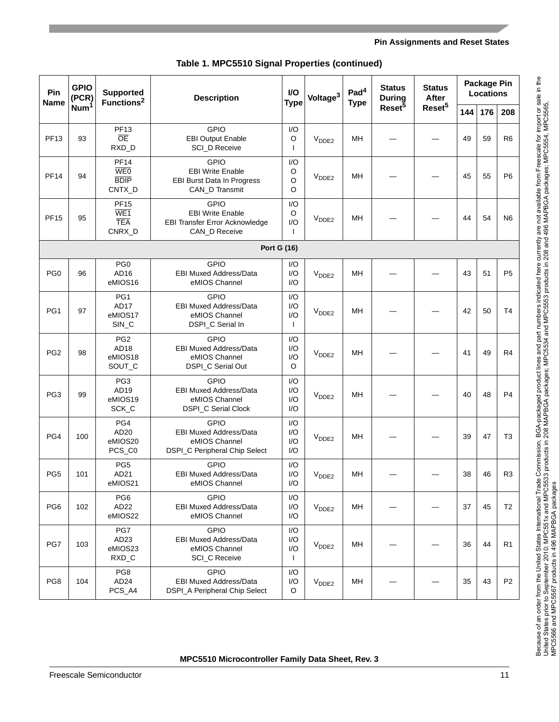| <b>GPIO</b><br>Pin<br>(PCR)<br><b>Name</b><br>Num <sup>1</sup> | <b>Supported</b><br>Functions <sup>2</sup> | <b>Description</b>                                       | <b>I/O</b><br><b>Type</b>                                                                                                                               | Voltage <sup>3</sup>              | Pad <sup>4</sup>  | <b>Status</b><br><b>During</b>                                                         | <b>Status</b><br>After |                    | <b>Package Pin</b><br><b>Locations</b> |     |                |
|----------------------------------------------------------------|--------------------------------------------|----------------------------------------------------------|---------------------------------------------------------------------------------------------------------------------------------------------------------|-----------------------------------|-------------------|----------------------------------------------------------------------------------------|------------------------|--------------------|----------------------------------------|-----|----------------|
|                                                                |                                            |                                                          |                                                                                                                                                         |                                   |                   | <b>Type</b><br><b>MH</b><br>MH<br>MH<br>MH<br><b>MH</b><br>MH<br>MH<br><b>MH</b><br>MH | Reset <sup>5</sup>     | Reset <sup>5</sup> | 144                                    | 176 | 208            |
| <b>PF13</b>                                                    | 93                                         | <b>PF13</b><br><b>OE</b><br>RXD_D                        | <b>GPIO</b><br><b>EBI Output Enable</b><br><b>SCI_D Receive</b>                                                                                         | I/O<br>$\circ$<br>$\mathbf{I}$    | $V_{\text{DDE2}}$ |                                                                                        |                        |                    | 49                                     | 59  | R <sub>6</sub> |
| <b>PF14</b>                                                    | 94                                         | <b>PF14</b><br>WE <sub>0</sub><br><b>BDIP</b><br>CNTX_D  | <b>GPIO</b><br><b>EBI Write Enable</b><br>EBI Burst Data In Progress<br>CAN_D Transmit                                                                  | I/O<br>O<br>$\circ$<br>$\circ$    | $V_{\text{DDE2}}$ |                                                                                        |                        |                    | 45                                     | 55  | P <sub>6</sub> |
| <b>PF15</b>                                                    | 95                                         | <b>PF15</b><br>WE <sub>1</sub><br><b>TEA</b><br>CNRX_D   | <b>GPIO</b><br><b>EBI Write Enable</b><br>EBI Transfer Error Acknowledge<br>CAN_D Receive                                                               | I/O<br>O<br>I/O<br>1              | $V_{\text{DDE2}}$ |                                                                                        |                        |                    | 44                                     | 54  | N <sub>6</sub> |
|                                                                |                                            |                                                          | <b>Port G (16)</b>                                                                                                                                      |                                   |                   |                                                                                        |                        |                    |                                        |     |                |
| PG <sub>0</sub>                                                | 96                                         | PG <sub>0</sub><br>AD16<br>eMIOS16                       | <b>GPIO</b><br><b>EBI Muxed Address/Data</b><br>eMIOS Channel                                                                                           | 1/O<br>I/O<br>I/O                 | $V_{\text{DDE2}}$ |                                                                                        |                        |                    | 43                                     | 51  | <b>P5</b>      |
| PG <sub>1</sub>                                                | 97                                         | PG <sub>1</sub><br>AD <sub>17</sub><br>eMIOS17<br>SIN C  | GPIO<br><b>EBI Muxed Address/Data</b><br>eMIOS Channel<br>DSPI_C Serial In                                                                              | I/O<br>I/O<br>I/O<br>$\mathbf{I}$ | $V_{\text{DDE2}}$ |                                                                                        |                        |                    | 42                                     | 50  | T4             |
| PG <sub>2</sub>                                                | 98                                         | PG <sub>2</sub><br>AD <sub>18</sub><br>eMIOS18<br>SOUT_C | <b>GPIO</b><br><b>EBI Muxed Address/Data</b><br>eMIOS Channel<br>DSPI_C Serial Out                                                                      |                                   | $V_{\text{DDE2}}$ |                                                                                        |                        |                    | 41                                     | 49  | R <sub>4</sub> |
| PG3                                                            | 99                                         | PG3<br>AD19<br>eMIOS19<br>SCK_C                          | <b>GPIO</b><br><b>EBI Muxed Address/Data</b><br>eMIOS Channel<br><b>DSPI_C Serial Clock</b>                                                             | I/O<br>I/O<br>I/O<br>I/O          | $V_{\text{DDE2}}$ |                                                                                        |                        |                    | 40                                     | 48  | P <sub>4</sub> |
| PG4                                                            | 100                                        | PG4<br>AD20<br>eMIOS20<br>PCS_C0                         | <b>GPIO</b><br><b>EBI Muxed Address/Data</b><br>eMIOS Channel<br>DSPI_C Peripheral Chip Select                                                          | I/O<br>I/O<br>I/O<br>1/O          | $V_{\text{DDE2}}$ |                                                                                        |                        |                    | 39                                     | 47  | T <sub>3</sub> |
| PG <sub>5</sub>                                                | 101                                        | PG <sub>5</sub><br>AD21<br>eMIOS21                       | <b>GPIO</b><br><b>EBI Muxed Address/Data</b><br>eMIOS Channel                                                                                           | I/O<br>I/O<br>I/O                 | V <sub>DDE2</sub> |                                                                                        |                        |                    | 38                                     | 46  | R3             |
| PG <sub>6</sub>                                                | 102                                        | PG6<br>AD <sub>22</sub><br>eMIOS22                       | <b>GPIO</b><br><b>EBI Muxed Address/Data</b><br>eMIOS Channel                                                                                           | I/O<br>I/O<br>I/O                 | $V_{\text{DDE2}}$ | MH                                                                                     |                        |                    | 37                                     | 45  | T <sub>2</sub> |
| PG7                                                            | 103                                        | PG7<br>AD <sub>23</sub><br>eMIOS23<br>RXD_C              | <b>GPIO</b><br>I/O<br><b>EBI Muxed Address/Data</b><br>I/O<br>$V_{\mathsf{DDE2}}$<br>MН<br>eMIOS Channel<br>I/O<br><b>SCI_C Receive</b><br>$\mathbf{I}$ |                                   |                   | 36                                                                                     | 44                     | R1                 |                                        |     |                |
| PG8                                                            | 104                                        | PG8<br>AD <sub>24</sub><br>PCS_A4                        | <b>GPIO</b><br><b>EBI Muxed Address/Data</b><br><b>DSPI</b> A Peripheral Chip Select                                                                    | I/O<br>I/O<br>$\circ$             | $V_{\text{DDE2}}$ | MН                                                                                     |                        |                    | 35                                     | 43  | P <sub>2</sub> |

|  |  |  |  | Table 1. MPC5510 Signal Properties (continued) |
|--|--|--|--|------------------------------------------------|
|--|--|--|--|------------------------------------------------|

Because of an order from the United States International Trade Commission, BGA-packaged product lines and part numbers indicated here currently are not available from Freescale for import or sale in the<br>United States prior Because of an order from the United States International Trade Commission, BGA-packaged product numbers indicated here currently are not available from Freescale for import or sale in the United States prior to September 2010: MPC551x and MPC5533 products in 208 MAPBGA packages; MPC5534 and MPC5553 products in 208 and 496 MAPBGA packages; MPC5554, MPC5565, MPC5566 and MPC5567 products in 496 MAPBGA packages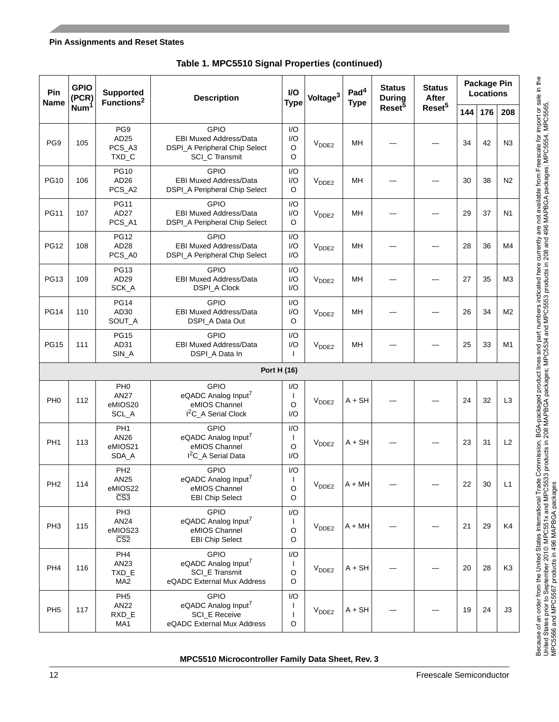#### **Pin Assignments and Reset States**

| Pin<br><b>Name</b> | <b>GPIO</b><br>(PCR) | <b>Supported</b><br>Functions <sup>2</sup>                    | <b>Description</b>                                                                                     | I/O<br><b>Type</b>                                 | Voltage <sup>3</sup> | Pad <sup>4</sup>                                                                                                                                                                       | <b>Status</b><br><b>During</b> | <b>Status</b><br>After | Package Pin<br><b>Locations</b> |     |                |  |
|--------------------|----------------------|---------------------------------------------------------------|--------------------------------------------------------------------------------------------------------|----------------------------------------------------|----------------------|----------------------------------------------------------------------------------------------------------------------------------------------------------------------------------------|--------------------------------|------------------------|---------------------------------|-----|----------------|--|
|                    | Num <sup>1</sup>     |                                                               |                                                                                                        |                                                    |                      | <b>Type</b><br>Reset <sup>5</sup><br>MH<br><b>MH</b><br><b>MH</b><br><b>MH</b><br><b>MH</b><br><b>MH</b><br>MH<br>$A + SH$<br>$A + SH$<br>$A + MH$<br>$A + MH$<br>$A + SH$<br>$A + SH$ | Reset <sup>5</sup>             | 144                    | 176                             | 208 |                |  |
| PG9                | 105                  | PG <sub>9</sub><br>AD <sub>25</sub><br>PCS_A3<br>TXD_C        | <b>GPIO</b><br><b>EBI Muxed Address/Data</b><br>DSPI_A Peripheral Chip Select<br><b>SCI_C Transmit</b> | I/O<br>I/O<br>O<br>O                               | $V_{\text{DDE2}}$    |                                                                                                                                                                                        |                                |                        | 34                              | 42  | N <sub>3</sub> |  |
| <b>PG10</b>        | 106                  | <b>PG10</b><br>AD <sub>26</sub><br>PCS_A2                     | <b>GPIO</b><br><b>EBI Muxed Address/Data</b><br><b>DSPI</b> A Peripheral Chip Select                   | I/O<br>I/O<br>O                                    | $V_{\mathsf{DDE2}}$  |                                                                                                                                                                                        |                                |                        | 30                              | 38  | N <sub>2</sub> |  |
| <b>PG11</b>        | 107                  | <b>PG11</b><br>AD <sub>27</sub><br>PCS_A1                     | <b>GPIO</b><br><b>EBI Muxed Address/Data</b><br>DSPI_A Peripheral Chip Select                          | I/O<br>I/O<br>O                                    | $V_{\text{DDE2}}$    |                                                                                                                                                                                        |                                |                        | 29                              | 37  | N <sub>1</sub> |  |
| <b>PG12</b>        | 108                  | <b>PG12</b><br>AD <sub>28</sub><br>PCS_A0                     | <b>GPIO</b><br><b>EBI Muxed Address/Data</b><br>DSPI_A Peripheral Chip Select                          | I/O<br>I/O<br>I/O                                  | $V_{\text{DDE2}}$    |                                                                                                                                                                                        |                                |                        | 28                              | 36  | M4             |  |
| <b>PG13</b>        | 109                  | <b>PG13</b><br>AD <sub>29</sub><br>SCK_A                      | GPIO<br><b>EBI Muxed Address/Data</b><br>DSPI_A Clock                                                  | I/O<br>I/O<br>I/O                                  | $V_{\text{DDE2}}$    |                                                                                                                                                                                        |                                |                        | 27                              | 35  | M <sub>3</sub> |  |
| <b>PG14</b>        | 110                  | <b>PG14</b><br>AD <sub>30</sub><br>SOUT_A                     | <b>GPIO</b><br><b>EBI Muxed Address/Data</b><br>DSPI_A Data Out                                        | I/O<br>I/O<br>O                                    | $V_{\text{DDE2}}$    |                                                                                                                                                                                        |                                |                        | 26                              | 34  | M <sub>2</sub> |  |
| <b>PG15</b>        | 111                  | <b>PG15</b><br>AD31<br>SIN_A                                  | <b>GPIO</b><br><b>EBI Muxed Address/Data</b><br>DSPI_A Data In                                         | I/O<br>I/O<br>$\mathbf{I}$                         | $V_{\mathsf{DDE2}}$  |                                                                                                                                                                                        |                                |                        | 25                              | 33  | M1             |  |
|                    |                      |                                                               |                                                                                                        | Port H (16)                                        |                      |                                                                                                                                                                                        |                                |                        |                                 |     |                |  |
| PH <sub>0</sub>    | 112                  | PH <sub>0</sub><br><b>AN27</b><br>eMIOS20<br>SCL_A            | <b>GPIO</b><br>eQADC Analog Input <sup>7</sup><br>eMIOS Channel<br>I <sup>2</sup> C_A Serial Clock     | I/O<br>T<br>O<br>I/O                               | $V_{\text{DDE2}}$    |                                                                                                                                                                                        |                                |                        | 24                              | 32  | L <sub>3</sub> |  |
| PH <sub>1</sub>    | 113                  | PH <sub>1</sub><br>AN26<br>eMIOS21<br>SDA_A                   | <b>GPIO</b><br>eQADC Analog Input <sup>7</sup><br>eMIOS Channel<br>I <sup>2</sup> C_A Serial Data      | I/O<br>$\mathbf{I}$<br>O<br>I/O                    | $V_{\text{DDE2}}$    |                                                                                                                                                                                        |                                |                        | 23                              | 31  | L2             |  |
| PH <sub>2</sub>    | 114                  | PH <sub>2</sub><br>AN25<br>eMIOS22<br>$\overline{CS3}$        | <b>GPIO</b><br>eQADC Analog Input <sup>7</sup><br>eMIOS Channel<br><b>EBI Chip Select</b>              | I/O<br>$\mathbf{I}$<br>$\circ$<br>O                | $V_{\text{DDE2}}$    |                                                                                                                                                                                        |                                |                        | 22                              | 30  | L1             |  |
| PH <sub>3</sub>    | 115                  | PH <sub>3</sub><br>AN24<br>eMIOS23<br>$\overline{\text{CS2}}$ | <b>GPIO</b><br>eQADC Analog Input <sup>7</sup><br>eMIOS Channel<br><b>EBI Chip Select</b>              | I/O<br>$\mathbf{I}$<br>O<br>O                      | V <sub>DDE2</sub>    |                                                                                                                                                                                        |                                |                        | 21                              | 29  | K4             |  |
| PH <sub>4</sub>    | 116                  | PH <sub>4</sub><br>AN23<br>TXD_E<br>MA <sub>2</sub>           | <b>GPIO</b><br>eQADC Analog Input <sup>7</sup><br>SCI E Transmit<br>eQADC External Mux Address         | I/O<br>$\mathbf{I}$<br>V <sub>DDE2</sub><br>O<br>O |                      |                                                                                                                                                                                        |                                |                        | 20                              | 28  | K <sub>3</sub> |  |
| PH <sub>5</sub>    | 117                  | PH <sub>5</sub><br>AN22<br>RXD_E<br>MA1                       | <b>GPIO</b><br>eQADC Analog Input <sup>7</sup><br><b>SCI_E Receive</b><br>eQADC External Mux Address   | I/O<br>$\mathbf{I}$<br>1<br>O                      | V <sub>DDE2</sub>    |                                                                                                                                                                                        |                                |                        | 19                              | 24  | J3             |  |

**Table 1. MPC5510 Signal Properties (continued)**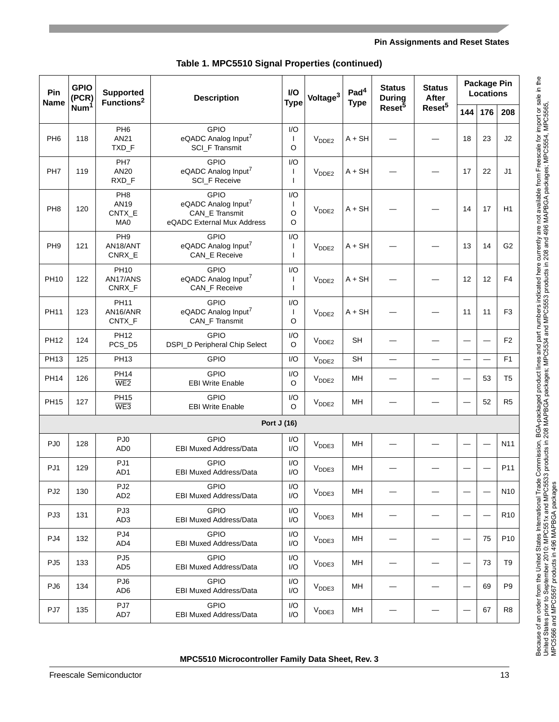| Pin             | <b>GPIO</b><br>(PCR)<br><b>Name</b><br>Num <sup>1</sup> | <b>Supported</b><br>Functions <sup>2</sup>                  | <b>Description</b>                                                                 | I/O<br><b>Type</b>                              | Voltage <sup>3</sup> | <b>Status</b><br>Pad <sup>4</sup><br><b>During</b><br><b>Type</b><br>Reset <sup>5</sup> |  | <b>Status</b><br>After |                          | Package Pin<br><b>Locations</b> |                 |
|-----------------|---------------------------------------------------------|-------------------------------------------------------------|------------------------------------------------------------------------------------|-------------------------------------------------|----------------------|-----------------------------------------------------------------------------------------|--|------------------------|--------------------------|---------------------------------|-----------------|
|                 |                                                         |                                                             |                                                                                    |                                                 |                      |                                                                                         |  | Reset <sup>5</sup>     | 144                      | 176                             | 208             |
| PH <sub>6</sub> | 118                                                     | PH <sub>6</sub><br>AN <sub>21</sub><br>TXD_F                | <b>GPIO</b><br>eQADC Analog Input <sup>7</sup><br><b>SCI F Transmit</b>            | I/O<br>$\mathbf{I}$<br>O                        | $V_{\text{DDE2}}$    | $A + SH$                                                                                |  |                        | 18                       | 23                              | J2              |
| PH <sub>7</sub> | 119                                                     | PH <sub>7</sub><br><b>AN20</b><br>RXD_F                     | <b>GPIO</b><br>eQADC Analog Input <sup>7</sup><br><b>SCI_F Receive</b>             | 1/O<br>H<br>ı                                   | $V_{\text{DDE2}}$    | $A + SH$                                                                                |  |                        | 17                       | 22                              | J <sub>1</sub>  |
| PH <sub>8</sub> | 120                                                     | PH <sub>8</sub><br><b>AN19</b><br>CNTX E<br>MA <sub>0</sub> | <b>GPIO</b><br>eQADC Analog Input7<br>CAN_E Transmit<br>eQADC External Mux Address | 1/O<br>J.<br>$\circ$<br>$\circ$                 | $V_{\text{DDE2}}$    | $A + SH$                                                                                |  |                        | 14                       | 17                              | H1              |
| PH <sub>9</sub> | 121                                                     | PH <sub>9</sub><br>AN18/ANT<br>CNRX_E                       | <b>GPIO</b><br>eQADC Analog Input <sup>7</sup><br><b>CAN_E Receive</b>             | I/O<br>$\mathbf{I}$<br>$\overline{\phantom{a}}$ | $V_{\text{DDE2}}$    | $A + SH$                                                                                |  |                        | 13                       | 14                              | G <sub>2</sub>  |
| <b>PH10</b>     | 122                                                     | <b>PH10</b><br>AN17/ANS<br>CNRX_F                           | <b>GPIO</b><br>eQADC Analog Input <sup>7</sup><br><b>CAN_F Receive</b>             | I/O<br>$\mathbf{I}$<br>$\overline{\phantom{a}}$ | $V_{\text{DDE2}}$    | $A + SH$                                                                                |  |                        | 12                       | 12                              | F <sub>4</sub>  |
| <b>PH11</b>     | 123                                                     | <b>PH11</b><br>AN16/ANR<br>CNTX_F                           | <b>GPIO</b><br>eQADC Analog Input <sup>7</sup><br>CAN_F Transmit                   | I/O<br>$\mathbf{I}$<br>$\circ$                  | $V_{\text{DDE2}}$    | A + SH                                                                                  |  |                        | 11                       | 11                              | F <sub>3</sub>  |
| <b>PH12</b>     | 124                                                     | PH12<br>PCS_D5                                              | <b>GPIO</b><br>DSPI_D Peripheral Chip Select                                       | I/O<br>$\circ$                                  | V <sub>DDE2</sub>    | <b>SH</b>                                                                               |  |                        |                          |                                 | F <sub>2</sub>  |
| <b>PH13</b>     | 125                                                     | <b>PH13</b>                                                 | <b>GPIO</b>                                                                        | 1/O                                             | V <sub>DDE2</sub>    | <b>SH</b>                                                                               |  |                        |                          |                                 | F <sub>1</sub>  |
| <b>PH14</b>     | 126                                                     | <b>PH14</b><br>WE2                                          | <b>GPIO</b><br><b>EBI Write Enable</b>                                             | I/O<br>O                                        | V <sub>DDE2</sub>    | MН                                                                                      |  |                        |                          | 53                              | T <sub>5</sub>  |
| <b>PH15</b>     | 127                                                     | <b>PH15</b><br>WE3                                          | <b>GPIO</b><br><b>EBI Write Enable</b>                                             | I/O<br>$\circ$                                  | $V_{\text{DDE2}}$    | <b>MH</b>                                                                               |  |                        |                          | 52                              | R <sub>5</sub>  |
|                 |                                                         |                                                             | Port J (16)                                                                        |                                                 |                      |                                                                                         |  |                        |                          |                                 |                 |
| PJ <sub>0</sub> | 128                                                     | PJ <sub>0</sub><br>AD <sub>0</sub>                          | GPIO<br><b>EBI Muxed Address/Data</b>                                              | I/O<br>I/O                                      | V <sub>DDE3</sub>    | MH                                                                                      |  |                        |                          |                                 | N <sub>11</sub> |
| PJ <sub>1</sub> | 129                                                     | PJ1<br>AD1                                                  | <b>GPIO</b><br><b>EBI Muxed Address/Data</b>                                       | I/O<br>I/O                                      | V <sub>DDE3</sub>    | MH                                                                                      |  |                        |                          |                                 | P11             |
| PJ <sub>2</sub> | 130                                                     | PJ <sub>2</sub><br>AD <sub>2</sub>                          | <b>GPIO</b><br>EBI Muxed Address/Data                                              | I/O<br>I/O                                      | $V_{\text{DDE3}}$    | MH                                                                                      |  |                        |                          |                                 | N10             |
| PJ3             | 131                                                     | PJ3<br>AD3                                                  | <b>GPIO</b><br><b>EBI Muxed Address/Data</b>                                       | I/O<br>I/O                                      | V <sub>DDE3</sub>    | MН                                                                                      |  |                        |                          |                                 | R <sub>10</sub> |
| PJ4             | 132                                                     | PJ4<br>AD4                                                  | <b>GPIO</b><br>EBI Muxed Address/Data                                              | I/O<br>I/O                                      | V <sub>DDE3</sub>    | MН                                                                                      |  | $\qquad \qquad$        |                          | 75                              | P <sub>10</sub> |
| PJ <sub>5</sub> | 133                                                     | PJ <sub>5</sub><br>AD <sub>5</sub>                          | <b>GPIO</b><br>EBI Muxed Address/Data                                              | I/O<br>I/O                                      | V <sub>DDE3</sub>    | MH                                                                                      |  |                        | —                        | 73                              | T9              |
| PJ6             | 134                                                     | PJ6<br>AD <sub>6</sub>                                      | <b>GPIO</b><br>EBI Muxed Address/Data                                              | I/O<br>I/O                                      | V <sub>DDE3</sub>    | MН                                                                                      |  |                        | $\overline{\phantom{0}}$ | 69                              | P9              |
| PJ7             | 135                                                     | PJ7<br>AD7                                                  | <b>GPIO</b><br>EBI Muxed Address/Data                                              | I/O<br>I/O                                      | V <sub>DDE3</sub>    | MН                                                                                      |  |                        |                          | 67                              | R8              |

|  | Table 1. MPC5510 Signal Properties (continued) |  |  |
|--|------------------------------------------------|--|--|
|--|------------------------------------------------|--|--|

Because of an order from the United States International Trade Commission, BGA-packaged product lines and part numbers indicated here currently are not available from Freescale for import or sale in the<br>United States prior Because of an order from the United States International Trade Commission, BGA-packaged product numbers indicated here currently are not available from Freescale for import or sale in the United States prior to September 2010: MPC551x and MPC5533 products in 208 MAPBGA packages; MPC5534 and MPC5553 products in 208 and 496 MAPBGA packages; MPC5554, MPC5565, MPC5566 and MPC5567 products in 496 MAPBGA packages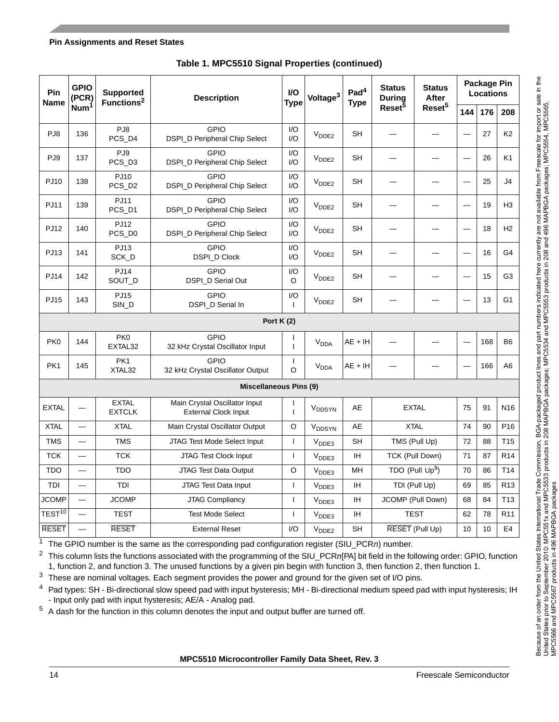| Pin                | <b>GPIO</b><br>(PCR)<br><b>Name</b><br>Num <sup>1</sup> | <b>Supported</b><br>Functions <sup>2</sup> | <b>Description</b>                                                                    | I/O<br><b>Type</b>  | Voltage <sup>3</sup>   | Pad <sup>4</sup><br><b>Type</b> | <b>Status</b><br><b>Durina</b> | <b>Status</b><br><b>After</b> |                          | <b>Package Pin</b><br>Locations |                 |
|--------------------|---------------------------------------------------------|--------------------------------------------|---------------------------------------------------------------------------------------|---------------------|------------------------|---------------------------------|--------------------------------|-------------------------------|--------------------------|---------------------------------|-----------------|
|                    |                                                         |                                            |                                                                                       |                     |                        |                                 | Reset <sup>5</sup>             | Reset <sup>5</sup>            | 144                      | 176                             | 208             |
| PJ8                | 136                                                     | PJ8<br>PCS D4                              | <b>GPIO</b><br>DSPI_D Peripheral Chip Select                                          | I/O<br>1/O          | $V_{\text{DDE2}}$      | <b>SH</b>                       |                                |                               |                          | 27                              | К2              |
| PJ <sub>9</sub>    | 137                                                     | PJ <sub>9</sub><br>PCS D <sub>3</sub>      | <b>GPIO</b><br>DSPI_D Peripheral Chip Select                                          | I/O<br>I/O          | $V_{\text{DDE2}}$      | <b>SH</b>                       |                                |                               |                          | 26                              | K1              |
| <b>PJ10</b>        | 138                                                     | <b>PJ10</b><br>PCS_D <sub>2</sub>          | <b>GPIO</b><br>DSPI_D Peripheral Chip Select                                          | I/O<br>I/O          | $V_{\text{DDE2}}$      | <b>SH</b>                       |                                |                               |                          | 25                              | J4              |
| <b>PJ11</b>        | 139                                                     | PJ11<br>PCS D1                             | I/O<br><b>GPIO</b><br>SH<br>$V_{\text{DDE2}}$<br>I/O<br>DSPI_D Peripheral Chip Select |                     |                        |                                 |                                |                               |                          | 19                              | H <sub>3</sub>  |
| <b>PJ12</b>        | 140                                                     | <b>PJ12</b><br>PCS_D0                      | <b>GPIO</b><br>1/O<br>SH<br>$V_{\text{DDE2}}$<br>I/O<br>DSPI_D Peripheral Chip Select |                     |                        |                                 |                                |                               | 18                       | H2                              |                 |
| <b>PJ13</b>        | 141                                                     | PJ13<br>SCK_D                              | <b>GPIO</b><br>DSPI_D Clock                                                           | I/O<br>I/O          | $V_{\text{DDE2}}$      | <b>SH</b>                       |                                |                               |                          |                                 | G4              |
| <b>PJ14</b>        | 142                                                     | <b>PJ14</b><br>SOUT_D                      | <b>GPIO</b><br>DSPI_D Serial Out                                                      | I/O<br>O            | $V_{\text{DDE2}}$      | <b>SH</b>                       |                                |                               | $\overline{\phantom{a}}$ | 15                              | G <sub>3</sub>  |
| <b>PJ15</b>        | 143                                                     | <b>PJ15</b><br>SIN_D                       | <b>GPIO</b><br>I/O<br>SH<br>$V_{\text{DDE2}}$<br>DSPI_D Serial In<br>$\mathbf{I}$     |                     |                        |                                 | 13                             | G1                            |                          |                                 |                 |
|                    |                                                         |                                            | Port K (2)                                                                            |                     |                        |                                 |                                |                               |                          |                                 |                 |
| PK <sub>0</sub>    | 144                                                     | PK <sub>0</sub><br>EXTAL32                 | <b>GPIO</b><br>32 kHz Crystal Oscillator Input                                        | H<br>$\overline{1}$ | <b>V<sub>DDA</sub></b> | $AE + IH$                       |                                |                               |                          | 168                             | B <sub>6</sub>  |
| PK <sub>1</sub>    | 145                                                     | PK1<br>XTAL32                              | GPIO<br>32 kHz Crystal Oscillator Output                                              | $\mathbf{I}$<br>O   | V <sub>DDA</sub>       | AE + IH                         |                                |                               |                          | 166                             | A6              |
|                    |                                                         |                                            | <b>Miscellaneous Pins (9)</b>                                                         |                     |                        |                                 |                                |                               |                          |                                 |                 |
| <b>EXTAL</b>       |                                                         | <b>EXTAL</b><br><b>EXTCLK</b>              | Main Crystal Oscillator Input<br><b>External Clock Input</b>                          | $\overline{1}$      | V <sub>DDSYN</sub>     | <b>AE</b>                       |                                | <b>EXTAL</b>                  | 75                       | 91                              | N <sub>16</sub> |
| <b>XTAL</b>        | $\overline{\phantom{0}}$                                | <b>XTAL</b>                                | Main Crystal Oscillator Output                                                        | $\circ$             | V <sub>DDSYN</sub>     | <b>AE</b>                       |                                | <b>XTAL</b>                   | 74                       | 90                              | P <sub>16</sub> |
| <b>TMS</b>         |                                                         | <b>TMS</b>                                 | JTAG Test Mode Select Input                                                           | $\mathbf{I}$        | V <sub>DE3</sub>       | <b>SH</b>                       |                                | TMS (Pull Up)                 | 72                       | 88                              | T <sub>15</sub> |
| <b>TCK</b>         | $\overline{\phantom{0}}$                                | <b>TCK</b>                                 | JTAG Test Clock Input                                                                 | $\overline{1}$      | V <sub>DE3</sub>       | ΙH                              |                                | <b>TCK (Pull Down)</b>        | 71                       | 87                              | R <sub>14</sub> |
| <b>TDO</b>         |                                                         | <b>TDO</b>                                 | JTAG Test Data Output                                                                 | O                   | V <sub>DE3</sub>       | MH                              |                                | TDO (Pull $Up9$ )             | 70                       | 86                              | T <sub>14</sub> |
| <b>TDI</b>         | $\overline{\phantom{0}}$                                | <b>TDI</b>                                 | JTAG Test Data Input                                                                  | $\mathbf{I}$        | V <sub>DDE3</sub>      | <b>IH</b>                       |                                | TDI (Pull Up)                 | 69                       | 85                              | R <sub>13</sub> |
| <b>JCOMP</b>       | $\equiv$                                                | <b>JCOMP</b>                               | <b>JTAG Compliancy</b>                                                                | $\mathbf{I}$        | $V_{\text{DDE3}}$      | <b>IH</b>                       |                                | JCOMP (Pull Down)             | 68                       | 84                              | T <sub>13</sub> |
| TEST <sup>10</sup> |                                                         | <b>TEST</b>                                | <b>Test Mode Select</b>                                                               | $\mathbf{I}$        | $V_{\text{DDE3}}$      | ΙH                              |                                | <b>TEST</b>                   | 62                       | 78                              | R <sub>11</sub> |
| <b>RESET</b>       |                                                         | <b>RESET</b>                               | <b>External Reset</b>                                                                 | 1/O                 | $V_{\text{DDE2}}$      | <b>SH</b>                       |                                | RESET (Pull Up)               | 10                       | 10                              | E4              |

**Table 1. MPC5510 Signal Properties (continued)**

<sup>1</sup> The GPIO number is the same as the corresponding pad configuration register (SIU\_PCR*n*) number.

<sup>2</sup> This column lists the functions associated with the programming of the SIU\_PCR*n*[PA] bit field in the following order: GPIO, function 1, function 2, and function 3. The unused functions by a given pin begin with function 3, then function 2, then function 1.

 $3$  These are nominal voltages. Each segment provides the power and ground for the given set of I/O pins.

<sup>4</sup> Pad types: SH - Bi-directional slow speed pad with input hysteresis; MH - Bi-directional medium speed pad with input hysteresis; IH - Input only pad with input hysteresis; AE/A - Analog pad.

 $5$  A dash for the function in this column denotes the input and output buffer are turned off.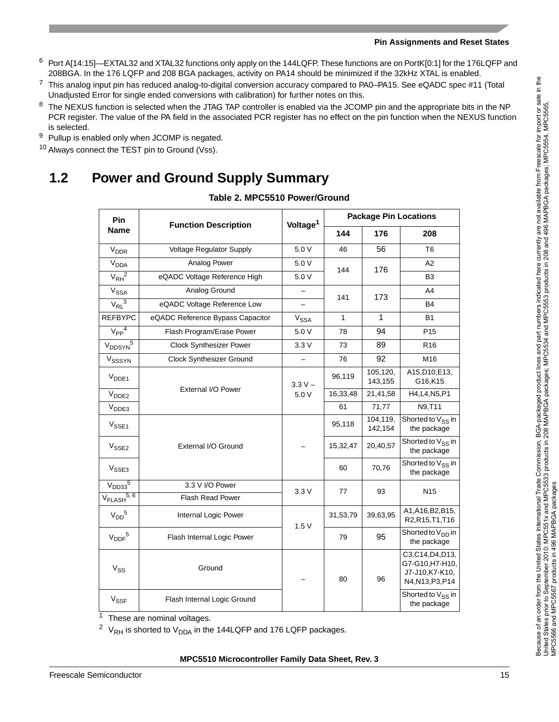### **Pin Assignments and Reset States**

- <span id="page-14-2"></span><sup>6</sup> Port A[14:15]—EXTAL32 and XTAL32 functions only apply on the 144LQFP. These functions are on PortK[0:1] for the 176LQFP and 208BGA. In the 176 LQFP and 208 BGA packages, activity on PA14 should be minimized if the 32kHz XTAL is enabled.
- $7$  This analog input pin has reduced analog-to-digital conversion accuracy compared to PA0–PA15. See eQADC spec #11 (Total Unadjusted Error for single ended conversions with calibration) for further notes on this.
- <span id="page-14-3"></span><sup>8</sup> The NEXUS function is selected when the JTAG TAP controller is enabled via the JCOMP pin and the appropriate bits in the NP PCR register. The value of the PA field in the associated PCR register has no effect on the pin function when the NEXUS function is selected.
- <sup>9</sup> Pullup is enabled only when JCOMP is negated.

<sup>10</sup> Always connect the TEST pin to Ground (Vss).

## <span id="page-14-1"></span><span id="page-14-0"></span>**1.2 Power and Ground Supply Summary**

### **Table 2. MPC5510 Power/Ground**

| Pin                             |                                  |                                                                                                                                 | <b>Package Pin Locations</b> |                     |                                                                             |  |  |  |
|---------------------------------|----------------------------------|---------------------------------------------------------------------------------------------------------------------------------|------------------------------|---------------------|-----------------------------------------------------------------------------|--|--|--|
| Name                            | <b>Function Description</b>      | Voltage <sup>1</sup><br>5.0 V<br>5.0 V<br>5.0 V<br>$V_{SSA}$<br>5.0 V<br>3.3V<br>$\equiv$<br>$3.3 V -$<br>5.0 V<br>3.3V<br>1.5V | 144                          | 176                 | 208                                                                         |  |  |  |
| <b>V<sub>DDR</sub></b>          | <b>Voltage Regulator Supply</b>  |                                                                                                                                 | 46                           | 56                  | T <sub>6</sub>                                                              |  |  |  |
| <b>V<sub>DDA</sub></b>          | Analog Power                     |                                                                                                                                 | 144                          | 176                 | A2                                                                          |  |  |  |
| $V_{RH}^2$                      | eQADC Voltage Reference High     |                                                                                                                                 |                              |                     | B <sub>3</sub>                                                              |  |  |  |
| V <sub>SSA</sub>                | Analog Ground                    |                                                                                                                                 |                              | 173                 | A4                                                                          |  |  |  |
| $V_{\text{RL}}^{3}$             | eQADC Voltage Reference Low      |                                                                                                                                 | 141                          |                     | B <sub>4</sub>                                                              |  |  |  |
| <b>REFBYPC</b>                  | eQADC Reference Bypass Capacitor |                                                                                                                                 | 1                            | $\mathbf{1}$        | <b>B1</b>                                                                   |  |  |  |
| $V_{PP}^4$                      | Flash Program/Erase Power        |                                                                                                                                 | 78                           | 94                  | P <sub>15</sub>                                                             |  |  |  |
| V <sub>DDSYN</sub> <sup>5</sup> | <b>Clock Synthesizer Power</b>   |                                                                                                                                 | 73                           | 89                  | R <sub>16</sub>                                                             |  |  |  |
| VSSSYN                          | <b>Clock Synthesizer Ground</b>  |                                                                                                                                 | 76                           | 92                  | M16                                                                         |  |  |  |
| $V_{\text{DDE1}}$               |                                  |                                                                                                                                 | 96,119                       | 105,120,<br>143,155 | A15, D10, E13,<br>G16,K15                                                   |  |  |  |
| $V_{\text{DDE2}}$               | External I/O Power               |                                                                                                                                 | 16,33,48                     | 21,41,58            | H4, L4, N5, P1                                                              |  |  |  |
| $V_{\text{DDE3}}$               |                                  |                                                                                                                                 | 61                           | 71,77               | N9,T11                                                                      |  |  |  |
| V <sub>SSE1</sub>               |                                  |                                                                                                                                 | 95,118                       | 104,119,<br>142,154 | Shorted to $V_{SS}$ in<br>the package                                       |  |  |  |
| V <sub>SSE2</sub>               | External I/O Ground              |                                                                                                                                 | 15,32,47                     | 20,40,57            | Shorted to V <sub>SS</sub> in<br>the package                                |  |  |  |
| V <sub>SSE3</sub>               |                                  |                                                                                                                                 | 60                           | 70,76               | Shorted to V <sub>SS</sub> in<br>the package                                |  |  |  |
| $VDD33$ <sup>5</sup>            | 3.3 V I/O Power                  |                                                                                                                                 | 77                           | 93                  | <b>N15</b>                                                                  |  |  |  |
| $V_{\text{FLASH}}^{5, 6}$       | Flash Read Power                 |                                                                                                                                 |                              |                     |                                                                             |  |  |  |
| $VDD$ <sup>5</sup>              | Internal Logic Power             |                                                                                                                                 | 31,53,79                     | 39,63,95            | A1, A16, B2, B15,<br>R2,R15,T1,T16                                          |  |  |  |
| $V_{\text{DDF}}^{\text{5}}$     | Flash Internal Logic Power       |                                                                                                                                 | 79                           | 95                  | Shorted to $V_{DD}$ in<br>the package                                       |  |  |  |
| $V_{SS}$                        | Ground                           |                                                                                                                                 | 80                           | 96                  | C3, C14, D4, D13,<br>G7-G10, H7-H10,<br>J7-J10, K7-K10,<br>N4, N13, P3, P14 |  |  |  |
| V <sub>SSF</sub>                | Flash Internal Logic Ground      |                                                                                                                                 |                              |                     | Shorted to V <sub>SS</sub> in<br>the package                                |  |  |  |

<sup>1</sup> These are nominal voltages.

 $2$  V<sub>RH</sub> is shorted to V<sub>DDA</sub> in the 144LQFP and 176 LQFP packages.

MPC5566 and MPC5567 products in 496 MAPBGA packages

United States prior to September 2010: MPC551x and MPC5533 products in 208 MAPBGA packages; MPC5534 and MPC5553 products in 208 and 496 MAPBGA packages; MPC5554, MPC5565,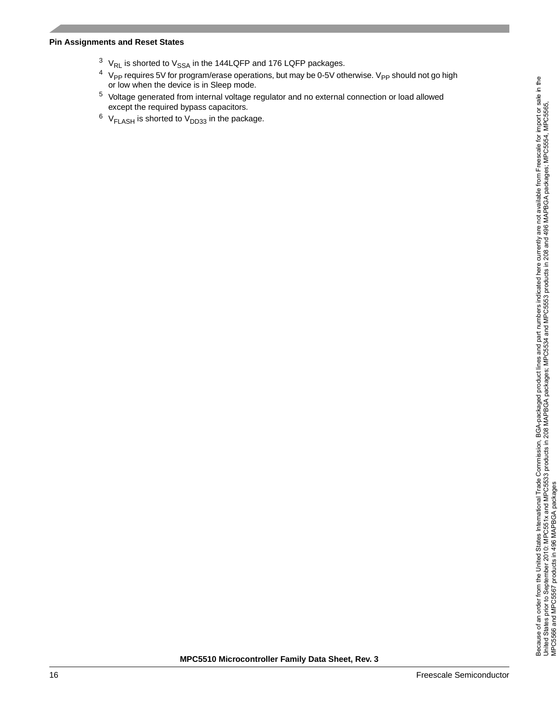#### **Pin Assignments and Reset States**

- $3 \text{ V}_{\text{RL}}$  is shorted to  $\text{V}_{\text{SSA}}$  in the 144LQFP and 176 LQFP packages.
- $4 \text{V}_{\text{PP}}$  requires 5V for program/erase operations, but may be 0-5V otherwise. V<sub>PP</sub> should not go high or low when the device is in Sleep mode.
- <sup>5</sup> Voltage generated from internal voltage regulator and no external connection or load allowed except the required bypass capacitors.
- $6$  V<sub>FLASH</sub> is shorted to V<sub>DD33</sub> in the package.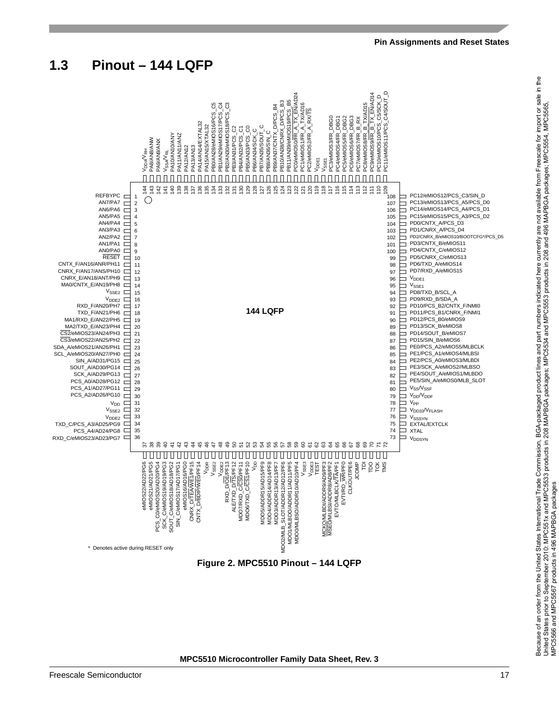

<span id="page-16-1"></span>**Figure 2. MPC5510 Pinout – 144 LQFP**

<span id="page-16-0"></span>**1.3 Pinout – 144 LQFP**

#### **Pin Assignments and Reset States**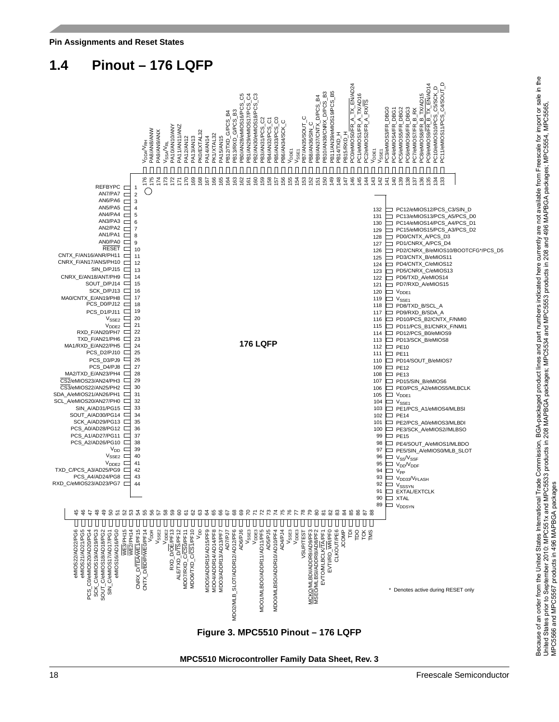# <span id="page-17-0"></span>**1.4 Pinout – 176 LQFP**



<span id="page-17-1"></span>**MPC5510 Microcontroller Family Data Sheet, Rev. 3**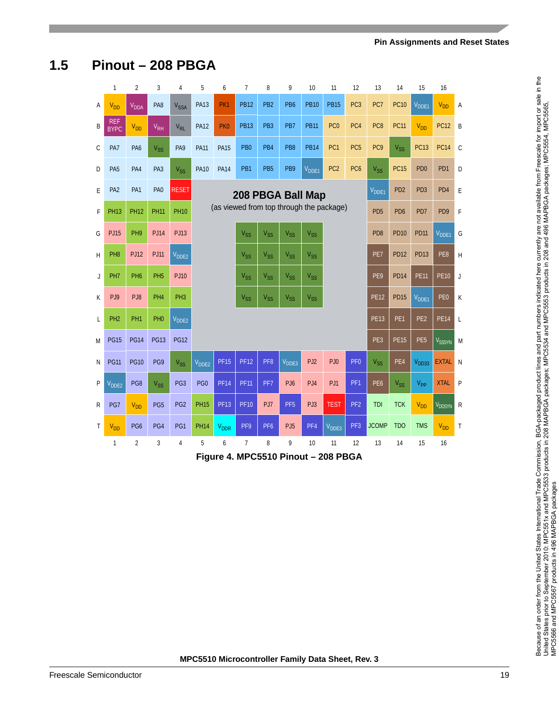### **Pin Assignments and Reset States**

## <span id="page-18-0"></span>**1.5 Pinout – 208 PBGA**

|              | 1                         | $\overline{2}$         | 3               | 4                      | 5                 | 6                | $\overline{7}$  | 8               | 9                                        | 10                    | 11                | 12              | 13                | 14              | 15                    | 16                    |                |
|--------------|---------------------------|------------------------|-----------------|------------------------|-------------------|------------------|-----------------|-----------------|------------------------------------------|-----------------------|-------------------|-----------------|-------------------|-----------------|-----------------------|-----------------------|----------------|
| A            | <b>V<sub>DD</sub></b>     | <b>V<sub>DDA</sub></b> | PA <sub>8</sub> | <b>V<sub>SSA</sub></b> | <b>PA13</b>       | PK <sub>1</sub>  | <b>PB12</b>     | PB <sub>2</sub> | PB <sub>6</sub>                          | <b>PB10</b>           | <b>PB15</b>       | PC <sub>3</sub> | PC7               | <b>PC10</b>     | V <sub>DDE1</sub>     | <b>V<sub>DD</sub></b> | $\overline{A}$ |
| B            | <b>REF</b><br><b>BYPC</b> | V <sub>DD</sub>        | V <sub>RH</sub> | <b>V<sub>RL</sub></b>  | <b>PA12</b>       | PK <sub>0</sub>  | <b>PB13</b>     | PB <sub>3</sub> | PB7                                      | <b>PB11</b>           | PC <sub>0</sub>   | PC <sub>4</sub> | PC <sub>8</sub>   | <b>PC11</b>     | <b>V<sub>DD</sub></b> | <b>PC12</b>           | B              |
| C            | PA7                       | PA <sub>6</sub>        | $V_{SS}$        | PA <sub>9</sub>        | <b>PA11</b>       | <b>PA15</b>      | PB <sub>0</sub> | PB <sub>4</sub> | PB <sub>8</sub>                          | <b>PB14</b>           | PC <sub>1</sub>   | PC <sub>5</sub> | PC <sub>9</sub>   | $V_{SS}$        | PC <sub>13</sub>      | <b>PC14</b>           | $\mathsf{C}$   |
| D            | PA <sub>5</sub>           | PA4                    | PA <sub>3</sub> | $V_{SS}$               | <b>PA10</b>       | <b>PA14</b>      | PB <sub>1</sub> | PB <sub>5</sub> | PB <sub>9</sub>                          | $V_{\text{DDE1}}$     | PC <sub>2</sub>   | PC <sub>6</sub> | $V_{SS}$          | <b>PC15</b>     | PD <sub>0</sub>       | PD <sub>1</sub>       | D              |
| E            | PA <sub>2</sub>           | PA <sub>1</sub>        | PA <sub>0</sub> | <b>RESET</b>           |                   |                  |                 |                 | 208 PBGA Ball Map                        |                       |                   |                 | V <sub>DDE1</sub> | PD <sub>2</sub> | PD <sub>3</sub>       | PD <sub>4</sub>       | E              |
| F            | <b>PH13</b>               | <b>PH12</b>            | <b>PH11</b>     | <b>PH10</b>            |                   |                  |                 |                 | (as viewed from top through the package) |                       |                   |                 | PD <sub>5</sub>   | PD <sub>6</sub> | PD7                   | PD <sub>9</sub>       | F              |
| G            | <b>PJ15</b>               | PH <sub>9</sub>        | <b>PJ14</b>     | <b>PJ13</b>            |                   |                  | $V_{SS}$        | $V_{SS}$        | $V_{SS}$                                 | <b>V<sub>SS</sub></b> |                   |                 | PD <sub>8</sub>   | <b>PD10</b>     | <b>PD11</b>           | V <sub>DDE1</sub>     | G              |
| H            | PH <sub>8</sub>           | <b>PJ12</b>            | <b>PJ11</b>     | V <sub>DDE2</sub>      |                   |                  | $V_{SS}$        | $V_{SS}$        | $V_{SS}$                                 | $V_{SS}$              |                   |                 | PE7               | <b>PD12</b>     | <b>PD13</b>           | PE <sub>8</sub>       | H              |
| J            | PH <sub>7</sub>           | PH <sub>6</sub>        | PH <sub>5</sub> | <b>PJ10</b>            |                   |                  | $V_{SS}$        | $V_{SS}$        | $V_{SS}$                                 | $V_{SS}$              |                   |                 | PE <sub>9</sub>   | <b>PD14</b>     | <b>PE11</b>           | <b>PE10</b>           | J              |
| K            | PJ9                       | PJ <sub>8</sub>        | PH <sub>4</sub> | PH <sub>3</sub>        |                   |                  | $V_{SS}$        | $V_{SS}$        | $V_{SS}$                                 | $V_{SS}$              |                   |                 | <b>PE12</b>       | <b>PD15</b>     | V <sub>DDE1</sub>     | PE <sub>0</sub>       | K              |
| $\mathsf{L}$ | PH <sub>2</sub>           | PH <sub>1</sub>        | PH <sub>0</sub> | V <sub>DDE2</sub>      |                   |                  |                 |                 |                                          |                       |                   |                 | PE13              | PE <sub>1</sub> | PE <sub>2</sub>       | <b>PE14</b>           | L              |
| M            | <b>PG15</b>               | <b>PG14</b>            | <b>PG13</b>     | <b>PG12</b>            |                   |                  |                 |                 |                                          |                       |                   |                 | PE <sub>3</sub>   | <b>PE15</b>     | PE <sub>5</sub>       | V <sub>SSSYN</sub>    | M              |
| N            | <b>PG11</b>               | <b>PG10</b>            | PG <sub>9</sub> | $V_{SS}$               | $V_{\text{DDE2}}$ | <b>PF15</b>      | <b>PF12</b>     | PF <sub>8</sub> | V <sub>DDE3</sub>                        | PJ <sub>2</sub>       | PJO               | PF <sub>0</sub> | $V_{SS}$          | PE4             | V <sub>DD33</sub>     | <b>EXTAL</b>          | N              |
| P            | V <sub>DDE2</sub>         | PG <sub>8</sub>        | $V_{SS}$        | PG <sub>3</sub>        | PG <sub>0</sub>   | <b>PF14</b>      | <b>PF11</b>     | PF <sub>7</sub> | PJ <sub>6</sub>                          | PJ4                   | PJ <sub>1</sub>   | PF <sub>1</sub> | PE <sub>6</sub>   | $V_{SS}$        | V <sub>PP</sub>       | <b>XTAL</b>           | P              |
| R            | PG7                       | V <sub>DD</sub>        | PG <sub>5</sub> | PG <sub>2</sub>        | <b>PH15</b>       | <b>PF13</b>      | <b>PF10</b>     | PJ7             | PF <sub>5</sub>                          | PJ3                   | <b>TEST</b>       | PF <sub>2</sub> | TDI               | <b>TCK</b>      | <b>V<sub>DD</sub></b> | V <sub>DDSYN</sub>    | $\mathsf{R}$   |
| T            | <b>V<sub>DD</sub></b>     | PG <sub>6</sub>        | PG4             | PG1                    | <b>PH14</b>       | V <sub>DDR</sub> | PF <sub>9</sub> | PF <sub>6</sub> | PJ <sub>5</sub>                          | PF4                   | V <sub>DDE3</sub> | PF <sub>3</sub> | <b>JCOMP</b>      | <b>TDO</b>      | <b>TMS</b>            | <b>V<sub>DD</sub></b> | $\top$         |
|              | 1                         | $\overline{2}$         | 3               | $\overline{4}$         | 5                 | 6                | $\overline{7}$  | 8               | 9                                        | 10                    | 11                | 12              | 13                | 14              | 15                    | 16                    |                |

<span id="page-18-1"></span>**Figure 4. MPC5510 Pinout – 208 PBGA**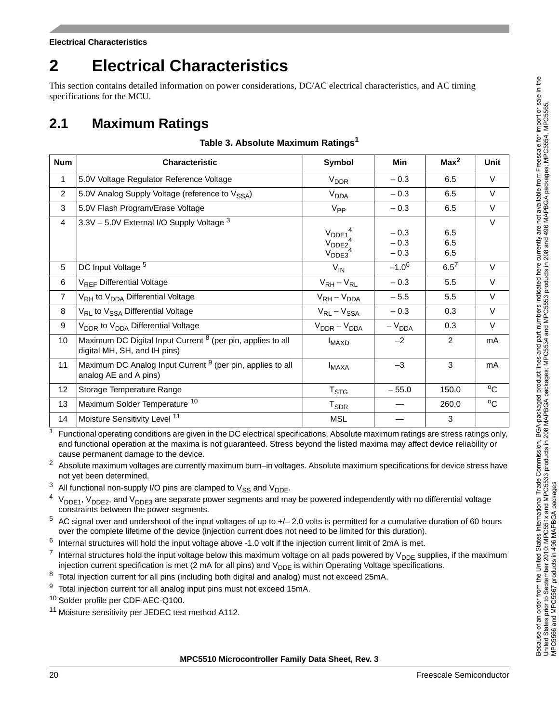# <span id="page-19-0"></span>**2 Electrical Characteristics**

This section contains detailed information on power considerations, DC/AC electrical characteristics, and AC timing specifications for the MCU.

## <span id="page-19-1"></span>**2.1 Maximum Ratings**

<span id="page-19-2"></span>

| <b>Num</b>     | <b>Characteristic</b>                                                                                  | Symbol                                                            | Min                        | Max <sup>2</sup>  | Unit         |
|----------------|--------------------------------------------------------------------------------------------------------|-------------------------------------------------------------------|----------------------------|-------------------|--------------|
| 1              | 5.0V Voltage Regulator Reference Voltage                                                               | V <sub>DDR</sub>                                                  | $-0.3$                     | 6.5               | $\vee$       |
| $\overline{2}$ | 5.0V Analog Supply Voltage (reference to V <sub>SSA</sub> )                                            | <b>V<sub>DDA</sub></b>                                            | $-0.3$                     | 6.5               | $\vee$       |
| 3              | 5.0V Flash Program/Erase Voltage                                                                       | $V_{PP}$                                                          | $-0.3$                     | 6.5               | $\vee$       |
| $\overline{4}$ | $3.3V - 5.0V$ External I/O Supply Voltage $3$                                                          | $V_{\text{DDE1}}^4$<br>$V_{\text{DDE2}}^4$<br>$V_{\text{DDE3}}^4$ | $-0.3$<br>$-0.3$<br>$-0.3$ | 6.5<br>6.5<br>6.5 | $\vee$       |
| 5              | DC Input Voltage 5                                                                                     | $V_{IN}$                                                          | $-1.0^{6}$                 | $6.5^{7}$         | $\vee$       |
| 6              | V <sub>RFF</sub> Differential Voltage                                                                  | $V_{RH} - V_{RL}$                                                 | $-0.3$                     | 5.5               | $\vee$       |
| $\overline{7}$ | V <sub>RH</sub> to V <sub>DDA</sub> Differential Voltage                                               | $VRH - VDDA$                                                      | $-5.5$                     | 5.5               | $\vee$       |
| 8              | V <sub>RL</sub> to V <sub>SSA</sub> Differential Voltage                                               | $V_{RL} - V_{SSA}$                                                | $-0.3$                     | 0.3               | $\vee$       |
| 9              | V <sub>DDR</sub> to V <sub>DDA</sub> Differential Voltage                                              | $V_{\text{DDR}} - V_{\text{DDA}}$                                 | $-VDDA$                    | 0.3               | $\vee$       |
| 10             | Maximum DC Digital Input Current <sup>8</sup> (per pin, applies to all<br>digital MH, SH, and IH pins) | <b>I</b> MAXD                                                     | $-2$                       | $\overline{2}$    | mA           |
| 11             | Maximum DC Analog Input Current <sup>9</sup> (per pin, applies to all<br>analog AE and A pins)         | <b>I</b> MAXA                                                     | $-3$                       | 3                 | mA           |
| 12             | Storage Temperature Range                                                                              | T <sub>STG</sub>                                                  | $-55.0$                    | 150.0             | °C           |
| 13             | Maximum Solder Temperature 10                                                                          | <b>T<sub>SDR</sub></b>                                            |                            | 260.0             | $^{\circ}$ C |
| 14             | Moisture Sensitivity Level 11                                                                          | <b>MSL</b>                                                        |                            | 3                 |              |

 $1$  Functional operating conditions are given in the DC electrical specifications. Absolute maximum ratings are stress ratings only, and functional operation at the maxima is not guaranteed. Stress beyond the listed maxima may affect device reliability or cause permanent damage to the device.

- <sup>2</sup> Absolute maximum voltages are currently maximum burn–in voltages. Absolute maximum specifications for device stress have not yet been determined.
- <sup>3</sup> All functional non-supply I/O pins are clamped to  $V_{SS}$  and  $V_{DDE}$ .<br><sup>4</sup> Vontail Vontail and Vontain separate power sequents and ma
- $^{4}$  V<sub>DDE1</sub>, V<sub>DDE2</sub>, and V<sub>DDE3</sub> are separate power segments and may be powered independently with no differential voltage constraints between the power segments.
- $5$  AC signal over and undershoot of the input voltages of up to  $+/- 2.0$  volts is permitted for a cumulative duration of 60 hours over the complete lifetime of the device (injection current does not need to be limited for this duration).
- $6$  Internal structures will hold the input voltage above -1.0 volt if the injection current limit of 2mA is met.
- <sup>7</sup> Internal structures hold the input voltage below this maximum voltage on all pads powered by  $V_{\text{DDF}}$  supplies, if the maximum injection current specification is met (2 mA for all pins) and  $V_{\text{DDE}}$  is within Operating Voltage specifications.
- <sup>8</sup> Total injection current for all pins (including both digital and analog) must not exceed 25mA.
- $9$  Total injection current for all analog input pins must not exceed 15mA.
- <sup>10</sup> Solder profile per CDF-AEC-Q100.
- <sup>11</sup> Moisture sensitivity per JEDEC test method A112.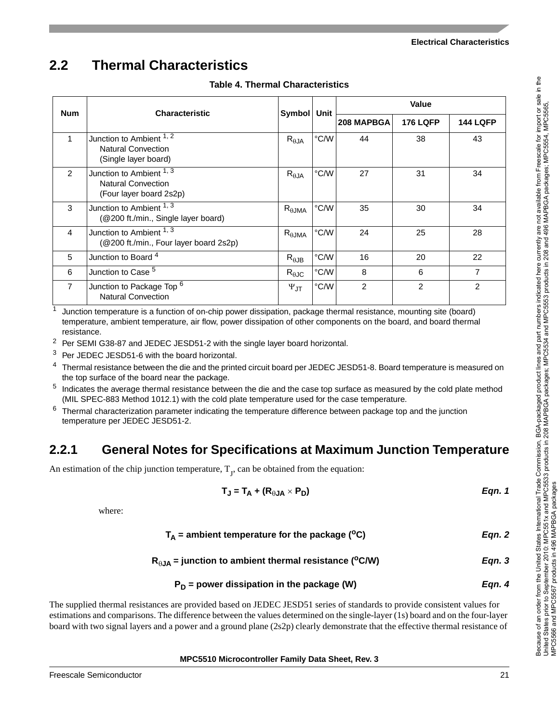# <span id="page-20-0"></span>**2.2 Thermal Characteristics**

<span id="page-20-2"></span>

| <b>Num</b>     | Symbol Unit<br><b>Characteristic</b>                                             |                                   | <b>Value</b> |            |                 |                 |
|----------------|----------------------------------------------------------------------------------|-----------------------------------|--------------|------------|-----------------|-----------------|
|                |                                                                                  |                                   |              | 208 MAPBGA | <b>176 LQFP</b> | <b>144 LQFP</b> |
|                | Junction to Ambient 1, 2<br><b>Natural Convection</b><br>(Single layer board)    | $\mathsf{R}_{\theta\mathsf{JA}}$  | °C/W         | 44         | 38              | 43              |
| 2              | Junction to Ambient 1, 3<br><b>Natural Convection</b><br>(Four layer board 2s2p) | $R_{\theta$ JA                    | °C/W         | 27         | 31              | 34              |
| 3              | Junction to Ambient <sup>1, 3</sup><br>(@200 ft./min., Single layer board)       | $\mathsf{R}_{\theta\mathsf{JMA}}$ | °C/W         | 35         | 30              | 34              |
| 4              | Junction to Ambient 1, 3<br>(@200 ft./min., Four layer board 2s2p)               | $R_{\theta JMA}$                  | °C/W         | 24         | 25              | 28              |
| 5              | Junction to Board <sup>4</sup>                                                   | $R_{\theta$ JB                    | °C/W         | 16         | 20              | 22              |
| 6              | Junction to Case <sup>5</sup>                                                    | $R_{\theta$ JC                    | °C/W         | 8          | 6               | $\overline{7}$  |
| $\overline{7}$ | Junction to Package Top <sup>6</sup><br><b>Natural Convection</b>                | $\Psi_{\text{JT}}$                | °C/W         | 2          | $\overline{2}$  | $\overline{2}$  |

### **Table 4. Thermal Characteristics**

<sup>1</sup> Junction temperature is a function of on-chip power dissipation, package thermal resistance, mounting site (board) temperature, ambient temperature, air flow, power dissipation of other components on the board, and board thermal resistance.

<sup>2</sup> Per SEMI G38-87 and JEDEC JESD51-2 with the single layer board horizontal.

<sup>3</sup> Per JEDEC JESD51-6 with the board horizontal.

<sup>4</sup> Thermal resistance between the die and the printed circuit board per JEDEC JESD51-8. Board temperature is measured on the top surface of the board near the package.

 $<sup>5</sup>$  Indicates the average thermal resistance between the die and the case top surface as measured by the cold plate method</sup> (MIL SPEC-883 Method 1012.1) with the cold plate temperature used for the case temperature.

 $6$  Thermal characterization parameter indicating the temperature difference between package top and the junction temperature per JEDEC JESD51-2.

### <span id="page-20-1"></span>**2.2.1 General Notes for Specifications at Maximum Junction Temperature**

An estimation of the chip junction temperature,  $T_{j}$ , can be obtained from the equation:

$$
T_J = T_A + (R_{\theta JA} \times P_D) \qquad \qquad \text{Eqn. 1}
$$

where:

| $T_\mathsf{A}$ = ambient temperature for the package (°C) | Ean. 2 |
|-----------------------------------------------------------|--------|
|                                                           |        |

**<sup>R</sup>**θ**JA = junction to ambient thermal resistance (oC/W)** *Eqn. 3*

$$
P_D = power dissipation in the package (W)
$$
Eqn. 4

The supplied thermal resistances are provided based on JEDEC JESD51 series of standards to provide consistent values for estimations and comparisons. The difference between the values determined on the single-layer (1s) board and on the four-layer board with two signal layers and a power and a ground plane (2s2p) clearly demonstrate that the effective thermal resistance of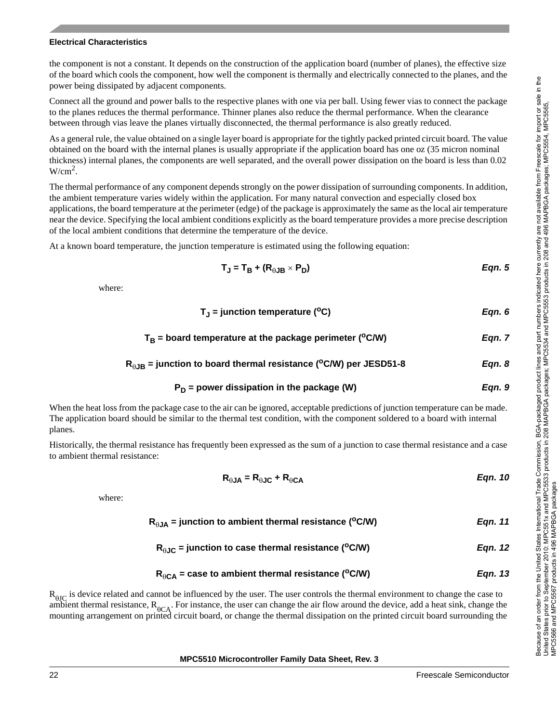the component is not a constant. It depends on the construction of the application board (number of planes), the effective size of the board which cools the component, how well the component is thermally and electrically connected to the planes, and the power being dissipated by adjacent components.

Connect all the ground and power balls to the respective planes with one via per ball. Using fewer vias to connect the package to the planes reduces the thermal performance. Thinner planes also reduce the thermal performance. When the clearance between through vias leave the planes virtually disconnected, the thermal performance is also greatly reduced.

As a general rule, the value obtained on a single layer board is appropriate for the tightly packed printed circuit board. The value obtained on the board with the internal planes is usually appropriate if the application board has one oz (35 micron nominal thickness) internal planes, the components are well separated, and the overall power dissipation on the board is less than 0.02  $W/cm<sup>2</sup>$ .

The thermal performance of any component depends strongly on the power dissipation of surrounding components. In addition, the ambient temperature varies widely within the application. For many natural convection and especially closed box applications, the board temperature at the perimeter (edge) of the package is approximately the same as the local air temperature near the device. Specifying the local ambient conditions explicitly as the board temperature provides a more precise description of the local ambient conditions that determine the temperature of the device.

At a known board temperature, the junction temperature is estimated using the following equation:

$$
T_J = T_B + (R_{\theta}J_B \times P_D) \qquad \qquad \text{Eqn. 5}
$$

where:

$$
T_J = junction temperature ({}^{o}C)
$$
Eqn. 6  
\n
$$
T_B = board temperature at the package perimeter ({}^{o}C/W)
$$
Eqn. 7  
\n
$$
R_{\theta JB} = junction to board thermal resistance ({}^{o}C/W) per JESD51-8
$$
Eqn. 8  
\n
$$
P_D = power dissipation in the package (W)
$$
Eqn. 9

When the heat loss from the package case to the air can be ignored, acceptable predictions of junction temperature can be made. The application board should be similar to the thermal test condition, with the component soldered to a board with internal planes.

Historically, the thermal resistance has frequently been expressed as the sum of a junction to case thermal resistance and a case to ambient thermal resistance:

$$
R_{\theta J A} = R_{\theta J C} + R_{\theta C A}
$$
 Eqn. 10

where:

| $R_{AIA}$ = junction to ambient thermal resistance ( <sup>o</sup> C/W) | <b>Ean.</b> 11 |
|------------------------------------------------------------------------|----------------|
| $R_{A,IC}$ = junction to case thermal resistance ( <sup>o</sup> C/W)   | <b>Ean.</b> 12 |
| $R_{ACA}$ = case to ambient thermal resistance ( <sup>o</sup> C/W)     | Egn. 13        |

 $R<sub>BIC</sub>$  is device related and cannot be influenced by the user. The user controls the thermal environment to change the case to ambient thermal resistance,  $R_{\theta CA}$ . For instance, the user can change the air flow around the device, add a heat sink, change the mounting arrangement on printed circuit board, or change the thermal dissipation on the printed circuit board surrounding the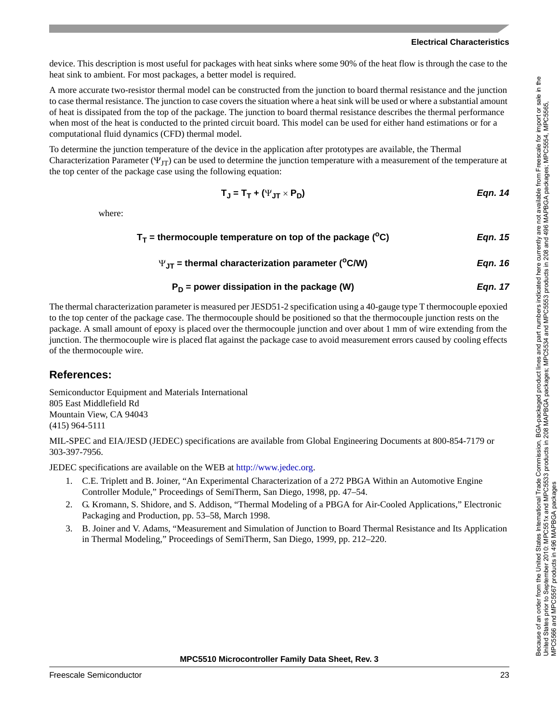device. This description is most useful for packages with heat sinks where some 90% of the heat flow is through the case to the heat sink to ambient. For most packages, a better model is required.

A more accurate two-resistor thermal model can be constructed from the junction to board thermal resistance and the junction to case thermal resistance. The junction to case covers the situation where a heat sink will be used or where a substantial amount of heat is dissipated from the top of the package. The junction to board thermal resistance describes the thermal performance when most of the heat is conducted to the printed circuit board. This model can be used for either hand estimations or for a computational fluid dynamics (CFD) thermal model.

To determine the junction temperature of the device in the application after prototypes are available, the Thermal Characterization Parameter ( $\Psi_{IT}$ ) can be used to determine the junction temperature with a measurement of the temperature at the top center of the package case using the following equation:

$$
T_J = T_T + (\Psi_{JT} \times P_D) \qquad \qquad \text{Eqn. 14}
$$

where:

| $T_T$ = thermocouple temperature on top of the package ( <sup>o</sup> C) | Egn. 15 |
|--------------------------------------------------------------------------|---------|
| $\Psi_{IT}$ = thermal characterization parameter ( <sup>o</sup> C/W)     | Egn. 16 |

$$
P_D = power dissipation in the package (W)
$$
Eqn. 17

The thermal characterization parameter is measured per JESD51-2 specification using a 40-gauge type T thermocouple epoxied to the top center of the package case. The thermocouple should be positioned so that the thermocouple junction rests on the package. A small amount of epoxy is placed over the thermocouple junction and over about 1 mm of wire extending from the junction. The thermocouple wire is placed flat against the package case to avoid measurement errors caused by cooling effects of the thermocouple wire.

### **References:**

Semiconductor Equipment and Materials International 805 East Middlefield Rd Mountain View, CA 94043 (415) 964-5111

MIL-SPEC and EIA/JESD (JEDEC) specifications are available from Global Engineering Documents at 800-854-7179 or 303-397-7956.

JEDEC specifications are available on the WEB at http://www.jedec.org.

- 1. C.E. Triplett and B. Joiner, "An Experimental Characterization of a 272 PBGA Within an Automotive Engine Controller Module," Proceedings of SemiTherm, San Diego, 1998, pp. 47–54.
- 2. G. Kromann, S. Shidore, and S. Addison, "Thermal Modeling of a PBGA for Air-Cooled Applications," Electronic Packaging and Production, pp. 53–58, March 1998.
- 3. B. Joiner and V. Adams, "Measurement and Simulation of Junction to Board Thermal Resistance and Its Application in Thermal Modeling," Proceedings of SemiTherm, San Diego, 1999, pp. 212–220.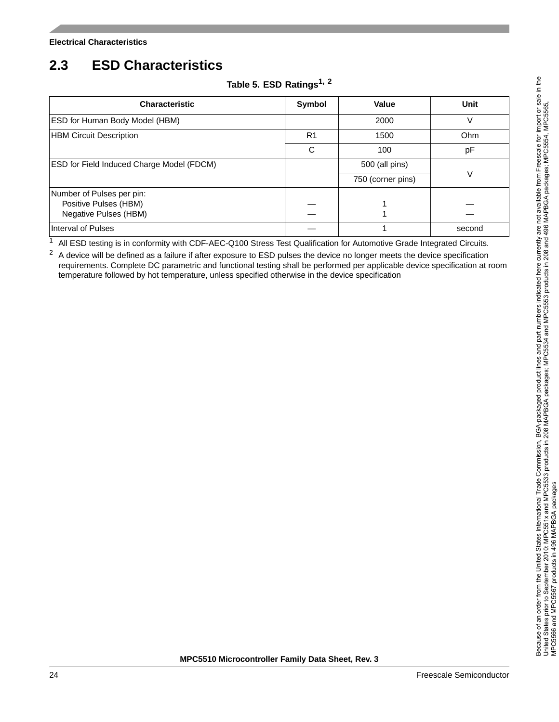## <span id="page-23-0"></span>**2.3 ESD Characteristics**

|  |  |  | Table 5. ESD Ratings <sup>1, 2</sup> |  |
|--|--|--|--------------------------------------|--|
|--|--|--|--------------------------------------|--|

<span id="page-23-1"></span>

| <b>Characteristic</b>                                                       | Symbol         | Value             | <b>Unit</b> |
|-----------------------------------------------------------------------------|----------------|-------------------|-------------|
| <b>ESD for Human Body Model (HBM)</b>                                       |                | 2000              | V           |
| <b>HBM Circuit Description</b>                                              | R <sub>1</sub> | 1500              | Ohm         |
|                                                                             | C              | 100               | pF          |
| <b>ESD for Field Induced Charge Model (FDCM)</b>                            |                | 500 (all pins)    |             |
|                                                                             |                | 750 (corner pins) | V           |
| Number of Pulses per pin:<br>Positive Pulses (HBM)<br>Negative Pulses (HBM) |                |                   |             |
| <b>Interval of Pulses</b>                                                   |                |                   | second      |

 $\overline{1}$  All ESD testing is in conformity with CDF-AEC-Q100 Stress Test Qualification for Automotive Grade Integrated Circuits.

<sup>2</sup> A device will be defined as a failure if after exposure to ESD pulses the device no longer meets the device specification requirements. Complete DC parametric and functional testing shall be performed per applicable device specification at room temperature followed by hot temperature, unless specified otherwise in the device specification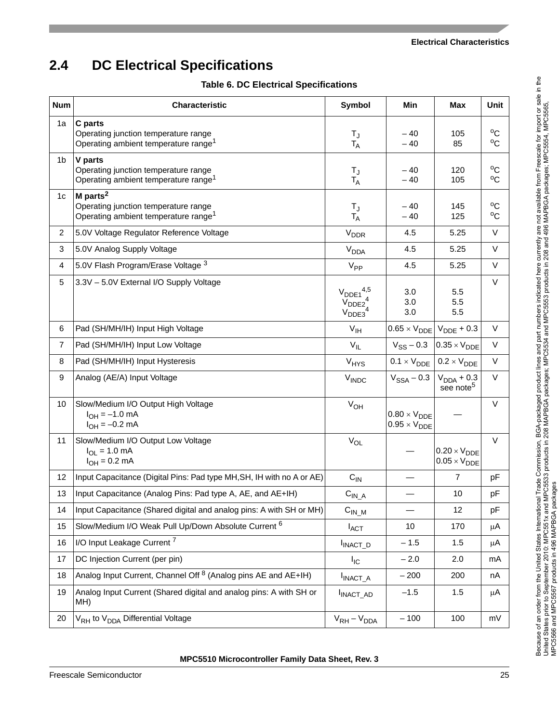# <span id="page-24-0"></span>**2.4 DC Electrical Specifications**

| <b>Table 6. DC Electrical Specifications</b> |
|----------------------------------------------|
|----------------------------------------------|

<span id="page-24-1"></span>

| <b>Num</b>     | Characteristic                                                                                                   | Symbol                                                                    | Min                                            | <b>Max</b>                                     | Unit                         |
|----------------|------------------------------------------------------------------------------------------------------------------|---------------------------------------------------------------------------|------------------------------------------------|------------------------------------------------|------------------------------|
| 1a             | C parts<br>Operating junction temperature range<br>Operating ambient temperature range <sup>1</sup>              | $T_{\text{J}}$<br>$T_A$                                                   | - 40<br>$-40$                                  | 105<br>85                                      | $^{\circ}$ C<br>$^{\circ}$ C |
| 1 <sub>b</sub> | V parts<br>Operating junction temperature range<br>Operating ambient temperature range <sup>1</sup>              | $T_{\text{J}}$<br>$T_A$                                                   | - 40<br>$-40$                                  | 120<br>105                                     | $^{\circ}$ C<br>$^{\circ}$ C |
| 1 <sub>c</sub> | M parts <sup>2</sup><br>Operating junction temperature range<br>Operating ambient temperature range <sup>1</sup> | $T_{\sf J}$<br>$T_A$                                                      | - 40<br>$-40$                                  | 145<br>125                                     | $^{\circ}$ C<br>$^{\circ}$ C |
| 2              | 5.0V Voltage Regulator Reference Voltage                                                                         | <b>V<sub>DDR</sub></b>                                                    | 4.5                                            | 5.25                                           | V                            |
| 3              | 5.0V Analog Supply Voltage                                                                                       | <b>V<sub>DDA</sub></b>                                                    | 4.5                                            | 5.25                                           | V                            |
| 4              | 5.0V Flash Program/Erase Voltage 3                                                                               | $V_{PP}$                                                                  | 4.5                                            | 5.25                                           | V                            |
| 5              | 3.3V - 5.0V External I/O Supply Voltage                                                                          | $V_{\text{DDE1}}^{4,5}$<br>$V_{\text{DDE2}}^{4}$<br>$V_{\text{DDE3}}^{4}$ | 3.0<br>3.0<br>3.0                              | 5.5<br>5.5<br>5.5                              | V                            |
| 6              | Pad (SH/MH/IH) Input High Voltage                                                                                | $V_{IH}$                                                                  | $0.65 \times V_{\text{DDE}}$                   | $V_{\text{DDE}} + 0.3$                         | V                            |
| $\overline{7}$ | Pad (SH/MH/IH) Input Low Voltage                                                                                 | $V_{IL}$                                                                  | $V_{SS} - 0.3$                                 | $0.35 \times V_{\text{DDF}}$                   | V                            |
| 8              | Pad (SH/MH/IH) Input Hysteresis                                                                                  | V <sub>HYS</sub>                                                          | $0.1 \times V_{\text{DDE}}$                    | $0.2 \times V_{\text{DDE}}$                    | V                            |
| 9              | Analog (AE/A) Input Voltage                                                                                      | <b>V<sub>INDC</sub></b>                                                   | $V_{SSA}$ – 0.3                                | $V_{DDA}$ + 0.3<br>see note <sup>5</sup>       | $\vee$                       |
| 10             | Slow/Medium I/O Output High Voltage<br>$I_{OH} = -1.0$ mA<br>$I_{OH} = -0.2$ mA                                  | $V_{OH}$                                                                  | $0.80 \times V_{DDE}$<br>$0.95 \times V_{DDE}$ |                                                | $\vee$                       |
| 11             | Slow/Medium I/O Output Low Voltage<br>$I_{\Omega I} = 1.0 \text{ mA}$<br>$I_{OH} = 0.2$ mA                       | $V_{OL}$                                                                  |                                                | $0.20 \times V_{DDE}$<br>$0.05 \times V_{DDE}$ | $\vee$                       |
| 12             | Input Capacitance (Digital Pins: Pad type MH, SH, IH with no A or AE)                                            | $C_{IN}$                                                                  |                                                | $\overline{7}$                                 | pF                           |
| 13             | Input Capacitance (Analog Pins: Pad type A, AE, and AE+IH)                                                       | $\mathrm{C_{IN\_A}}$                                                      |                                                | 10                                             | pF                           |
| 14             | Input Capacitance (Shared digital and analog pins: A with SH or MH)                                              | $C_{IN\_M}$                                                               |                                                | 12                                             | pF                           |
| 15             | Slow/Medium I/O Weak Pull Up/Down Absolute Current 6                                                             | $I_{\sf ACT}$                                                             | 10                                             | 170                                            | μA                           |
| 16             | I/O Input Leakage Current <sup>7</sup>                                                                           | I <sub>INACT_D</sub>                                                      | $-1.5$                                         | 1.5                                            | μA                           |
| 17             | DC Injection Current (per pin)                                                                                   | $I_{IC}$                                                                  | $-2.0$                                         | 2.0                                            | mA                           |
| 18             | Analog Input Current, Channel Off <sup>8</sup> (Analog pins AE and AE+IH)                                        | I <sub>INACT_A</sub>                                                      | $-200$                                         | 200                                            | nA                           |
| 19             | Analog Input Current (Shared digital and analog pins: A with SH or<br>MH)                                        | INACT_AD                                                                  | $-1.5$                                         | 1.5                                            | μA                           |
| 20             | V <sub>RH</sub> to V <sub>DDA</sub> Differential Voltage                                                         | $VRH - VDDA$                                                              | $-100$                                         | 100                                            | mV                           |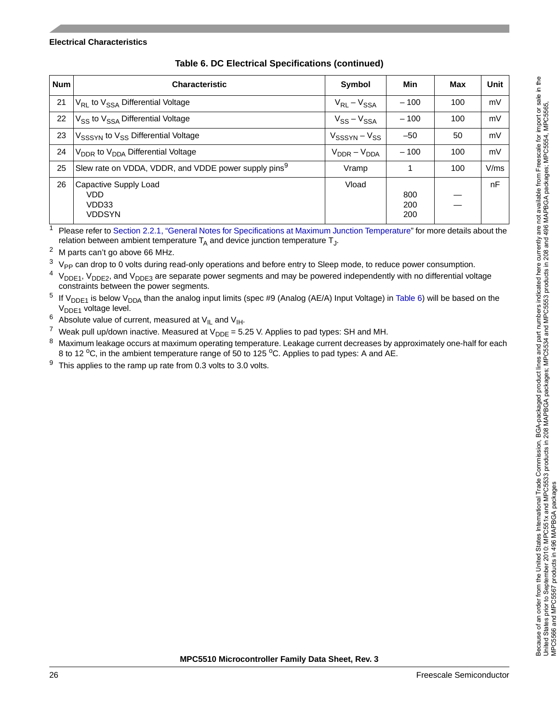| <b>Num</b> | <b>Characteristic</b>                                            | <b>Symbol</b>                     | Min               | Max | Unit |
|------------|------------------------------------------------------------------|-----------------------------------|-------------------|-----|------|
| 21         | V <sub>RI</sub> to V <sub>SSA</sub> Differential Voltage         | $V_{RL} - V_{SSA}$                | $-100$            | 100 | mV   |
| 22         | V <sub>SS</sub> to V <sub>SSA</sub> Differential Voltage         | $V_{SS} - V_{SSA}$                | $-100$            | 100 | mV   |
| 23         | V <sub>SSSYN</sub> to V <sub>SS</sub> Differential Voltage       | $V_{SSSYN} - V_{SS}$              | $-50$             | 50  | mV   |
| 24         | V <sub>DDR</sub> to V <sub>DDA</sub> Differential Voltage        | $V_{\text{DDR}} - V_{\text{DDA}}$ | $-100$            | 100 | mV   |
| 25         | Slew rate on VDDA, VDDR, and VDDE power supply pins <sup>9</sup> | Vramp                             | 1                 | 100 | V/ms |
| 26         | Capactive Supply Load<br>VDD.<br>VDD33<br><b>VDDSYN</b>          | Vload                             | 800<br>200<br>200 |     | nF   |

### **Table 6. DC Electrical Specifications (continued)**

<span id="page-25-0"></span><sup>1</sup> Please refer to [Section 2.2.1, "General Notes for Specifications at Maximum Junction Temperature](#page-20-1)" for more details about the relation between ambient temperature  $T_A$  and device junction temperature  $T_A$ .

<sup>2</sup> M parts can't go above 66 MHz.

 $3$  V<sub>PP</sub> can drop to 0 volts during read-only operations and before entry to Sleep mode, to reduce power consumption.<br>4 Vental Vental and Vental are separate power sequents and may be powered independently with no differ

<span id="page-25-1"></span> $V_{\text{DDE1}}$ ,  $V_{\text{DDE2}}$ , and  $V_{\text{DDE3}}$  are separate power segments and may be powered independently with no differential voltage constraints between the power segments.

<span id="page-25-2"></span><sup>5</sup> If V<sub>DDE1</sub> is below V<sub>DDA</sub> than the analog input limits (spec #9 (Analog (AE/A) Input Voltage) in [Table 6](#page-24-1)) will be based on the  $V_{\text{DDE1}}$  voltage level.

 $6$  Absolute value of current, measured at  $V_{IL}$  and  $V_{IH}$ .

<sup>7</sup> Weak pull up/down inactive. Measured at  $V_{\text{DDE}} = 5.25$  V. Applies to pad types: SH and MH.<br><sup>8</sup> Maximum lookage occurs at maximum eperating temperature. Lookage current decreases by

Maximum leakage occurs at maximum operating temperature. Leakage current decreases by approximately one-half for each 8 to 12 °C, in the ambient temperature range of 50 to 125 °C. Applies to pad types: A and AE.

 $9\text{ This applies to the ramp up rate from 0.3 volts to 3.0 volts.}$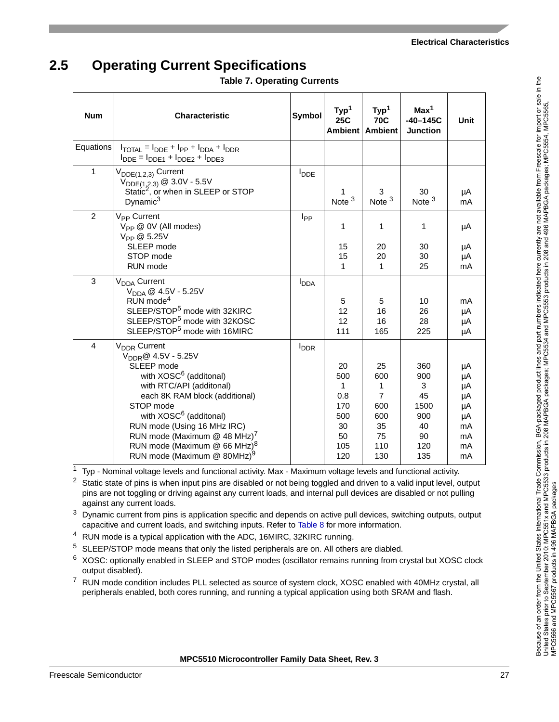## <span id="page-26-1"></span><span id="page-26-0"></span>**2.5 Operating Current Specifications**

**Table 7. Operating Currents**

| <b>Num</b>     | <b>Characteristic</b>                                                                                                                                                                                                                                                                                                                                                                            | <b>Symbol</b>           | Typ <sup>1</sup><br><b>25C</b><br><b>Ambient</b>              | Typ <sup>1</sup><br><b>70C</b><br><b>Ambient</b>                         | Max <sup>1</sup><br>$-40-145C$<br><b>Junction</b>              | <b>Unit</b>                                              |
|----------------|--------------------------------------------------------------------------------------------------------------------------------------------------------------------------------------------------------------------------------------------------------------------------------------------------------------------------------------------------------------------------------------------------|-------------------------|---------------------------------------------------------------|--------------------------------------------------------------------------|----------------------------------------------------------------|----------------------------------------------------------|
| Equations      | $I_{\text{TOTAL}} = I_{\text{DDE}} + I_{\text{PP}} + I_{\text{DDA}} + I_{\text{DDR}}$<br>$I_{\text{DDE}} = I_{\text{DDE1}} + I_{\text{DDE2}} + I_{\text{DDE3}}$                                                                                                                                                                                                                                  |                         |                                                               |                                                                          |                                                                |                                                          |
| 1              | V <sub>DDE(1,2,3)</sub> Current<br>$V_{\text{DDE}(1,2,3)}$ @ 3.0V - 5.5V<br>Static <sup>2</sup> , or when in SLEEP or STOP<br>Dynamic <sup>3</sup>                                                                                                                                                                                                                                               | $I_{\text{DDE}}$        | 1<br>Note $3$                                                 | 3<br>Note <sup>3</sup>                                                   | 30<br>Note <sup>3</sup>                                        | μA<br>mA                                                 |
| $\overline{2}$ | V <sub>PP</sub> Current<br>V <sub>PP</sub> @ 0V (All modes)<br>$V_{PP}$ @ 5.25V<br>SLEEP mode<br>STOP mode<br><b>RUN</b> mode                                                                                                                                                                                                                                                                    | $I_{PP}$                | 1<br>15<br>15<br>1                                            | 1<br>20<br>20<br>1                                                       | 1<br>30<br>30<br>25                                            | μA<br>μA<br>μA<br>mA                                     |
| 3              | V <sub>DDA</sub> Current<br>$V_{DDA}$ @ 4.5V - 5.25V<br>RUN mode <sup>4</sup><br>SLEEP/STOP <sup>5</sup> mode with 32KIRC<br>SLEEP/STOP <sup>5</sup> mode with 32KOSC<br>SLEEP/STOP <sup>5</sup> mode with 16MIRC                                                                                                                                                                                | I <sub>DDA</sub>        | 5<br>12<br>12<br>111                                          | 5<br>16<br>16<br>165                                                     | 10<br>26<br>28<br>225                                          | mA<br>μA<br>μA<br>μA                                     |
| 4              | V <sub>DDR</sub> Current<br>$V_{\text{DDR}}@4.5V - 5.25V$<br>SLEEP mode<br>with XOSC <sup>6</sup> (additonal)<br>with RTC/API (additonal)<br>each 8K RAM block (additional)<br>STOP mode<br>with XOSC <sup>6</sup> (additonal)<br>RUN mode (Using 16 MHz IRC)<br>RUN mode (Maximum @ 48 MHz) <sup>7</sup><br>RUN mode (Maximum @ 66 MHz) <sup>8</sup><br>RUN mode (Maximum @ 80MHz) <sup>9</sup> | <b>I</b> <sub>DDR</sub> | 20<br>500<br>1<br>0.8<br>170<br>500<br>30<br>50<br>105<br>120 | 25<br>600<br>1<br>$\overline{7}$<br>600<br>600<br>35<br>75<br>110<br>130 | 360<br>900<br>3<br>45<br>1500<br>900<br>40<br>90<br>120<br>135 | μA<br>μA<br>μA<br>μA<br>μA<br>μA<br>mA<br>mA<br>mA<br>mA |

 $1$  Typ - Nominal voltage levels and functional activity. Max - Maximum voltage levels and functional activity.

 $2\,$  Static state of pins is when input pins are disabled or not being toggled and driven to a valid input level, output pins are not toggling or driving against any current loads, and internal pull devices are disabled or not pulling against any current loads.

<span id="page-26-2"></span><sup>3</sup> Dynamic current from pins is application specific and depends on active pull devices, switching outputs, output capacitive and current loads, and switching inputs. Refer to [Table 8](#page-28-1) for more information.

<sup>4</sup> RUN mode is a typical application with the ADC, 16MIRC, 32KIRC running.

<span id="page-26-3"></span><sup>5</sup> SLEEP/STOP mode means that only the listed peripherals are on. All others are diabled.

<span id="page-26-4"></span><sup>6</sup> XOSC: optionally enabled in SLEEP and STOP modes (oscillator remains running from crystal but XOSC clock output disabled).

<sup>7</sup> RUN mode condition includes PLL selected as source of system clock, XOSC enabled with 40MHz crystal, all peripherals enabled, both cores running, and running a typical application using both SRAM and flash.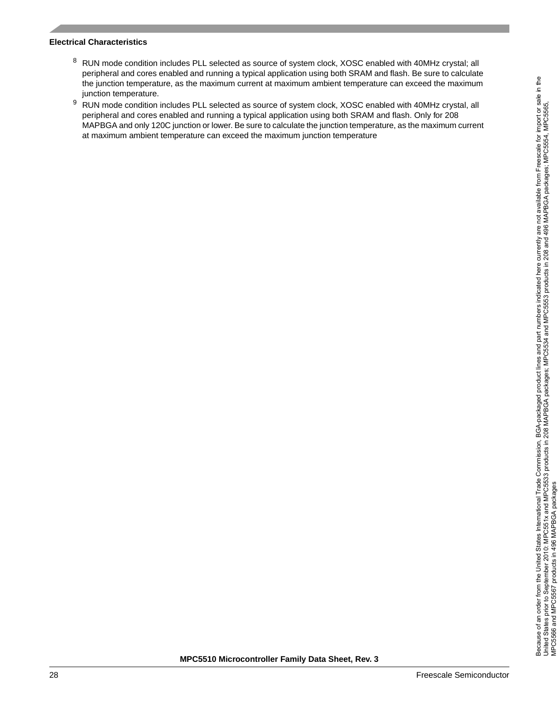- <sup>8</sup> RUN mode condition includes PLL selected as source of system clock, XOSC enabled with 40MHz crystal; all peripheral and cores enabled and running a typical application using both SRAM and flash. Be sure to calculate the junction temperature, as the maximum current at maximum ambient temperature can exceed the maximum junction temperature.
- <sup>9</sup> RUN mode condition includes PLL selected as source of system clock, XOSC enabled with 40MHz crystal, all peripheral and cores enabled and running a typical application using both SRAM and flash. Only for 208 MAPBGA and only 120C junction or lower. Be sure to calculate the junction temperature, as the maximum current at maximum ambient temperature can exceed the maximum junction temperature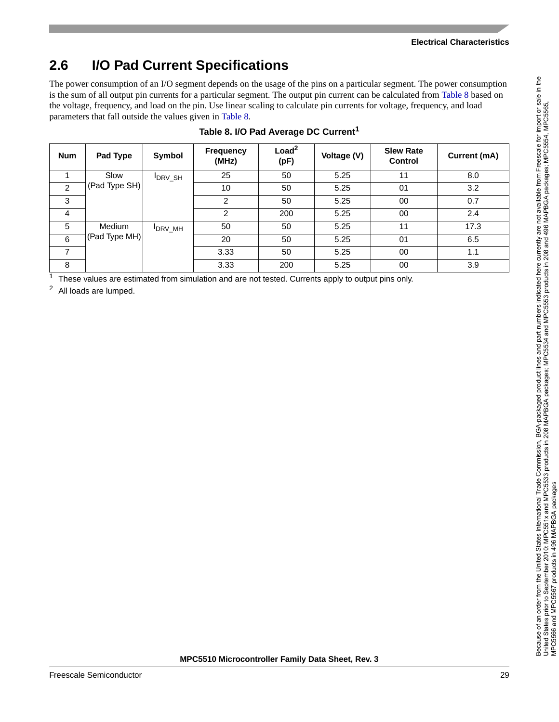Because of an order from the United States International Trade Commission, BGA-packaged product numbers indicated here currently are not available from Freescale for import or sale in the United States prior to September 2010: MPC551x and MPC5533 products in 208 MAPBGA packages; MPC5534 and MPC5553 products in 208 and 496 MAPBGA packages; MPC5554, MPC5565,

Because of an order from the United States International Trade Commission, BGA-packaged product lines and part numbers indicated here currently are not available from Freescale for import or sale in the<br>United States prior

MPC5566 and MPC5567 products in 496 MAPBGA packages

### <span id="page-28-0"></span>**2.6 I/O Pad Current Specifications**

The power consumption of an I/O segment depends on the usage of the pins on a particular segment. The power consumption is the sum of all output pin currents for a particular segment. The output pin current can be calculated from [Table 8](#page-28-1) based on the voltage, frequency, and load on the pin. Use linear scaling to calculate pin currents for voltage, frequency, and load parameters that fall outside the values given in [Table 8](#page-28-1).

<span id="page-28-1"></span>

| <b>Num</b>    | Pad Type      | Symbol         | <b>Frequency</b><br>(MHz) | Load <sup>2</sup><br>(pF) | Voltage (V) | <b>Slew Rate</b><br>Control | Current (mA) |
|---------------|---------------|----------------|---------------------------|---------------------------|-------------|-----------------------------|--------------|
|               | Slow          | <b>IDRV SH</b> | 25                        | 50                        | 5.25        | 11                          | 8.0          |
| $\mathcal{P}$ | (Pad Type SH) |                | 10                        | 50                        | 5.25        | 01                          | 3.2          |
| 3             |               |                | $\mathcal{P}$             | 50                        | 5.25        | 00                          | 0.7          |
| 4             |               |                | 2                         | 200                       | 5.25        | 00                          | 2.4          |
| 5             | Medium        | <b>IDRV MH</b> | 50                        | 50                        | 5.25        | 11                          | 17.3         |
| 6             | (Pad Type MH) |                | 20                        | 50                        | 5.25        | 01                          | 6.5          |
|               |               |                | 3.33                      | 50                        | 5.25        | 00                          | 1.1          |
| 8             |               |                | 3.33                      | 200                       | 5.25        | 00                          | 3.9          |

**MPC5510 Microcontroller Family Data Sheet, Rev. 3**

### **Table 8. I/O Pad Average DC Current<sup>1</sup>**

 $1$  These values are estimated from simulation and are not tested. Currents apply to output pins only.

<sup>2</sup> All loads are lumped.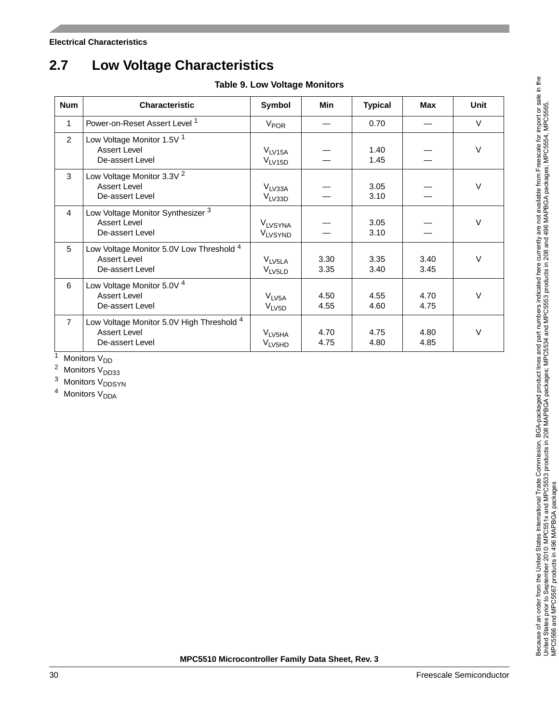## <span id="page-29-0"></span>**2.7 Low Voltage Characteristics**

**Table 9. Low Voltage Monitors**

<span id="page-29-1"></span>

| <b>Num</b>     | <b>Characteristic</b>                                                                          | Symbol                                   | Min          | <b>Typical</b> | <b>Max</b>   | Unit   |
|----------------|------------------------------------------------------------------------------------------------|------------------------------------------|--------------|----------------|--------------|--------|
| 1              | Power-on-Reset Assert Level <sup>1</sup>                                                       | V <sub>POR</sub>                         |              | 0.70           |              | $\vee$ |
| $\overline{2}$ | Low Voltage Monitor 1.5V <sup>1</sup><br><b>Assert Level</b><br>De-assert Level                | V <sub>LV15A</sub><br>V <sub>LV15D</sub> |              | 1.40<br>1.45   |              | $\vee$ |
| 3              | Low Voltage Monitor 3.3V <sup>2</sup><br>Assert Level<br>De-assert Level                       | V <sub>LV33A</sub><br>V <sub>LV33D</sub> |              | 3.05<br>3.10   |              | $\vee$ |
| 4              | Low Voltage Monitor Synthesizer <sup>3</sup><br>Assert Level<br>De-assert Level                | <b>VLVSYNA</b><br><b>VLVSYND</b>         |              | 3.05<br>3.10   |              | $\vee$ |
| 5              | Low Voltage Monitor 5.0V Low Threshold <sup>4</sup><br><b>Assert Level</b><br>De-assert Level  | $V_{LV5LA}$<br>V <sub>LV5LD</sub>        | 3.30<br>3.35 | 3.35<br>3.40   | 3.40<br>3.45 | $\vee$ |
| 6              | Low Voltage Monitor 5.0V 4<br><b>Assert Level</b><br>De-assert Level                           | $V_{LV5A}$<br>V <sub>LV5D</sub>          | 4.50<br>4.55 | 4.55<br>4.60   | 4.70<br>4.75 | $\vee$ |
| $\overline{7}$ | Low Voltage Monitor 5.0V High Threshold <sup>4</sup><br><b>Assert Level</b><br>De-assert Level | V <sub>LV5HA</sub><br>V <sub>LV5HD</sub> | 4.70<br>4.75 | 4.75<br>4.80   | 4.80<br>4.85 | $\vee$ |

 $\overline{1}$  Monitors V<sub>DD</sub>

 $2$  Monitors  $V_{DD33}$ 

 $3$  Monitors  $V_{\text{DDSYN}}$ 

 $4$  Monitors  $V_{DDA}$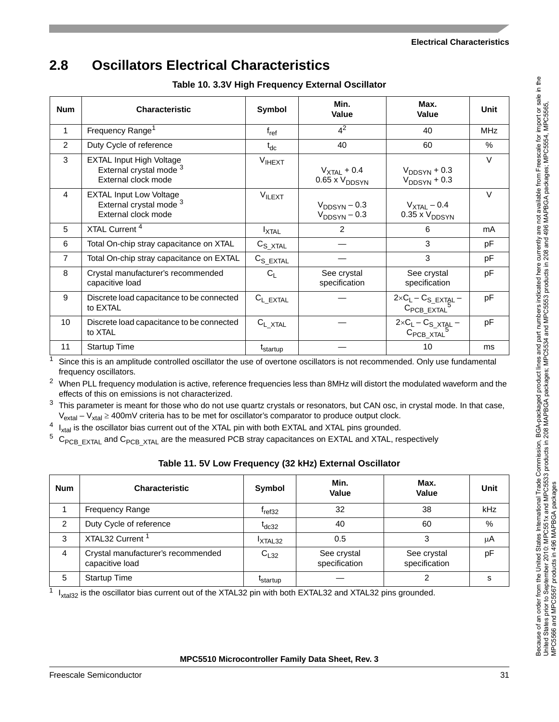## <span id="page-30-0"></span>**2.8 Oscillators Electrical Characteristics**

**Table 10. 3.3V High Frequency External Oscillator**

<span id="page-30-1"></span>

| <b>Num</b>      | <b>Characteristic</b>                                                                       | Symbol                           | Min.                                               | Max.                                                       | Unit       |
|-----------------|---------------------------------------------------------------------------------------------|----------------------------------|----------------------------------------------------|------------------------------------------------------------|------------|
|                 |                                                                                             |                                  | Value                                              | <b>Value</b>                                               |            |
| $\mathbf 1$     | Frequency Range <sup>1</sup>                                                                | $f_{ref}$                        | $4^2$                                              | 40                                                         | <b>MHz</b> |
| 2               | Duty Cycle of reference                                                                     | $t_{dc}$                         | 40                                                 | 60                                                         | $\%$       |
| 3               | <b>EXTAL Input High Voltage</b><br>External crystal mode 3<br>External clock mode           | <b>VIHEXT</b>                    | $V_{\text{XTAL}} + 0.4$<br>$0.65 \times V_{DDSYN}$ | $V_{\text{DDSYN}} + 0.3$<br>$V_{\text{DDSYN}} + 0.3$       | $\vee$     |
| $\overline{4}$  | <b>EXTAL Input Low Voltage</b><br>External crystal mode <sup>3</sup><br>External clock mode | VILEXT                           | $V_{\text{DDSYN}} - 0.3$<br>$V_{DDSYN}$ – 0.3      | $V_{XTAL}$ – 0.4<br>$0.35 \times V_{DDSYN}$                | $\vee$     |
| 5               | XTAL Current <sup>4</sup>                                                                   | <b>I</b> XTAL                    | 2                                                  | 6                                                          | mA         |
| 6               | Total On-chip stray capacitance on XTAL                                                     | $C_{S\_XTAL}$                    |                                                    | 3                                                          | pF         |
| $\overline{7}$  | Total On-chip stray capacitance on EXTAL                                                    | $\mathtt{C}_{\texttt{S\_EXTAL}}$ |                                                    | 3                                                          | рF         |
| 8               | Crystal manufacturer's recommended<br>capacitive load                                       | $C_L$                            | See crystal<br>specification                       | See crystal<br>specification                               | pF         |
| 9               | Discrete load capacitance to be connected<br>to EXTAL                                       | $C_{L\_EXTAL}$                   |                                                    | $2 \times C_L - C_{S\_EXTAL} -$<br>C <sub>PCB_EXTAL</sub>  | pF         |
| 10 <sup>1</sup> | Discrete load capacitance to be connected<br>to XTAL                                        | $C_{L_X TAL}$                    |                                                    | $\substack{2 \times C_L - C_{S\_XTAL} -\\ C_{PCB\_XTAL}5}$ | pF         |
| 11              | <b>Startup Time</b>                                                                         | t <sub>startup</sub>             |                                                    | 10                                                         | ms         |

 $\frac{1}{1}$  Since this is an amplitude controlled oscillator the use of overtone oscillators is not recommended. Only use fundamental frequency oscillators.

<sup>2</sup> When PLL frequency modulation is active, reference frequencies less than 8MHz will distort the modulated waveform and the effects of this on emissions is not characterized.

<span id="page-30-3"></span><sup>3</sup> This parameter is meant for those who do not use quartz crystals or resonators, but CAN osc, in crystal mode. In that case,  $V<sub>extal</sub> − V<sub>xtal</sub> ≥ 400mV$  criteria has to be met for oscillator's comparator to produce output clock.

 $\frac{4}{1}$  I<sub>xtal</sub> is the oscillator bias current out of the XTAL pin with both EXTAL and XTAL pins grounded.<br><sup>5</sup> Coop FXTAL and Coop XTAL are the measured PCB stray canacitances on EXTAL and XTAL re

C<sub>PCB\_EXTAL</sub> and C<sub>PCB\_XTAL</sub> are the measured PCB stray capacitances on EXTAL and XTAL, respectively

### **Table 11. 5V Low Frequency (32 kHz) External Oscillator**

<span id="page-30-2"></span>

| <b>Num</b> | <b>Characteristic</b>                                 | Symbol               | Min.<br><b>Value</b>         | Max.<br>Value                | Unit |
|------------|-------------------------------------------------------|----------------------|------------------------------|------------------------------|------|
|            | <b>Frequency Range</b>                                | $r_{ref32}$          | 32                           | 38                           | kHz  |
| 2          | Duty Cycle of reference                               | $t_{dc32}$           | 40                           | 60                           | %    |
| 3          | XTAL32 Current <sup>1</sup>                           | XTAL32               | 0.5                          | 3                            | μA   |
| 4          | Crystal manufacturer's recommended<br>capacitive load | $C_{L32}$            | See crystal<br>specification | See crystal<br>specification | pF   |
| 5          | <b>Startup Time</b>                                   | <sup>L</sup> startup |                              | າ                            | s    |

I<sub>xtal32</sub> is the oscillator bias current out of the XTAL32 pin with both EXTAL32 and XTAL32 pins grounded.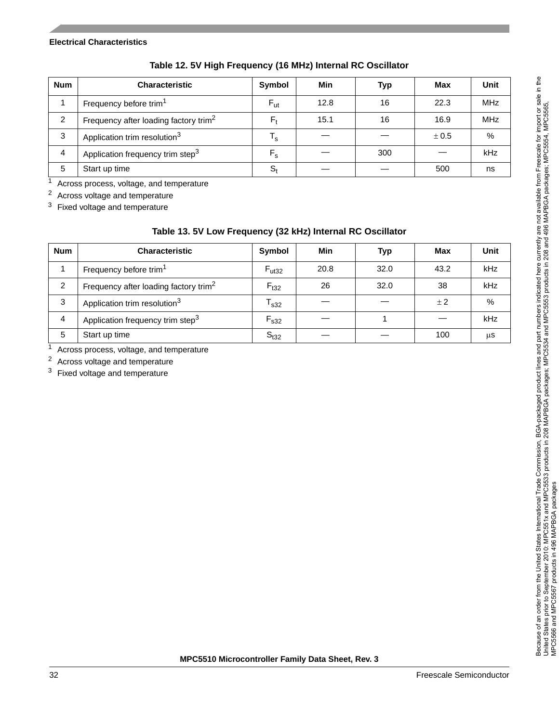<span id="page-31-0"></span>

| <b>Num</b> | <b>Characteristic</b>                             | Symbol                  | Min  | <b>Typ</b> | Max   | Unit       |
|------------|---------------------------------------------------|-------------------------|------|------------|-------|------------|
|            | Frequency before trim <sup>1</sup>                | $F_{\text{ut}}$         | 12.8 | 16         | 22.3  | <b>MHz</b> |
| 2          | Frequency after loading factory trim <sup>2</sup> | F.                      | 15.1 | 16         | 16.9  | <b>MHz</b> |
| 3          | Application trim resolution <sup>3</sup>          | $\mathsf{L}_\mathbf{S}$ |      |            | ± 0.5 | %          |
| 4          | Application frequency trim step <sup>3</sup>      | $F_{\rm s}$             |      | 300        |       | <b>kHz</b> |
| 5          | Start up time                                     | S,                      |      |            | 500   | ns         |

### **Table 12. 5V High Frequency (16 MHz) Internal RC Oscillator**

 $1$  Across process, voltage, and temperature

<sup>2</sup> Across voltage and temperature

<sup>3</sup> Fixed voltage and temperature

### **Table 13. 5V Low Frequency (32 kHz) Internal RC Oscillator**

<span id="page-31-1"></span>

| <b>Num</b> | <b>Characteristic</b>                             | Symbol               | Min  | <b>Typ</b> | Max  | Unit |
|------------|---------------------------------------------------|----------------------|------|------------|------|------|
|            | Frequency before trim <sup>1</sup>                | $F_{ut32}$           | 20.8 | 32.0       | 43.2 | kHz  |
| 2          | Frequency after loading factory trim <sup>2</sup> | $F_{t32}$            | 26   | 32.0       | 38   | kHz  |
| 3          | Application trim resolution <sup>3</sup>          | $^{\mathsf{I}}$ s32. |      |            | ±2   | %    |
| 4          | Application frequency trim step <sup>3</sup>      | $F_{s32}$            |      |            |      | kHz  |
| 5          | Start up time                                     | $S_{t32}$            |      |            | 100  | μS   |

1 Across process, voltage, and temperature

<sup>2</sup> Across voltage and temperature

<sup>3</sup> Fixed voltage and temperature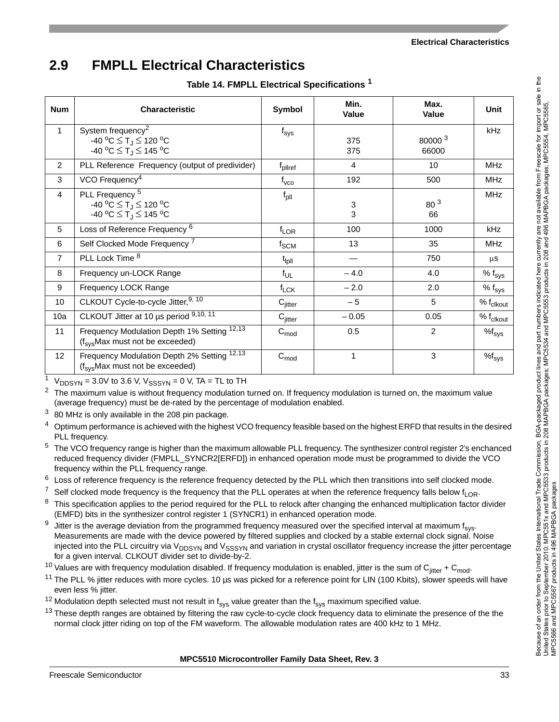## <span id="page-32-0"></span>**2.9 FMPLL Electrical Characteristics**

**Table 14. FMPLL Electrical Specifications <sup>1</sup>**

<span id="page-32-1"></span>

| <b>Num</b>     | <b>Characteristic</b>                                                                                 | Symbol                             | Min.<br>Value | Max.<br>Value         | Unit                        |
|----------------|-------------------------------------------------------------------------------------------------------|------------------------------------|---------------|-----------------------|-----------------------------|
| $\mathbf{1}$   | System frequency <sup>2</sup><br>$-40 °C \leq T_J \leq 120 °C$<br>$-40 °C \leq T_1 \leq 145 °C$       | $f_{sys}$                          | 375<br>375    | 80000 3<br>66000      | kHz                         |
| 2              | PLL Reference Frequency (output of predivider)                                                        | f <sub>pliref</sub>                | 4             | 10                    | <b>MHz</b>                  |
| 3              | VCO Frequency <sup>4</sup>                                                                            | $f_{\rm vco}$                      | 192           | 500                   | <b>MHz</b>                  |
| $\overline{4}$ | PLL Frequency <sup>5</sup><br>$-40 °C \le T_J \le 120 °C$<br>$-40 °C \leq T_1 \leq 145 °C$            | $f_{\text{pII}}$                   | 3<br>3        | 80 <sup>3</sup><br>66 | <b>MHz</b>                  |
| 5              | Loss of Reference Frequency 6                                                                         | $f_{LOR}$                          | 100           | 1000                  | kHz                         |
| 6              | Self Clocked Mode Frequency <sup>7</sup>                                                              | $f_{\rm SCM}$                      | 13            | 35                    | <b>MHz</b>                  |
| $\overline{7}$ | PLL Lock Time 8                                                                                       | $t_{\parallel \text{p} \parallel}$ |               | 750                   | μs                          |
| 8              | Frequency un-LOCK Range                                                                               | $f_{UL}$                           | $-4.0$        | 4.0                   | % $f_{sys}$                 |
| 9              | Frequency LOCK Range                                                                                  | $f_{LCK}$                          | $-2.0$        | 2.0                   | % $\mathsf{f}_\mathsf{sys}$ |
| 10             | CLKOUT Cycle-to-cycle Jitter, 9, 10                                                                   | $C_{\text{litter}}$                | $-5$          | 5                     | $% f_{\text{clkout}}$       |
| 10a            | CLKOUT Jitter at 10 µs period 9,10, 11                                                                | $C_{\text{litter}}$                | $-0.05$       | 0.05                  | $% f_{\text{clkout}}$       |
| 11             | Frequency Modulation Depth 1% Setting 12,13<br>(f <sub>svs</sub> Max must not be exceeded)            | $C_{\text{mod}}$                   | 0.5           | $\overline{c}$        | $%f_{\text{sys}}$           |
| 12             | Frequency Modulation Depth 2% Setting <sup>12,13</sup><br>(f <sub>svs</sub> Max must not be exceeded) | $C_{mod}$                          | 1             | 3                     | $%f_{sys}$                  |

<sup>1</sup> V<sub>DDSYN</sub> = 3.0V to 3.6 V, V<sub>SSSYN</sub> = 0 V, TA = TL to TH<br><sup>2</sup> The maximum value is without frequency modulation

The maximum value is without frequency modulation turned on. If frequency modulation is turned on, the maximum value (average frequency) must be de-rated by the percentage of modulation enabled.

<span id="page-32-3"></span><sup>3</sup> 80 MHz is only available in the 208 pin package.

<sup>4</sup> Optimum performance is achieved with the highest VCO frequency feasible based on the highest ERFD that results in the desired PLL frequency.

<sup>5</sup> The VCO frequency range is higher than the maximum allowable PLL frequency. The synthesizer control register 2's enchanced reduced frequency divider (FMPLL\_SYNCR2[ERFD]) in enhanced operation mode must be programmed to divide the VCO frequency within the PLL frequency range.

 $6$  Loss of reference frequency is the reference frequency detected by the PLL which then transitions into self clocked mode.

<sup>7</sup> Self clocked mode frequency is the frequency that the PLL operates at when the reference frequency falls below  $f_{\text{LOR}}$ .<br><sup>8</sup> This specification applies to the period required for the PLL to relock after changing the

This specification applies to the period required for the PLL to relock after changing the enhanced multiplication factor divider (EMFD) bits in the synthesizer control register 1 (SYNCR1) in enhanced operation mode.

<span id="page-32-2"></span> $9$  Jitter is the average deviation from the programmed frequency measured over the specified interval at maximum f<sub>sys</sub>. Measurements are made with the device powered by filtered supplies and clocked by a stable external clock signal. Noise injected into the PLL circuitry via V<sub>DDSYN</sub> and V<sub>SSSYN</sub> and variation in crystal oscillator frequency increase the jitter percentage for a given interval. CLKOUT divider set to divide-by-2.

<span id="page-32-6"></span><sup>10</sup> Values are with frequency modulation disabled. If frequency modulation is enabled, jitter is the sum of C<sub>iitter</sub> + C<sub>mod</sub>.

<sup>11</sup> The PLL % jitter reduces with more cycles. 10 us was picked for a reference point for LIN (100 Kbits), slower speeds will have even less % jitter.

<span id="page-32-4"></span> $12$  Modulation depth selected must not result in  $f_{sys}$  value greater than the  $f_{sys}$  maximum specified value.

<span id="page-32-5"></span><sup>13</sup> These depth ranges are obtained by filtering the raw cycle-to-cycle clock frequency data to eliminate the presence of the the normal clock jitter riding on top of the FM waveform. The allowable modulation rates are 400 kHz to 1 MHz.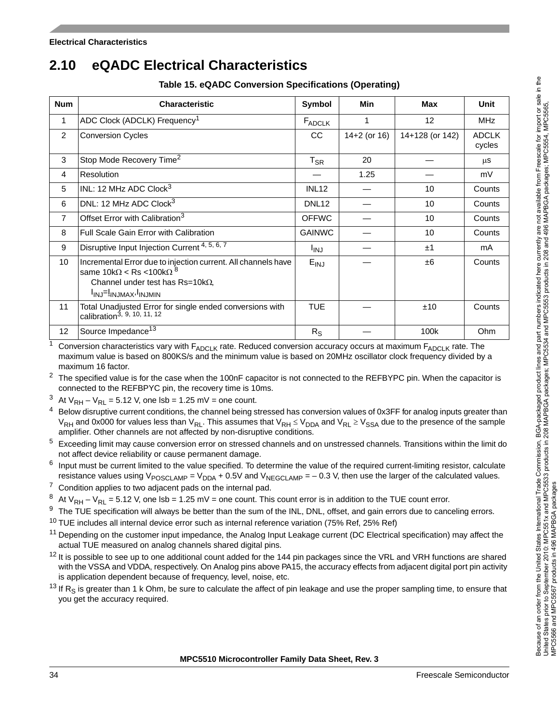## <span id="page-33-0"></span>**2.10 eQADC Electrical Characteristics**

**Table 15. eQADC Conversion Specifications (Operating)** 

<span id="page-33-1"></span>

| <b>Num</b>     | <b>Characteristic</b>                                                                                                                                                                                                    | Symbol            | Min            | Max               | Unit                   |
|----------------|--------------------------------------------------------------------------------------------------------------------------------------------------------------------------------------------------------------------------|-------------------|----------------|-------------------|------------------------|
| 1              | ADC Clock (ADCLK) Frequency <sup>1</sup>                                                                                                                                                                                 | <b>FADCLK</b>     |                | $12 \overline{ }$ | <b>MHz</b>             |
| 2              | <b>Conversion Cycles</b>                                                                                                                                                                                                 | CC                | $14+2$ (or 16) | 14+128 (or 142)   | <b>ADCLK</b><br>cycles |
| 3              | Stop Mode Recovery Time <sup>2</sup>                                                                                                                                                                                     | $T_{\text{SR}}$   | 20             |                   | μS                     |
| 4              | Resolution                                                                                                                                                                                                               |                   | 1.25           |                   | mV                     |
| 5              | INL: 12 MHz ADC Clock <sup>3</sup>                                                                                                                                                                                       | <b>INL12</b>      |                | 10                | Counts                 |
| 6              | DNL: 12 MHz ADC Clock <sup>3</sup>                                                                                                                                                                                       | DNL <sub>12</sub> |                | 10                | Counts                 |
| $\overline{7}$ | Offset Error with Calibration <sup>3</sup>                                                                                                                                                                               | <b>OFFWC</b>      |                | 10                | Counts                 |
| 8              | Full Scale Gain Error with Calibration                                                                                                                                                                                   | <b>GAINWC</b>     |                | 10                | Counts                 |
| 9              | Disruptive Input Injection Current 4, 5, 6, 7                                                                                                                                                                            | <sup>I</sup> INJ  |                | ±1                | mA                     |
| 10             | Incremental Error due to injection current. All channels have<br>same 10k $\Omega$ < Rs <100k $\Omega$ $^{8}$<br>Channel under test has $Rs = 10k\Omega$ ,<br>I <sub>INJ</sub> =I <sub>INJMAX</sub> ,I <sub>INJMIN</sub> | $E_{INJ}$         |                | ±6                | Counts                 |
| 11             | Total Unadjusted Error for single ended conversions with<br>calibration <sup>3, 9, 10, 11, 12</sup>                                                                                                                      | <b>TUE</b>        |                | ±10               | Counts                 |
| 12             | Source Impedance <sup>13</sup>                                                                                                                                                                                           | $R_S$             |                | 100k              | Ohm                    |

<sup>1</sup> Conversion characteristics vary with  $F_{ADCLK}$  rate. Reduced conversion accuracy occurs at maximum  $F_{ADCLK}$  rate. The maximum value is based on 800KS/s and the minimum value is based on 20MHz oscillator clock frequency divided by a maximum 16 factor.

 $2$  The specified value is for the case when the 100nF capacitor is not connected to the REFBYPC pin. When the capacitor is connected to the REFBPYC pin, the recovery time is 10ms.

<sup>3</sup> At  $V_{\text{RH}} - V_{\text{RL}} = 5.12$  V, one lsb = 1.25 mV = one count.

- Below disruptive current conditions, the channel being stressed has conversion values of 0x3FF for analog inputs greater than V<sub>RH</sub> and 0x000 for values less than V<sub>RL</sub>. This assumes that V<sub>RH</sub> ≤ V<sub>DDA</sub> and V<sub>RL</sub> ≥ V<sub>SSA</sub> due to the presence of the sample amplifier. Other channels are not affected by non-disruptive conditions.
- $5$  Exceeding limit may cause conversion error on stressed channels and on unstressed channels. Transitions within the limit do not affect device reliability or cause permanent damage.
- $6$  Input must be current limited to the value specified. To determine the value of the required current-limiting resistor, calculate resistance values using  $V_{\text{POSCLAMP}} = V_{\text{DDA}} + 0.5V$  and  $V_{\text{NEGCLAMP}} = -0.3 V$ , then use the larger of the calculated values.
- $7$  Condition applies to two adjacent pads on the internal pad.
- 8 At V<sub>RH</sub> V<sub>RL</sub> = 5.12 V, one lsb = 1.25 mV = one count. This count error is in addition to the TUE count error.<br><sup>9</sup> The TUE specification will always be better than the sum of the INL DNL offset, and gain errors due t
- The TUE specification will always be better than the sum of the INL, DNL, offset, and gain errors due to canceling errors.
- $10$  TUE includes all internal device error such as internal reference variation (75% Ref, 25% Ref)
- <sup>11</sup> Depending on the customer input impedance, the Analog Input Leakage current (DC Electrical specification) may affect the actual TUE measured on analog channels shared digital pins.
- $12$  It is possible to see up to one additional count added for the 144 pin packages since the VRL and VRH functions are shared with the VSSA and VDDA, respectively. On Analog pins above PA15, the accuracy effects from adjacent digital port pin activity is application dependent because of frequency, level, noise, etc.
- $13$  If R<sub>S</sub> is greater than 1 k Ohm, be sure to calculate the affect of pin leakage and use the proper sampling time, to ensure that you get the accuracy required.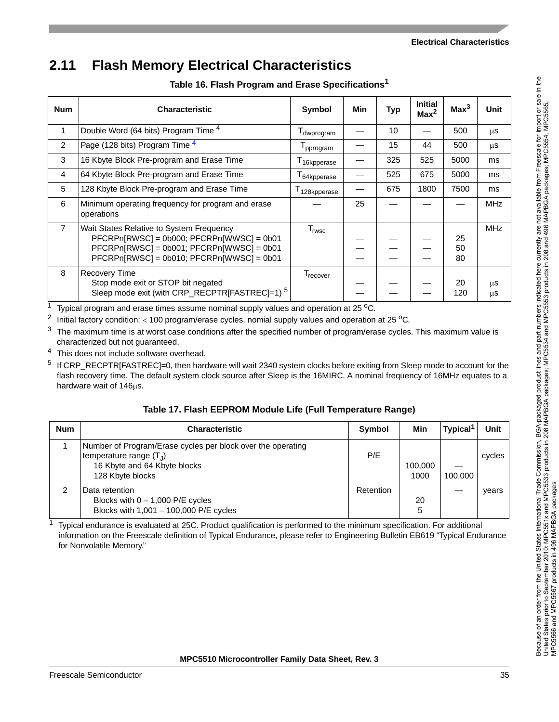### <span id="page-34-0"></span>**2.11 Flash Memory Electrical Characteristics**

|  |  | Table 16. Flash Program and Erase Specifications $^{\text{1}}$ |
|--|--|----------------------------------------------------------------|
|  |  |                                                                |

<span id="page-34-1"></span>

| <b>Num</b>     | <b>Characteristic</b>                                                                                                                                                                 | Symbol                    | Min | <b>Typ</b> | <b>Initial</b><br>Max <sup>2</sup> | Max <sup>3</sup> | Unit       |
|----------------|---------------------------------------------------------------------------------------------------------------------------------------------------------------------------------------|---------------------------|-----|------------|------------------------------------|------------------|------------|
| 1              | Double Word (64 bits) Program Time <sup>4</sup>                                                                                                                                       | T <sub>dwprogram</sub>    |     | 10         |                                    | 500              | μS         |
| 2              | Page (128 bits) Program Time <sup>4</sup>                                                                                                                                             | I pprogram                |     | 15         | 44                                 | 500              | μS         |
| 3              | 16 Kbyte Block Pre-program and Erase Time                                                                                                                                             | T <sub>16kpperase</sub>   |     | 325        | 525                                | 5000             | ms         |
| 4              | 64 Kbyte Block Pre-program and Erase Time                                                                                                                                             | T <sub>64</sub> kpperase  |     | 525        | 675                                | 5000             | ms         |
| 5              | 128 Kbyte Block Pre-program and Erase Time                                                                                                                                            | 1 <sub>128</sub> kpperase |     | 675        | 1800                               | 7500             | ms         |
| 6              | Minimum operating frequency for program and erase<br>operations                                                                                                                       |                           | 25  |            |                                    |                  | <b>MHz</b> |
| $\overline{7}$ | Wait States Relative to System Frequency<br>$PFCRPn[RWSC] = 0b000; PFCRPn[WWSC] = 0b01$<br>$PFCRPn[RWSC] = 0b001; PFCRPn[WWSC] = 0b01$<br>$PFCRPn[RWSC] = 0b010; PFCRPn[WWSC] = 0b01$ | $T_{\text{rwsc}}$         |     |            |                                    | 25<br>50<br>80   | <b>MHz</b> |
| 8              | <b>Recovery Time</b><br>Stop mode exit or STOP bit negated<br>Sleep mode exit (with CRP_RECPTR[FASTREC]=1) <sup>5</sup>                                                               | T <sub>recover</sub>      |     |            |                                    | 20<br>120        | μS<br>μS   |

<sup>1</sup> Typical program and erase times assume nominal supply values and operation at 25  $^{\circ}$ C.

<sup>2</sup> Initial factory condition: < 100 program/erase cycles, nomial supply values and operation at 25 °C.

 $3$  The maximum time is at worst case conditions after the specified number of program/erase cycles. This maximum value is characterized but not guaranteed.

<sup>4</sup> This does not include software overhead.

<sup>5</sup> If CRP\_RECPTR[FASTREC]=0, then hardware will wait 2340 system clocks before exiting from Sleep mode to account for the flash recovery time. The default system clock source after Sleep is the 16MIRC. A nominal frequency of 16MHz equates to a hardware wait of 146μs.

|  |  |  |  | Table 17. Flash EEPROM Module Life (Full Temperature Range) |
|--|--|--|--|-------------------------------------------------------------|
|--|--|--|--|-------------------------------------------------------------|

<span id="page-34-2"></span>

| <b>Num</b> | <b>Characteristic</b>                                                                                                                        | <b>Symbol</b> | Min             | <b>Typical</b> | Unit   |
|------------|----------------------------------------------------------------------------------------------------------------------------------------------|---------------|-----------------|----------------|--------|
|            | Number of Program/Erase cycles per block over the operating<br>temperature range $(T_1)$<br>16 Kbyte and 64 Kbyte blocks<br>128 Kbyte blocks | P/E           | 100,000<br>1000 | 100.000        | cycles |
| 2          | Data retention<br>Blocks with $0 - 1,000$ P/E cycles<br>Blocks with $1,001 - 100,000$ P/E cycles                                             | Retention     | 20<br>5         |                | years  |

<sup>1</sup> Typical endurance is evaluated at 25C. Product qualification is performed to the minimum specification. For additional information on the Freescale definition of Typical Endurance, please refer to Engineering Bulletin EB619 "Typical Endurance for Nonvolatile Memory."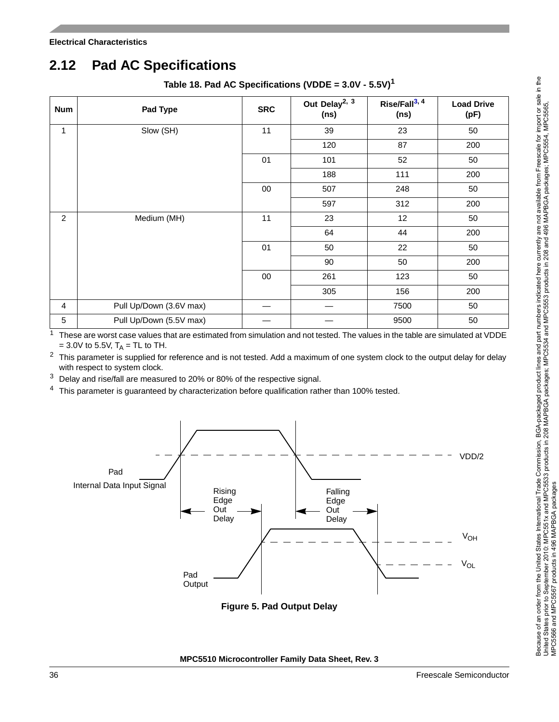## <span id="page-35-0"></span>**2.12 Pad AC Specifications**

<span id="page-35-2"></span>

| <b>Num</b>     | Pad Type                | <b>SRC</b> | Out Delay <sup>2, 3</sup><br>(ns) | Rise/Fall <sup>3, 4</sup><br>(ns) | <b>Load Drive</b><br>(pF) |
|----------------|-------------------------|------------|-----------------------------------|-----------------------------------|---------------------------|
| $\mathbf{1}$   | Slow (SH)               | 11         | 39                                | 23                                | 50                        |
|                |                         |            | 120                               | 87                                | 200                       |
|                |                         | 01         | 101                               | 52                                | 50                        |
|                |                         |            | 188                               | 111                               | 200                       |
|                |                         | $00\,$     | 507                               | 248                               | 50                        |
|                |                         |            | 597                               | 312                               | 200                       |
| $\overline{c}$ | Medium (MH)             | 11         | 23                                | 12                                | 50                        |
|                |                         |            | 64                                | 44                                | 200                       |
|                |                         | 01         | 50                                | 22                                | 50                        |
|                |                         |            | 90                                | 50                                | 200                       |
|                |                         | $00\,$     | 261                               | 123                               | 50                        |
|                |                         |            | 305                               | 156                               | 200                       |
| $\overline{4}$ | Pull Up/Down (3.6V max) |            |                                   | 7500                              | 50                        |
| $\mathbf 5$    | Pull Up/Down (5.5V max) |            |                                   | 9500                              | 50                        |

<sup>1</sup> These are worst case values that are estimated from simulation and not tested. The values in the table are simulated at VDDE  $= 3.0V$  to 5.5V,  $T_A = T L$  to TH.

- <sup>2</sup> This parameter is supplied for reference and is not tested. Add a maximum of one system clock to the output delay for delay with respect to system clock.
- $3$  Delay and rise/fall are measured to 20% or 80% of the respective signal.
- <sup>4</sup> This parameter is guaranteed by characterization before qualification rather than 100% tested.



#### <span id="page-35-1"></span>**MPC5510 Microcontroller Family Data Sheet, Rev. 3**

MPC5566 and MPC5567 products in 496 MAPBGA packages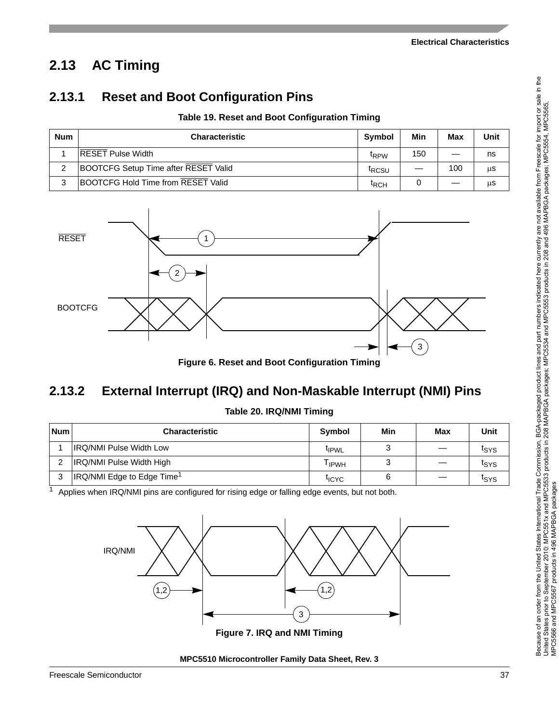# <span id="page-36-0"></span>**2.13 AC Timing**

## <span id="page-36-1"></span>**2.13.1 Reset and Boot Configuration Pins**

**Table 19. Reset and Boot Configuration Timing**

<span id="page-36-5"></span>

| <b>Num</b> | <b>Characteristic</b>                       | <b>Symbol</b>     | Min | Max | Unit |
|------------|---------------------------------------------|-------------------|-----|-----|------|
|            | <b>IRESET Pulse Width</b>                   | <sup>I</sup> RPW  | 150 |     | ns   |
| 2          | <b>BOOTCFG Setup Time after RESET Valid</b> | <sup>I</sup> RCSU |     | 100 | μS   |
| ົ          | <b>BOOTCFG Hold Time from RESET Valid</b>   | <sup>I</sup> RCH  |     |     | μS   |



## <span id="page-36-3"></span><span id="page-36-2"></span>**2.13.2 External Interrupt (IRQ) and Non-Maskable Interrupt (NMI) Pins**

### **Table 20. IRQ/NMI Timing**

<span id="page-36-6"></span>

| <b>Num</b> | <b>Characteristic</b>            | Symbol            | Min | Max | Unit             |
|------------|----------------------------------|-------------------|-----|-----|------------------|
|            | <b>IRQ/NMI Pulse Width Low</b>   | <sup>I</sup> IPWL |     |     | <sup>I</sup> SYS |
|            | <b>IRQ/NMI Pulse Width High</b>  | IPWH              |     |     | <sup>I</sup> SYS |
| ີ          | <b>IRQ/NMI Edge to Edge Time</b> | <b>I</b> ICYC     |     |     | <sup>I</sup> SYS |

 $1$  Applies when IRQ/NMI pins are configured for rising edge or falling edge events, but not both.

<span id="page-36-4"></span>

**MPC5510 Microcontroller Family Data Sheet, Rev. 3**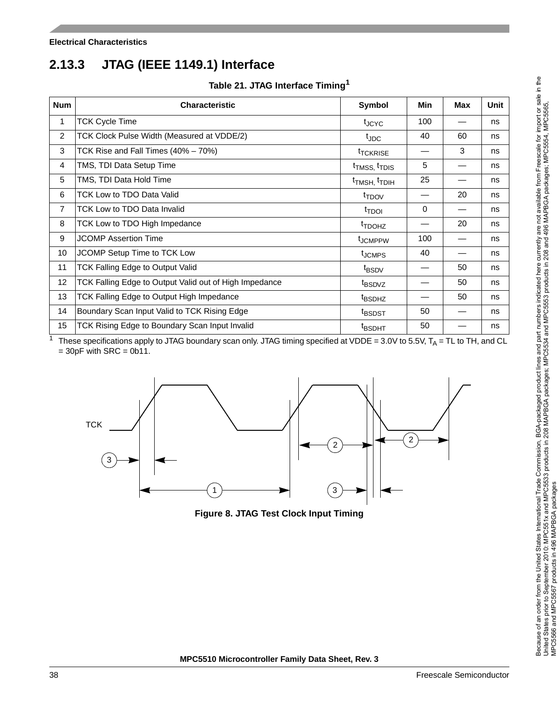## <span id="page-37-0"></span>**2.13.3 JTAG (IEEE 1149.1) Interface**

### **Table 21. JTAG Interface Timing<sup>1</sup>**

<span id="page-37-2"></span>

| <b>Num</b>     | <b>Characteristic</b>                                  | Symbol                               | Min         | Max | Unit |
|----------------|--------------------------------------------------------|--------------------------------------|-------------|-----|------|
| $\mathbf{1}$   | <b>TCK Cycle Time</b>                                  | t <sub>JCYC</sub>                    | 100         |     | ns   |
| 2              | TCK Clock Pulse Width (Measured at VDDE/2)             | $t_{\text{JDC}}$                     | 40          | 60  | ns   |
| 3              | TCK Rise and Fall Times (40% - 70%)                    | <sup>t</sup> TCKRISE                 |             | 3   | ns   |
| 4              | TMS, TDI Data Setup Time                               | t <sub>TMSS,</sub> t <sub>TDIS</sub> | 5           | –   | ns   |
| 5              | TMS, TDI Data Hold Time                                | <sup>t</sup> TMSH, <sup>t</sup> TDIH | 25          |     | ns   |
| 6              | TCK Low to TDO Data Valid                              | t <sub>TDOV</sub>                    |             | 20  | ns   |
| $\overline{7}$ | TCK Low to TDO Data Invalid                            | t <sub>TDOI</sub>                    | $\mathbf 0$ |     | ns   |
| 8              | TCK Low to TDO High Impedance                          | <sup>t</sup> TDOHZ                   |             | 20  | ns   |
| 9              | <b>JCOMP Assertion Time</b>                            | t <sub>JCMPPW</sub>                  | 100         |     | ns   |
| 10             | JCOMP Setup Time to TCK Low                            | t <sub>JCMPS</sub>                   | 40          |     | ns   |
| 11             | TCK Falling Edge to Output Valid                       | t <sub>BSDV</sub>                    |             | 50  | ns   |
| 12             | TCK Falling Edge to Output Valid out of High Impedance | t <sub>BSDVZ</sub>                   |             | 50  | ns   |
| 13             | TCK Falling Edge to Output High Impedance              | <sup>t</sup> BSDHZ                   |             | 50  | ns   |
| 14             | Boundary Scan Input Valid to TCK Rising Edge           | <sup>t</sup> BSDST                   | 50          |     | ns   |
| 15             | TCK Rising Edge to Boundary Scan Input Invalid         | <sup>t</sup> BSDHT                   | 50          |     | ns   |

 $\frac{1}{1}$  These specifications apply to JTAG boundary scan only. JTAG timing specified at VDDE = 3.0V to 5.5V, T<sub>A</sub> = TL to TH, and CL  $= 30pF$  with SRC = 0b11.

<span id="page-37-1"></span>

**Figure 8. JTAG Test Clock Input Timing**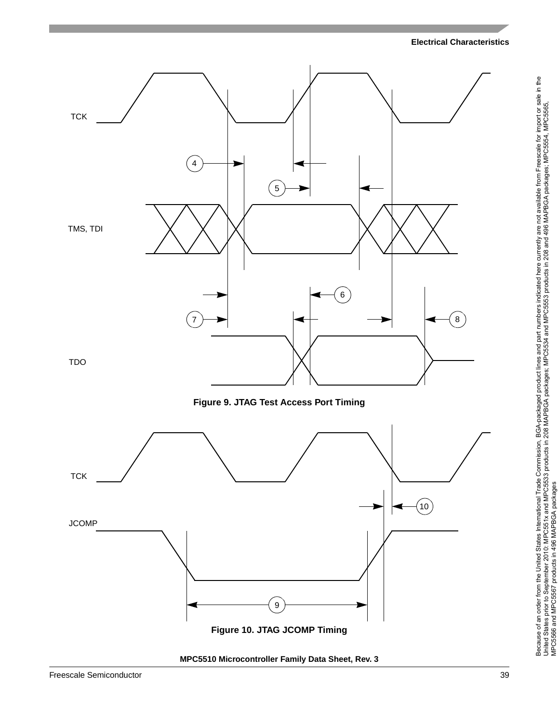<span id="page-38-1"></span><span id="page-38-0"></span>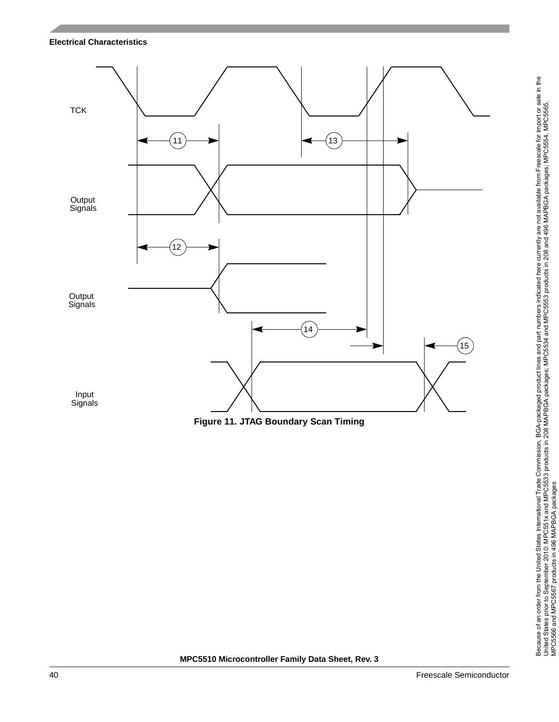**Electrical Characteristics**



<span id="page-39-0"></span>**Figure 11. JTAG Boundary Scan Timing**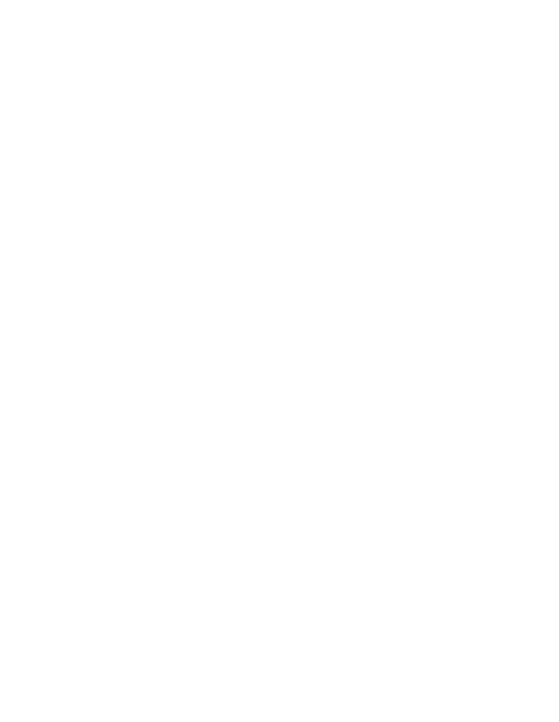#### **Pin Assignments and Reset States**

| Pin<br><b>Name</b> | <b>GPIO</b><br>(PCR) | <b>Supported</b><br>Functions <sup>2</sup>                                                        | <b>Description</b>                                                                                                                                                                               | I/O<br><b>Type</b>                                | Voltage <sup>3</sup> | <b>Status</b><br>Pad <sup>4</sup><br><b>During</b><br><b>Type</b> | <b>Status</b><br>After | <b>Package Pin</b><br><b>Locations</b> |     |     |                 |
|--------------------|----------------------|---------------------------------------------------------------------------------------------------|--------------------------------------------------------------------------------------------------------------------------------------------------------------------------------------------------|---------------------------------------------------|----------------------|-------------------------------------------------------------------|------------------------|----------------------------------------|-----|-----|-----------------|
|                    | Num <sup>1</sup>     |                                                                                                   |                                                                                                                                                                                                  |                                                   |                      |                                                                   | Reset <sup>5</sup>     | Reset <sup>5</sup>                     | 144 | 176 | 208             |
| PF <sub>3</sub>    | 83                   | PF <sub>3</sub><br>AD <sub>9</sub><br>ADDR9<br>MLBDI/<br><b>MLBDAT</b><br>MCKO <sup>8</sup>       | <b>GPIO</b><br><b>EBI Muxed Address/Data</b><br><b>EBI Non Muxed Address</b><br>MLB Data In (5-pin) /<br>MLB Bi-directional Data (3-pin)<br>Nexus Message Clock Out                              | I/O<br>I/O<br>O<br>$\mathbf{I}$<br>I/O<br>$\circ$ | V <sub>DE3</sub>     | MH                                                                |                        |                                        | 63  | 79  | T <sub>12</sub> |
| PF4                | 84                   | PF <sub>4</sub><br>AD10<br>ADDR10<br>MLBSO/<br><b>MLBSIG BUFEN</b><br>MDO0 <sup>8</sup>           | <b>GPIO</b><br><b>EBI Muxed Address/Data</b><br><b>EBI Non Muxed Address</b><br>MLB Signal Out (5-pin) /<br>MLB Signal Level Shifter Enable (3-pin)<br>Nexus Message Data Out                    | I/O<br>I/O<br>$\circ$<br>$\circ$<br>O<br>O        | V <sub>DE3</sub>     | MH                                                                |                        |                                        | 59  | 74  | T <sub>10</sub> |
| PF <sub>5</sub>    | 85                   | PF <sub>5</sub><br>AD <sub>11</sub><br>ADDR11<br>MLBDO/<br>MLBDAT_BUFEN<br>MDO1 <sup>8</sup>      | <b>GPIO</b><br><b>EBI Muxed Address/Data</b><br><b>EBI Non Muxed Address</b><br>MLB Data Out (5-pin) /<br>MLB Data Level Shifter Enable (3-pin)<br>Nexus Message Data Out                        | I/O<br>I/O<br>$\circ$<br>O<br>O<br>O              | V <sub>DE3</sub>     | MH                                                                |                        |                                        | 58  | 72  | R <sub>9</sub>  |
| PF <sub>6</sub>    | 86                   | PF <sub>6</sub><br>AD12<br>ADDR12<br>MLB_SLOT /<br>MLB_SIGOBS/<br>MLB_DATOBS<br>MDO2 <sup>8</sup> | <b>GPIO</b><br><b>EBI Muxed Address/Data</b><br><b>EBI Non Muxed Address</b><br>MLB Slot Debug /<br>MLB Clock Adjust Observe Signal /<br>MLB Clock Adjust Observe Data<br>Nexus Message Data Out | 1/O<br>I/O<br>$\circ$<br>O<br>O<br>O<br>O         | V <sub>DDE3</sub>    | <b>MH</b>                                                         |                        |                                        | 57  | 68  | T <sub>8</sub>  |
| PF7                | 87                   | PF7<br>AD <sub>13</sub><br>ADDR <sub>13</sub><br>MDO3 <sup>8</sup>                                | <b>GPIO</b><br><b>EBI Muxed Address/Data</b><br><b>EBI Non Muxed Address</b><br>Nexus Message Data Out                                                                                           | I/O<br>I/O<br>$\circ$<br>O                        | V <sub>DE3</sub>     | MH                                                                |                        |                                        | 56  | 66  | P <sub>8</sub>  |
| PF <sub>8</sub>    | 88                   | PF <sub>8</sub><br>AD <sub>14</sub><br>ADDR14<br>$MDO4^8$                                         | <b>GPIO</b><br><b>EBI Muxed Address/Data</b><br><b>EBI Non Muxed Address</b><br>Nexus Message Data Out                                                                                           | I/O<br>I/O<br>$\circ$<br>O                        | $V_{\text{DDE2}}$    | MH                                                                |                        |                                        | 55  | 65  | N <sub>8</sub>  |
| PF <sub>9</sub>    | 89                   | PF <sub>9</sub><br>AD15<br>ADDR15<br>$MDO5^8$                                                     | <b>GPIO</b><br><b>EBI Muxed Address/Data</b><br><b>EBI Non Muxed Address</b><br>Nexus Message Data Out                                                                                           | I/O<br>I/O<br>O<br>$\circ$                        | $V_{\text{DDE2}}$    | MН                                                                |                        |                                        | 54  | 64  | T7              |
| <b>PF10</b>        | 90                   | <b>PF10</b><br>$\overline{\text{CS1}}$<br>TXD_C<br>MDO6 <sup>8</sup>                              | <b>GPIO</b><br><b>EBI Chip Select</b><br>SCI_C Transmit<br>Nexus Message Data Out                                                                                                                | I/O<br>O<br>O<br>O                                | V <sub>DDE2</sub>    | MH                                                                |                        |                                        | 52  | 62  | R7              |
| <b>PF11</b>        | 91                   | <b>PF11</b><br>$\overline{\text{CS}0}$<br>RXD_C<br>MDO7 <sup>8</sup>                              | <b>GPIO</b><br><b>EBI Chip Select</b><br><b>SCI C Receive</b><br>Nexus Message Data Out                                                                                                          | $\mathsf{I}/\mathsf{O}$<br>O<br>O                 | V <sub>DDE2</sub>    | MH                                                                |                        |                                        | 51  | 61  | P7              |
| <b>PF12</b>        | 92                   | <b>PF12</b><br>$\overline{\text{TS}}$<br>TXD_D<br>ALE                                             | <b>GPIO</b><br><b>EBI Transfer Start</b><br>SCI_D Transmit<br><b>EBI Address Latch Enable</b>                                                                                                    | I/O<br>I/O<br>O<br>O                              | $V_{\text{DDE2}}$    | MН                                                                |                        |                                        | 50  | 60  | N7              |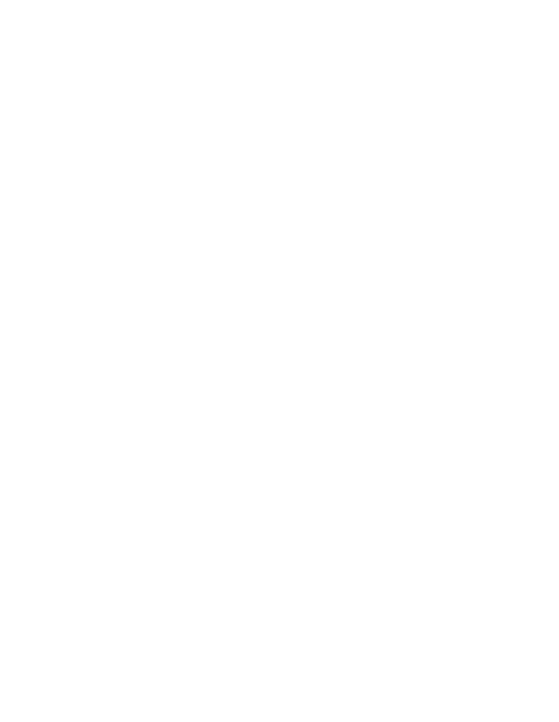#### $2.5$ **Operating Current Specifications**

| <b>Num</b>     | <b>Characteristic</b>                                                                                                                                                                                                                                                                                                                                                                            | <b>Symbol</b>           | Type <sup>1</sup><br><b>25C</b><br><b>Ambient</b>             | Typ <sup>1</sup><br><b>70C</b><br><b>Ambient</b>                         | Max <sup>1</sup><br>$-40-145C$<br><b>Junction</b>              | Unit                                                     |
|----------------|--------------------------------------------------------------------------------------------------------------------------------------------------------------------------------------------------------------------------------------------------------------------------------------------------------------------------------------------------------------------------------------------------|-------------------------|---------------------------------------------------------------|--------------------------------------------------------------------------|----------------------------------------------------------------|----------------------------------------------------------|
| Equations      | $I_{\text{TOTAL}} = I_{\text{DDE}} + I_{\text{PP}} + I_{\text{DDA}} + I_{\text{DDR}}$<br>$I_{\text{DDE}} = I_{\text{DDE1}} + I_{\text{DDE2}} + I_{\text{DDE3}}$                                                                                                                                                                                                                                  |                         |                                                               |                                                                          |                                                                |                                                          |
| 1              | V <sub>DDE(1,2,3)</sub> Current<br>$V_{\text{DDE}(1,2,3)}$ @ 3.0V - 5.5V<br>Static <sup>2</sup> , or when in SLEEP or STOP<br>Dynamic <sup>3</sup>                                                                                                                                                                                                                                               | <b>I</b> <sub>DDE</sub> | 1<br>Note <sup>3</sup>                                        | 3<br>Note $3$                                                            | 30<br>Note <sup>3</sup>                                        | μA<br>mA                                                 |
| $\overline{2}$ | V <sub>PP</sub> Current<br>$V_{PP} \n\circledcirc$ OV (All modes)<br>$V_{PP}$ @ 5.25V<br>SLEEP mode<br>STOP mode<br><b>RUN</b> mode                                                                                                                                                                                                                                                              | $I_{PP}$                | 1<br>15<br>15<br>1                                            | 1<br>20<br>20<br>1                                                       | 1<br>30<br>30<br>25                                            | μA<br>μA<br>μA<br>mA                                     |
| 3              | V <sub>DDA</sub> Current<br>$V_{DDA}$ @ 4.5V - 5.25V<br>RUN mode <sup>4</sup><br>SLEEP/STOP <sup>5</sup> mode with 32KIRC<br>SLEEP/STOP <sup>5</sup> mode with 32KOSC<br>SLEEP/STOP <sup>5</sup> mode with 16MIRC                                                                                                                                                                                | I <sub>DDA</sub>        | 5<br>12<br>12<br>111                                          | 5<br>16<br>16<br>165                                                     | 10<br>26<br>28<br>225                                          | mA<br>μA<br>μA<br>μA                                     |
| $\overline{4}$ | V <sub>DDR</sub> Current<br>$V_{\text{DDR}}@4.5V - 5.25V$<br>SLEEP mode<br>with XOSC <sup>6</sup> (additonal)<br>with RTC/API (additonal)<br>each 8K RAM block (additional)<br>STOP mode<br>with XOSC <sup>6</sup> (additonal)<br>RUN mode (Using 16 MHz IRC)<br>RUN mode (Maximum @ 48 MHz) <sup>7</sup><br>RUN mode (Maximum @ 66 MHz) <sup>8</sup><br>RUN mode (Maximum @ 80MHz) <sup>9</sup> | <b>I</b> <sub>DDR</sub> | 20<br>500<br>1<br>0.8<br>170<br>500<br>30<br>50<br>105<br>120 | 25<br>600<br>1<br>$\overline{7}$<br>600<br>600<br>35<br>75<br>110<br>130 | 360<br>900<br>3<br>45<br>1500<br>900<br>40<br>90<br>120<br>135 | μA<br>μA<br>μA<br>μA<br>μA<br>μA<br>mA<br>mA<br>mA<br>mA |

**Table 7. Operating Currents** 

 $\mathbf{1}$ Typ - Nominal voltage levels and functional activity. Max - Maximum voltage levels and functional activity.

 $\overline{\mathbf{c}}$ Static state of pins is when input pins are disabled or not being toggled and driven to a valid input level, output pins are not toggling or driving against any current loads, and internal pull devices are disabled or not pulling against any current loads.

<sup>3</sup> Dynamic current from pins is application specific and depends on active pull devices, switching outputs, output capacitive and current loads, and switching inputs. Refer to Table 8 for more information.

<sup>4</sup> RUN mode is a typical application with the ADC, 16MIRC, 32KIRC running.

<sup>5</sup> SLEEP/STOP mode means that only the listed peripherals are on. All others are diabled.

 $\,6\,$ XOSC: optionally enabled in SLEEP and STOP modes (oscillator remains running from crystal but XOSC clock output disabled).

7 RUN mode condition includes PLL selected as source of system clock, XOSC enabled with 40MHz crystal, all peripherals enabled, both cores running, and running a typical application using both SRAM and flash.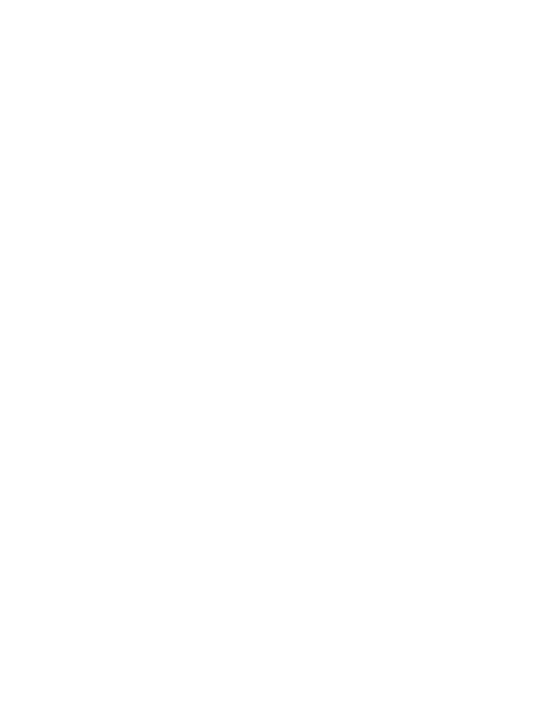#### **Pad AC Specifications**  $2.12$

| Table 18. Pad AC Specifications (VDDE = $3.0V - 5.5V$ ) <sup>1</sup> |
|----------------------------------------------------------------------|
|                                                                      |

| <b>Num</b>     | Pad Type                | <b>SRC</b> | Out Delay <sup>2, 3</sup><br>(ns) | Rise/Fall <sup>3, 4</sup><br>(ns) | <b>Load Drive</b><br>(pF) |
|----------------|-------------------------|------------|-----------------------------------|-----------------------------------|---------------------------|
| $\mathbf{1}$   | Slow (SH)               | 11         | 39                                | 23                                | 50                        |
|                |                         |            | 120                               | 87                                | 200                       |
|                |                         | 01         | 101                               | 52                                | 50                        |
|                |                         |            | 188                               | 111                               | 200                       |
|                |                         | 00         | 507                               | 248                               | 50                        |
|                |                         |            | 597                               | 312                               | 200                       |
| $\overline{2}$ | Medium (MH)             | 11         | 23                                | 12                                | 50                        |
|                |                         |            | 64                                | 44                                | 200                       |
|                |                         | 01         | 50                                | 22                                | 50                        |
|                |                         |            | 90                                | 50                                | 200                       |
|                |                         | $00\,$     | 261                               | 123                               | 50                        |
|                |                         |            | 305                               | 156                               | 200                       |
| 4              | Pull Up/Down (3.6V max) |            |                                   | 7500                              | 50                        |
| 5              | Pull Up/Down (5.5V max) |            |                                   | 9500                              | 50                        |

 $\overline{1}$ These are worst case values that are estimated from simulation and not tested. The values in the table are simulated at VDDE = 3.0V to 5.5V,  $T_A$  = TL to TH.

 $\sqrt{2}$ This parameter is supplied for reference and is not tested. Add a maximum of one system clock to the output delay for delay with respect to system clock.

 $3$  Delay and rise/fall are measured to 20% or 80% of the respective signal.

<sup>4</sup> This parameter is guaranteed by characterization before qualification rather than 100% tested.



Figure 5. Pad Output Delay